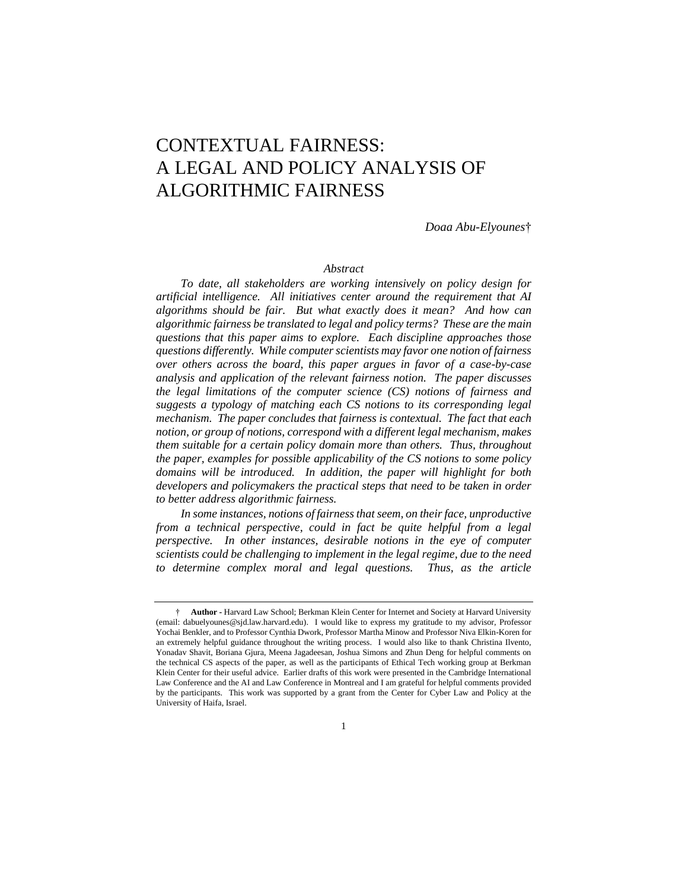# CONTEXTUAL FAIRNESS: A LEGAL AND POLICY ANALYSIS OF ALGORITHMIC FAIRNESS

*Doaa Abu-Elyounes*†

## *Abstract*

*To date, all stakeholders are working intensively on policy design for artificial intelligence. All initiatives center around the requirement that AI algorithms should be fair. But what exactly does it mean? And how can algorithmic fairness be translated to legal and policy terms? These are the main questions that this paper aims to explore. Each discipline approaches those questions differently. While computer scientists may favor one notion of fairness over others across the board, this paper argues in favor of a case-by-case analysis and application of the relevant fairness notion. The paper discusses the legal limitations of the computer science (CS) notions of fairness and*  suggests a typology of matching each CS notions to its corresponding legal *mechanism. The paper concludes that fairness is contextual. The fact that each notion, or group of notions, correspond with a different legal mechanism, makes them suitable for a certain policy domain more than others. Thus, throughout the paper, examples for possible applicability of the CS notions to some policy domains will be introduced. In addition, the paper will highlight for both developers and policymakers the practical steps that need to be taken in order to better address algorithmic fairness.* 

*In some instances, notions of fairness that seem, on their face, unproductive from a technical perspective, could in fact be quite helpful from a legal perspective.* In other instances, desirable notions in the eye of computer *scientists could be challenging to implement in the legal regime, due to the need to determine complex moral and legal questions. Thus, as the article* 

<sup>†</sup> **Author -** Harvard Law School; Berkman Klein Center for Internet and Society at Harvard University (email: dabuelyounes@sjd.law.harvard.edu). I would like to express my gratitude to my advisor, Professor Yochai Benkler, and to Professor Cynthia Dwork, Professor Martha Minow and Professor Niva Elkin-Koren for an extremely helpful guidance throughout the writing process. I would also like to thank Christina Ilvento, Yonadav Shavit, Boriana Gjura, Meena Jagadeesan, Joshua Simons and Zhun Deng for helpful comments on the technical CS aspects of the paper, as well as the participants of Ethical Tech working group at Berkman Klein Center for their useful advice. Earlier drafts of this work were presented in the Cambridge International Law Conference and the AI and Law Conference in Montreal and I am grateful for helpful comments provided by the participants. This work was supported by a grant from the Center for Cyber Law and Policy at the University of Haifa, Israel.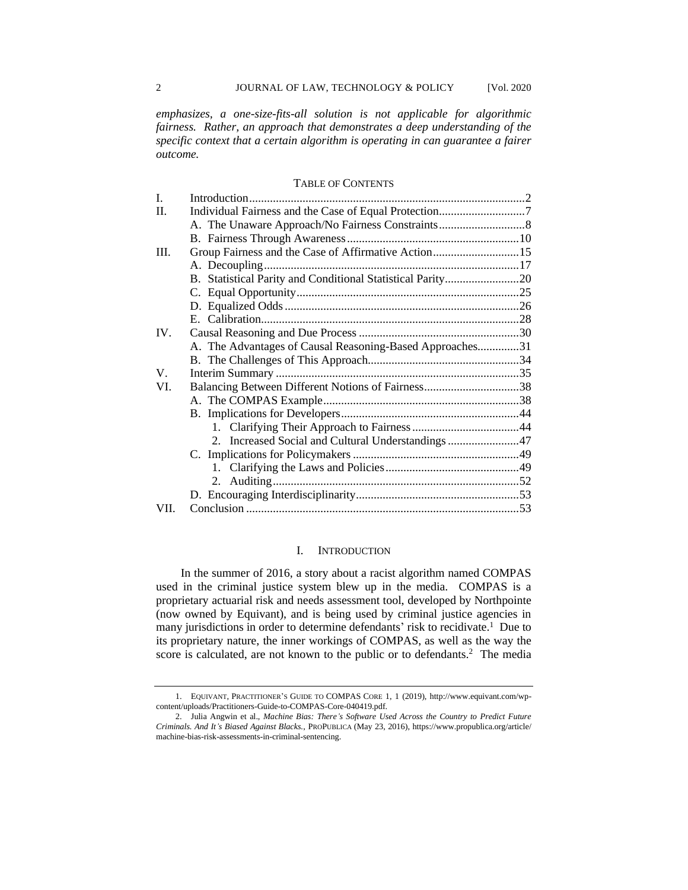*emphasizes, a one-size-fits-all solution is not applicable for algorithmic fairness. Rather, an approach that demonstrates a deep understanding of the specific context that a certain algorithm is operating in can guarantee a fairer outcome.*

#### TABLE OF CONTENTS

| I.   |                                                            |  |
|------|------------------------------------------------------------|--|
| H.   |                                                            |  |
|      |                                                            |  |
|      |                                                            |  |
| III. | Group Fairness and the Case of Affirmative Action15        |  |
|      |                                                            |  |
|      | B. Statistical Parity and Conditional Statistical Parity20 |  |
|      |                                                            |  |
|      |                                                            |  |
|      |                                                            |  |
| IV.  |                                                            |  |
|      | A. The Advantages of Causal Reasoning-Based Approaches31   |  |
|      |                                                            |  |
| V.   |                                                            |  |
| VI.  | Balancing Between Different Notions of Fairness38          |  |
|      |                                                            |  |
|      |                                                            |  |
|      |                                                            |  |
|      | 2. Increased Social and Cultural Understandings 47         |  |
|      |                                                            |  |
|      |                                                            |  |
|      |                                                            |  |
|      |                                                            |  |
| VII. |                                                            |  |

# I. INTRODUCTION

In the summer of 2016, a story about a racist algorithm named COMPAS used in the criminal justice system blew up in the media. COMPAS is a proprietary actuarial risk and needs assessment tool, developed by Northpointe (now owned by Equivant), and is being used by criminal justice agencies in many jurisdictions in order to determine defendants' risk to recidivate.<sup>1</sup> Due to its proprietary nature, the inner workings of COMPAS, as well as the way the score is calculated, are not known to the public or to defendants.<sup>2</sup> The media

<sup>1.</sup> EQUIVANT, PRACTITIONER'S GUIDE TO COMPAS CORE 1, 1 (2019), http://www.equivant.com/wpcontent/uploads/Practitioners-Guide-to-COMPAS-Core-040419.pdf.

<sup>2.</sup> Julia Angwin et al., *Machine Bias: There's Software Used Across the Country to Predict Future Criminals. And It's Biased Against Blacks.*, PROPUBLICA (May 23, 2016), https://www.propublica.org/article/ machine-bias-risk-assessments-in-criminal-sentencing.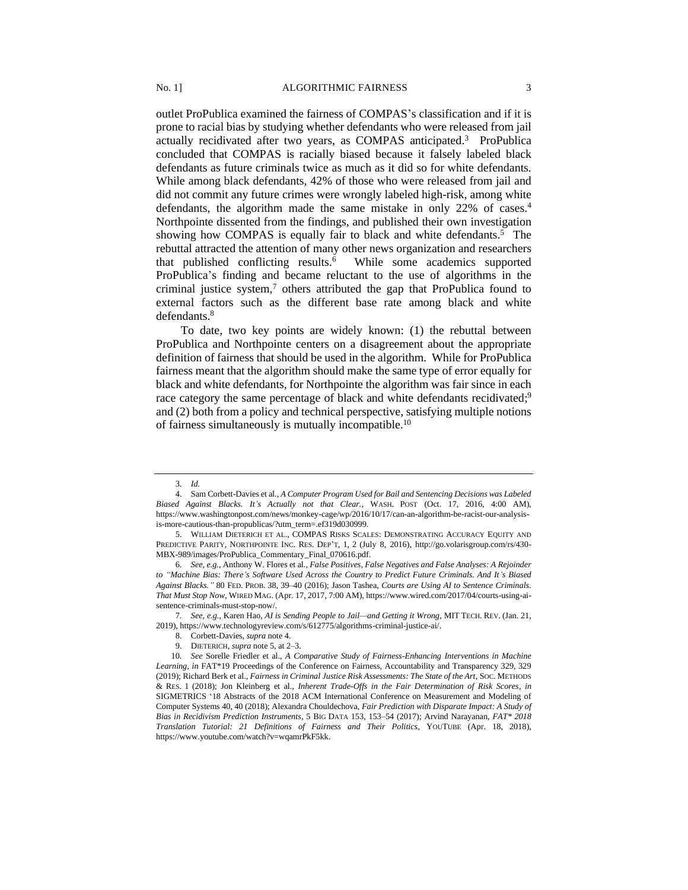outlet ProPublica examined the fairness of COMPAS's classification and if it is prone to racial bias by studying whether defendants who were released from jail actually recidivated after two years, as COMPAS anticipated.<sup>3</sup> ProPublica concluded that COMPAS is racially biased because it falsely labeled black defendants as future criminals twice as much as it did so for white defendants. While among black defendants, 42% of those who were released from jail and did not commit any future crimes were wrongly labeled high-risk, among white defendants, the algorithm made the same mistake in only 22% of cases.<sup>4</sup> Northpointe dissented from the findings, and published their own investigation showing how COMPAS is equally fair to black and white defendants.<sup>5</sup> The rebuttal attracted the attention of many other news organization and researchers that published conflicting results. 6 While some academics supported ProPublica's finding and became reluctant to the use of algorithms in the criminal justice system, $\frac{7}{1}$  others attributed the gap that ProPublica found to external factors such as the different base rate among black and white defendants. 8

To date, two key points are widely known: (1) the rebuttal between ProPublica and Northpointe centers on a disagreement about the appropriate definition of fairness that should be used in the algorithm. While for ProPublica fairness meant that the algorithm should make the same type of error equally for black and white defendants, for Northpointe the algorithm was fair since in each race category the same percentage of black and white defendants recidivated;<sup>9</sup> and (2) both from a policy and technical perspective, satisfying multiple notions of fairness simultaneously is mutually incompatible.<sup>10</sup>

7*. See, e.g.*, Karen Hao, *AI is Sending People to Jail—and Getting it Wrong*, MIT TECH. REV. (Jan. 21, 2019), https://www.technologyreview.com/s/612775/algorithms-criminal-justice-ai/.

9. DIETERICH, *supra* note 5, at 2–3.

<sup>3</sup>*. Id.*

<sup>4.</sup> Sam Corbett-Davies et al., *A Computer Program Used for Bail and Sentencing Decisions was Labeled Biased Against Blacks. It's Actually not that Clear.*, WASH. POST (Oct. 17, 2016, 4:00 AM), https://www.washingtonpost.com/news/monkey-cage/wp/2016/10/17/can-an-algorithm-be-racist-our-analysisis-more-cautious-than-propublicas/?utm\_term=.ef319d030999.

<sup>5.</sup> WILLIAM DIETERICH ET AL., COMPAS RISKS SCALES: DEMONSTRATING ACCURACY EQUITY AND PREDICTIVE PARITY, NORTHPOINTE INC. RES. DEP'T, 1, 2 (July 8, 2016), http://go.volarisgroup.com/rs/430- MBX-989/images/ProPublica\_Commentary\_Final\_070616.pdf.

<sup>6</sup>*. See, e.g.*, Anthony W. Flores et al*., False Positives, False Negatives and False Analyses: A Rejoinder to "Machine Bias: There's Software Used Across the Country to Predict Future Criminals. And It's Biased Against Blacks."* 80 FED. PROB. 38, 39–40 (2016); Jason Tashea, *Courts are Using AI to Sentence Criminals. That Must Stop Now*, WIRED MAG. (Apr. 17, 2017, 7:00 AM), https://www.wired.com/2017/04/courts-using-aisentence-criminals-must-stop-now/.

<sup>8.</sup> Corbett-Davies, *supra* note 4.

<sup>10</sup>*. See* Sorelle Friedler et al., *A Comparative Study of Fairness-Enhancing Interventions in Machine Learning*, *in* FAT\*19 Proceedings of the Conference on Fairness, Accountability and Transparency 329, 329 (2019); Richard Berk et al., *Fairness in Criminal Justice Risk Assessments: The State of the Art*, SOC. METHODS & RES. 1 (2018); Jon Kleinberg et al., *Inherent Trade-Offs in the Fair Determination of Risk Scores*, *in*  SIGMETRICS '18 Abstracts of the 2018 ACM International Conference on Measurement and Modeling of Computer Systems 40, 40 (2018); Alexandra Chouldechova, *Fair Prediction with Disparate Impact: A Study of Bias in Recidivism Prediction Instruments*, 5 BIG DATA 153, 153–54 (2017); Arvind Narayanan, *FAT\* 2018 Translation Tutorial: 21 Definitions of Fairness and Their Politics*, YOUTUBE (Apr. 18, 2018), https://www.youtube.com/watch?v=wqamrPkF5kk.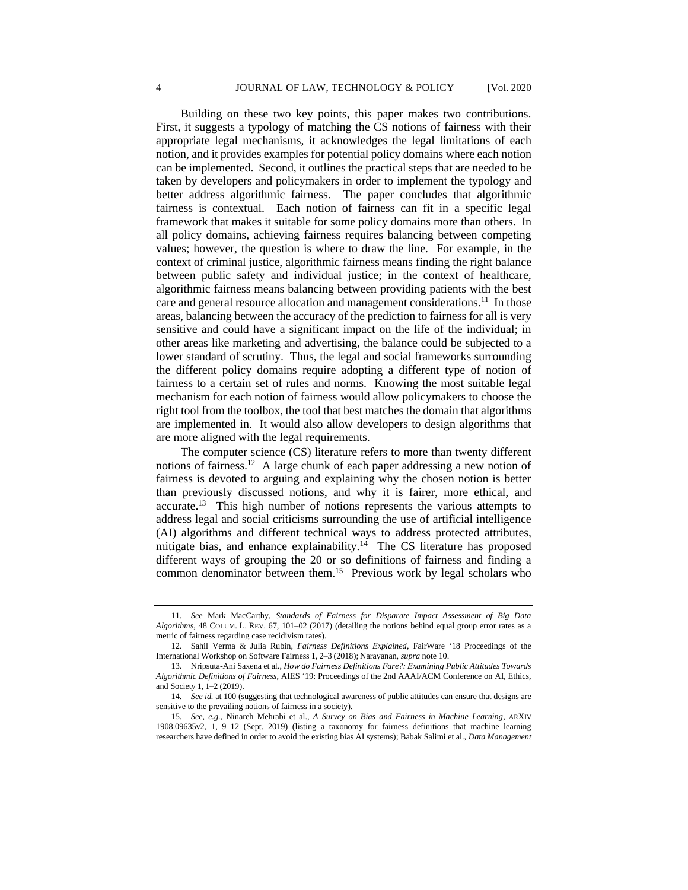Building on these two key points, this paper makes two contributions. First, it suggests a typology of matching the CS notions of fairness with their appropriate legal mechanisms, it acknowledges the legal limitations of each notion, and it provides examples for potential policy domains where each notion can be implemented. Second, it outlines the practical steps that are needed to be taken by developers and policymakers in order to implement the typology and better address algorithmic fairness. The paper concludes that algorithmic fairness is contextual. Each notion of fairness can fit in a specific legal framework that makes it suitable for some policy domains more than others. In all policy domains, achieving fairness requires balancing between competing values; however, the question is where to draw the line. For example, in the context of criminal justice, algorithmic fairness means finding the right balance between public safety and individual justice; in the context of healthcare, algorithmic fairness means balancing between providing patients with the best care and general resource allocation and management considerations.<sup>11</sup> In those areas, balancing between the accuracy of the prediction to fairness for all is very sensitive and could have a significant impact on the life of the individual; in other areas like marketing and advertising, the balance could be subjected to a lower standard of scrutiny. Thus, the legal and social frameworks surrounding the different policy domains require adopting a different type of notion of fairness to a certain set of rules and norms. Knowing the most suitable legal mechanism for each notion of fairness would allow policymakers to choose the right tool from the toolbox, the tool that best matches the domain that algorithms are implemented in. It would also allow developers to design algorithms that are more aligned with the legal requirements.

The computer science (CS) literature refers to more than twenty different notions of fairness. 12 A large chunk of each paper addressing a new notion of fairness is devoted to arguing and explaining why the chosen notion is better than previously discussed notions, and why it is fairer, more ethical, and accurate.<sup>13</sup> This high number of notions represents the various attempts to address legal and social criticisms surrounding the use of artificial intelligence (AI) algorithms and different technical ways to address protected attributes, mitigate bias, and enhance explainability.<sup>14</sup> The CS literature has proposed different ways of grouping the 20 or so definitions of fairness and finding a common denominator between them.<sup>15</sup> Previous work by legal scholars who

<sup>11</sup>*. See* Mark MacCarthy, *Standards of Fairness for Disparate Impact Assessment of Big Data Algorithms*, 48 COLUM. L. REV. 67, 101–02 (2017) (detailing the notions behind equal group error rates as a metric of fairness regarding case recidivism rates).

<sup>12.</sup> Sahil Verma & Julia Rubin, *Fairness Definitions Explained*, FairWare '18 Proceedings of the International Workshop on Software Fairness 1, 2–3 (2018); Narayanan, *supra* note 10.

<sup>13.</sup> Nripsuta-Ani Saxena et al., *How do Fairness Definitions Fare?: Examining Public Attitudes Towards Algorithmic Definitions of Fairness*, AIES '19: Proceedings of the 2nd AAAI/ACM Conference on AI, Ethics, and Society 1, 1–2 (2019).

<sup>14</sup>*. See id.* at 100 (suggesting that technological awareness of public attitudes can ensure that designs are sensitive to the prevailing notions of fairness in a society).

<sup>15</sup>*. See, e.g.*, Ninareh Mehrabi et al., *A Survey on Bias and Fairness in Machine Learning*, ARXIV 1908.09635v2, 1, 9–12 (Sept. 2019) (listing a taxonomy for fairness definitions that machine learning researchers have defined in order to avoid the existing bias AI systems); Babak Salimi et al., *Data Management*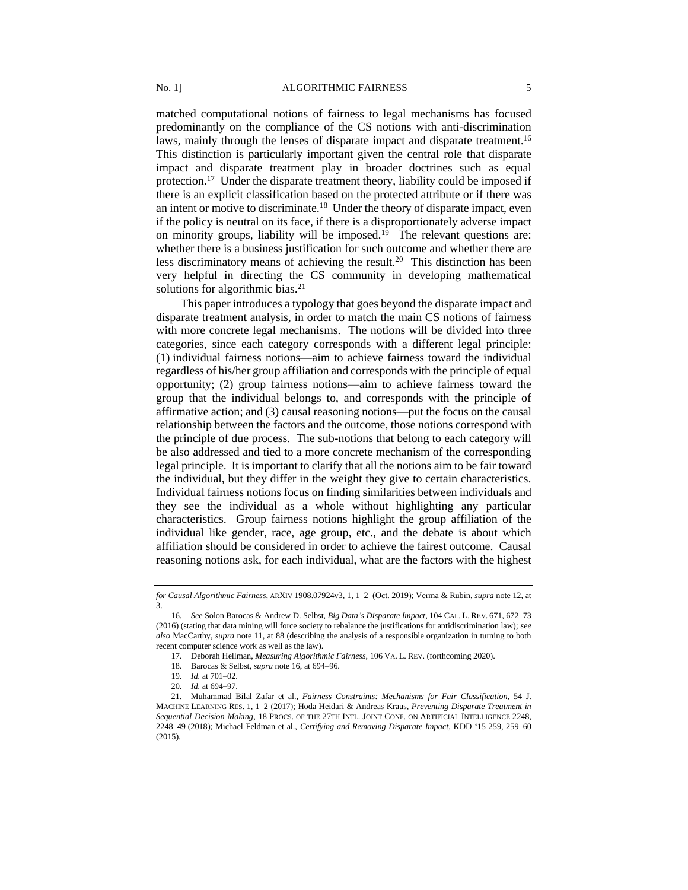<span id="page-4-0"></span>matched computational notions of fairness to legal mechanisms has focused predominantly on the compliance of the CS notions with anti-discrimination laws, mainly through the lenses of disparate impact and disparate treatment.<sup>16</sup> This distinction is particularly important given the central role that disparate impact and disparate treatment play in broader doctrines such as equal protection.<sup>17</sup> Under the disparate treatment theory, liability could be imposed if there is an explicit classification based on the protected attribute or if there was an intent or motive to discriminate.<sup>18</sup> Under the theory of disparate impact, even if the policy is neutral on its face, if there is a disproportionately adverse impact on minority groups, liability will be imposed.<sup>19</sup> The relevant questions are: whether there is a business justification for such outcome and whether there are less discriminatory means of achieving the result.<sup>20</sup> This distinction has been very helpful in directing the CS community in developing mathematical solutions for algorithmic bias.<sup>21</sup>

This paper introduces a typology that goes beyond the disparate impact and disparate treatment analysis, in order to match the main CS notions of fairness with more concrete legal mechanisms. The notions will be divided into three categories, since each category corresponds with a different legal principle: (1) individual fairness notions—aim to achieve fairness toward the individual regardless of his/her group affiliation and corresponds with the principle of equal opportunity; (2) group fairness notions—aim to achieve fairness toward the group that the individual belongs to, and corresponds with the principle of affirmative action; and (3) causal reasoning notions—put the focus on the causal relationship between the factors and the outcome, those notions correspond with the principle of due process. The sub-notions that belong to each category will be also addressed and tied to a more concrete mechanism of the corresponding legal principle. It is important to clarify that all the notions aim to be fair toward the individual, but they differ in the weight they give to certain characteristics. Individual fairness notions focus on finding similarities between individuals and they see the individual as a whole without highlighting any particular characteristics. Group fairness notions highlight the group affiliation of the individual like gender, race, age group, etc., and the debate is about which affiliation should be considered in order to achieve the fairest outcome. Causal reasoning notions ask, for each individual, what are the factors with the highest

*for Causal Algorithmic Fairness*, ARXIV 1908.07924v3, 1, 1–2 (Oct. 2019); Verma & Rubin, *supra* note 12, at 3.

<sup>16</sup>*. See* Solon Barocas & Andrew D. Selbst, *Big Data's Disparate Impact*, 104 CAL. L. REV. 671, 672–73 (2016) (stating that data mining will force society to rebalance the justifications for antidiscrimination law); *see also* MacCarthy, *supra* note 11, at 88 (describing the analysis of a responsible organization in turning to both recent computer science work as well as the law).

<sup>17.</sup> Deborah Hellman, *Measuring Algorithmic Fairness*, 106 VA. L. REV. (forthcoming 2020).

<sup>18.</sup> Barocas & Selbst, *supra* note 16, at 694–96.

<sup>19.</sup> *Id.* at 701–02.

<sup>20</sup>*. Id.* at 694–97.

<sup>21.</sup> Muhammad Bilal Zafar et al., *Fairness Constraints: Mechanisms for Fair Classification*, 54 J. MACHINE LEARNING RES. 1, 1–2 (2017); Hoda Heidari & Andreas Kraus, *Preventing Disparate Treatment in Sequential Decision Making*, 18 PROCS. OF THE 27TH INTL. JOINT CONF. ON ARTIFICIAL INTELLIGENCE 2248, 2248–49 (2018); Michael Feldman et al., *Certifying and Removing Disparate Impact*, KDD '15 259, 259–60 (2015).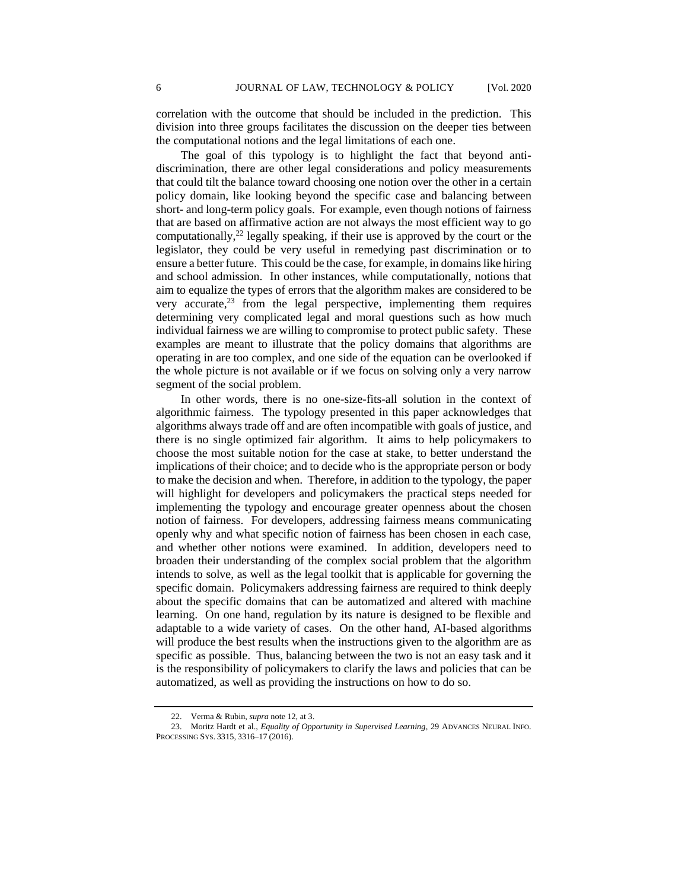correlation with the outcome that should be included in the prediction. This division into three groups facilitates the discussion on the deeper ties between the computational notions and the legal limitations of each one.

The goal of this typology is to highlight the fact that beyond antidiscrimination, there are other legal considerations and policy measurements that could tilt the balance toward choosing one notion over the other in a certain policy domain, like looking beyond the specific case and balancing between short- and long-term policy goals. For example, even though notions of fairness that are based on affirmative action are not always the most efficient way to go computationally, <sup>22</sup> legally speaking, if their use is approved by the court or the legislator, they could be very useful in remedying past discrimination or to ensure a better future. This could be the case, for example, in domains like hiring and school admission. In other instances, while computationally, notions that aim to equalize the types of errors that the algorithm makes are considered to be very accurate, $^{23}$  from the legal perspective, implementing them requires determining very complicated legal and moral questions such as how much individual fairness we are willing to compromise to protect public safety. These examples are meant to illustrate that the policy domains that algorithms are operating in are too complex, and one side of the equation can be overlooked if the whole picture is not available or if we focus on solving only a very narrow segment of the social problem.

In other words, there is no one-size-fits-all solution in the context of algorithmic fairness. The typology presented in this paper acknowledges that algorithms always trade off and are often incompatible with goals of justice, and there is no single optimized fair algorithm. It aims to help policymakers to choose the most suitable notion for the case at stake, to better understand the implications of their choice; and to decide who is the appropriate person or body to make the decision and when. Therefore, in addition to the typology, the paper will highlight for developers and policymakers the practical steps needed for implementing the typology and encourage greater openness about the chosen notion of fairness. For developers, addressing fairness means communicating openly why and what specific notion of fairness has been chosen in each case, and whether other notions were examined. In addition, developers need to broaden their understanding of the complex social problem that the algorithm intends to solve, as well as the legal toolkit that is applicable for governing the specific domain. Policymakers addressing fairness are required to think deeply about the specific domains that can be automatized and altered with machine learning. On one hand, regulation by its nature is designed to be flexible and adaptable to a wide variety of cases. On the other hand, AI-based algorithms will produce the best results when the instructions given to the algorithm are as specific as possible. Thus, balancing between the two is not an easy task and it is the responsibility of policymakers to clarify the laws and policies that can be automatized, as well as providing the instructions on how to do so.

Verma & Rubin, *supra* note 12, at 3.

<sup>23.</sup> Moritz Hardt et al., *Equality of Opportunity in Supervised Learning*, 29 ADVANCES NEURAL INFO. PROCESSING SYS. 3315, 3316–17 (2016).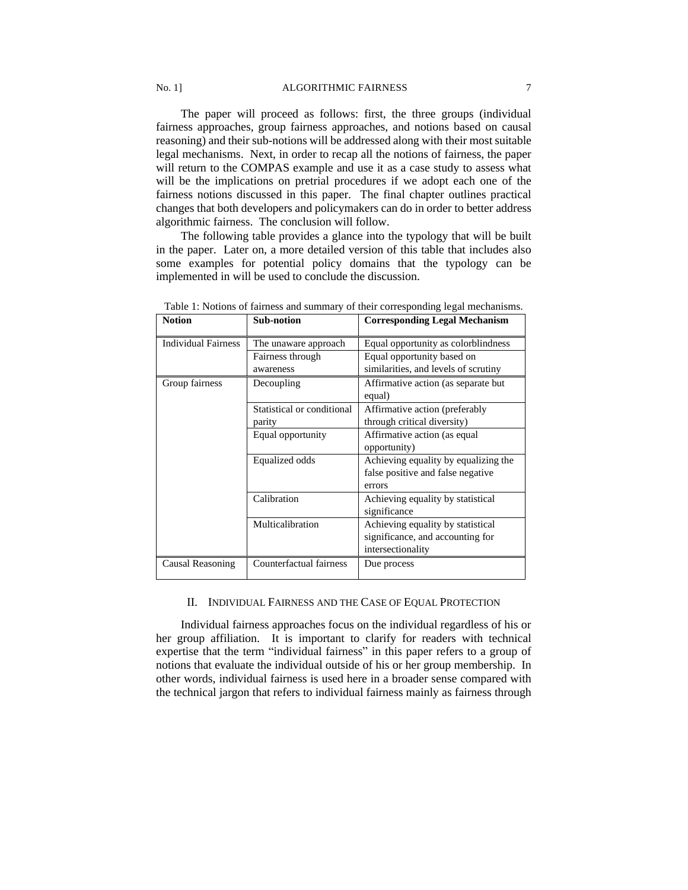# No. 1] ALGORITHMIC FAIRNESS 7

The paper will proceed as follows: first, the three groups (individual fairness approaches, group fairness approaches, and notions based on causal reasoning) and their sub-notions will be addressed along with their most suitable legal mechanisms. Next, in order to recap all the notions of fairness, the paper will return to the COMPAS example and use it as a case study to assess what will be the implications on pretrial procedures if we adopt each one of the fairness notions discussed in this paper. The final chapter outlines practical changes that both developers and policymakers can do in order to better address algorithmic fairness. The conclusion will follow.

The following table provides a glance into the typology that will be built in the paper. Later on, a more detailed version of this table that includes also some examples for potential policy domains that the typology can be implemented in will be used to conclude the discussion.

| <b>Notion</b>              | <b>Sub-notion</b>          | <b>Corresponding Legal Mechanism</b> |
|----------------------------|----------------------------|--------------------------------------|
| <b>Individual Fairness</b> | The unaware approach       | Equal opportunity as colorblindness  |
|                            | Fairness through           | Equal opportunity based on           |
|                            | awareness                  | similarities, and levels of scrutiny |
| Group fairness             | Decoupling                 | Affirmative action (as separate but) |
|                            |                            | equal)                               |
|                            | Statistical or conditional | Affirmative action (preferably       |
|                            | parity                     | through critical diversity)          |
|                            | Equal opportunity          | Affirmative action (as equal         |
|                            |                            | opportunity)                         |
|                            | Equalized odds             | Achieving equality by equalizing the |
|                            |                            | false positive and false negative    |
|                            |                            | errors                               |
|                            | Calibration                | Achieving equality by statistical    |
|                            |                            | significance                         |
|                            | Multicalibration           | Achieving equality by statistical    |
|                            |                            | significance, and accounting for     |
|                            |                            | intersectionality                    |
| Causal Reasoning           | Counterfactual fairness    | Due process                          |

Table 1: Notions of fairness and summary of their corresponding legal mechanisms.

#### II. INDIVIDUAL FAIRNESS AND THE CASE OF EQUAL PROTECTION

Individual fairness approaches focus on the individual regardless of his or her group affiliation. It is important to clarify for readers with technical expertise that the term "individual fairness" in this paper refers to a group of notions that evaluate the individual outside of his or her group membership. In other words, individual fairness is used here in a broader sense compared with the technical jargon that refers to individual fairness mainly as fairness through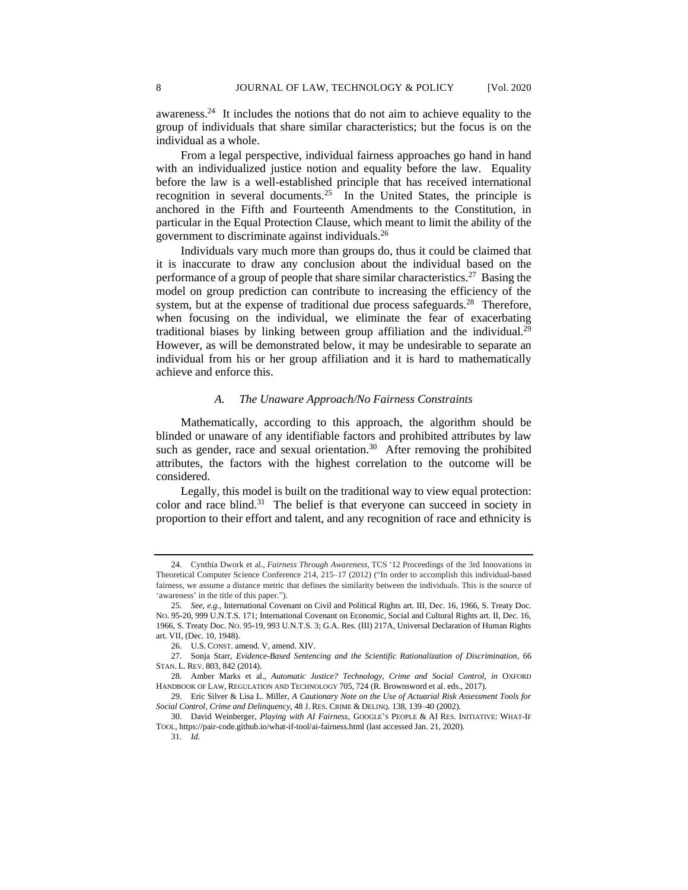awareness.<sup>24</sup> It includes the notions that do not aim to achieve equality to the group of individuals that share similar characteristics; but the focus is on the individual as a whole.

From a legal perspective, individual fairness approaches go hand in hand with an individualized justice notion and equality before the law. Equality before the law is a well-established principle that has received international recognition in several documents.<sup>25</sup> In the United States, the principle is anchored in the Fifth and Fourteenth Amendments to the Constitution, in particular in the Equal Protection Clause, which meant to limit the ability of the government to discriminate against individuals.<sup>26</sup>

Individuals vary much more than groups do, thus it could be claimed that it is inaccurate to draw any conclusion about the individual based on the performance of a group of people that share similar characteristics.<sup>27</sup> Basing the model on group prediction can contribute to increasing the efficiency of the system, but at the expense of traditional due process safeguards.<sup>28</sup> Therefore, when focusing on the individual, we eliminate the fear of exacerbating traditional biases by linking between group affiliation and the individual.<sup>29</sup> However, as will be demonstrated below, it may be undesirable to separate an individual from his or her group affiliation and it is hard to mathematically achieve and enforce this.

## *A. The Unaware Approach/No Fairness Constraints*

Mathematically, according to this approach, the algorithm should be blinded or unaware of any identifiable factors and prohibited attributes by law such as gender, race and sexual orientation. $30$  After removing the prohibited attributes, the factors with the highest correlation to the outcome will be considered.

Legally, this model is built on the traditional way to view equal protection: color and race blind.<sup>31</sup> The belief is that everyone can succeed in society in proportion to their effort and talent, and any recognition of race and ethnicity is

<sup>24.</sup> Cynthia Dwork et al., *Fairness Through Awareness*, TCS '12 Proceedings of the 3rd Innovations in Theoretical Computer Science Conference 214, 215–17 (2012) ("In order to accomplish this individual-based fairness, we assume a distance metric that defines the similarity between the individuals. This is the source of 'awareness' in the title of this paper.").

<sup>25</sup>*. See, e.g.*, International Covenant on Civil and Political Rights art. III, Dec. 16, 1966, S. Treaty Doc. NO. 95-20, 999 U.N.T.S. 171; International Covenant on Economic, Social and Cultural Rights art. II, Dec. 16, 1966, S. Treaty Doc. NO. 95-19, 993 U.N.T.S. 3; G.A. Res. (III) 217A, Universal Declaration of Human Rights art. VII, (Dec. 10, 1948).

<sup>26.</sup> U.S. CONST. amend. V, amend. XIV.

<sup>27.</sup> Sonja Starr, *Evidence-Based Sentencing and the Scientific Rationalization of Discrimination*, 66 STAN. L. REV. 803, 842 (2014).

<sup>28.</sup> Amber Marks et al., *Automatic Justice? Technology, Crime and Social Control*, *in* OXFORD HANDBOOK OF LAW, REGULATION AND TECHNOLOGY 705, 724 (R. Brownsword et al. eds., 2017).

<sup>29.</sup> Eric Silver & Lisa L. Miller, *A Cautionary Note on the Use of Actuarial Risk Assessment Tools for Social Control, Crime and Delinquency*, 48 J. RES. CRIME & DELINQ. 138, 139–40 (2002).

<sup>30.</sup> David Weinberger, *Playing with AI Fairness*, GOOGLE'S PEOPLE & AI RES. INITIATIVE: WHAT-IF TOOL, https://pair-code.github.io/what-if-tool/ai-fairness.html (last accessed Jan. 21, 2020). 31*. Id*.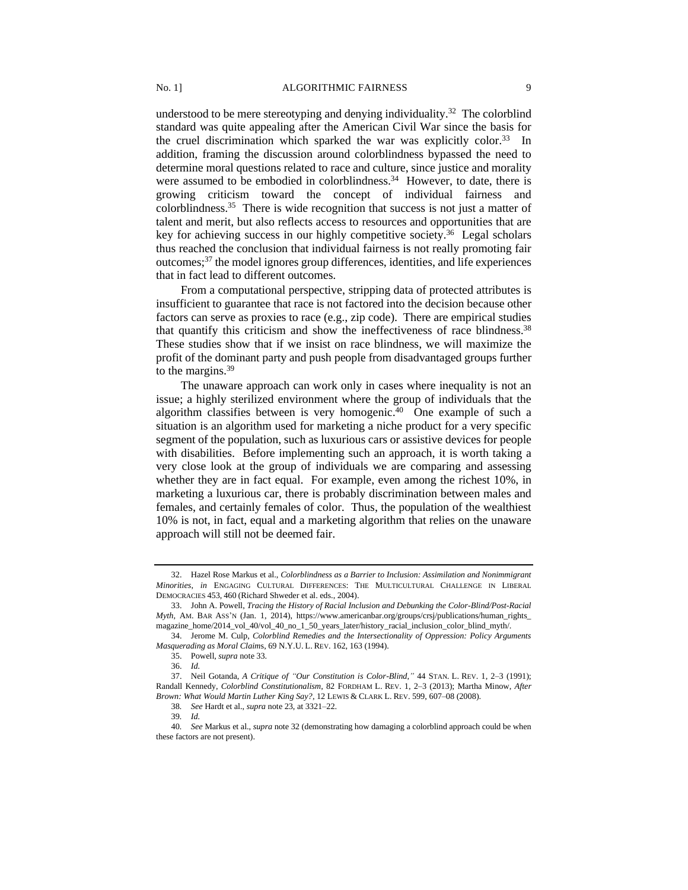understood to be mere stereotyping and denying individuality.<sup>32</sup> The colorblind standard was quite appealing after the American Civil War since the basis for the cruel discrimination which sparked the war was explicitly color.<sup>33</sup> In addition, framing the discussion around colorblindness bypassed the need to determine moral questions related to race and culture, since justice and morality were assumed to be embodied in colorblindness.<sup>34</sup> However, to date, there is growing criticism toward the concept of individual fairness and colorblindness.<sup>35</sup> There is wide recognition that success is not just a matter of talent and merit, but also reflects access to resources and opportunities that are key for achieving success in our highly competitive society.<sup>36</sup> Legal scholars thus reached the conclusion that individual fairness is not really promoting fair outcomes;<sup>37</sup> the model ignores group differences, identities, and life experiences that in fact lead to different outcomes.

From a computational perspective, stripping data of protected attributes is insufficient to guarantee that race is not factored into the decision because other factors can serve as proxies to race (e.g., zip code). There are empirical studies that quantify this criticism and show the ineffectiveness of race blindness.<sup>38</sup> These studies show that if we insist on race blindness, we will maximize the profit of the dominant party and push people from disadvantaged groups further to the margins. $39$ 

The unaware approach can work only in cases where inequality is not an issue; a highly sterilized environment where the group of individuals that the algorithm classifies between is very homogenic.<sup>40</sup> One example of such a situation is an algorithm used for marketing a niche product for a very specific segment of the population, such as luxurious cars or assistive devices for people with disabilities. Before implementing such an approach, it is worth taking a very close look at the group of individuals we are comparing and assessing whether they are in fact equal. For example, even among the richest 10%, in marketing a luxurious car, there is probably discrimination between males and females, and certainly females of color. Thus, the population of the wealthiest 10% is not, in fact, equal and a marketing algorithm that relies on the unaware approach will still not be deemed fair.

<sup>32.</sup> Hazel Rose Markus et al., *Colorblindness as a Barrier to Inclusion: Assimilation and Nonimmigrant Minorities*, *in* ENGAGING CULTURAL DIFFERENCES: THE MULTICULTURAL CHALLENGE IN LIBERAL DEMOCRACIES 453, 460 (Richard Shweder et al. eds., 2004).

<sup>33.</sup> John A. Powell, *Tracing the History of Racial Inclusion and Debunking the Color-Blind/Post-Racial Myth,* AM. BAR ASS'N (Jan. 1, 2014), https://www.americanbar.org/groups/crsj/publications/human\_rights\_ magazine\_home/2014\_vol\_40/vol\_40\_no\_1\_50\_years\_later/history\_racial\_inclusion\_color\_blind\_myth/.

<sup>34.</sup> Jerome M. Culp, *Colorblind Remedies and the Intersectionality of Oppression: Policy Arguments Masquerading as Moral Claim*s, 69 N.Y.U. L. REV. 162, 163 (1994).

<sup>35.</sup> Powell, *supra* note 33.

<sup>36.</sup> *Id.*

<sup>37.</sup> Neil Gotanda, *A Critique of "Our Constitution is Color-Blind*,*"* 44 STAN. L. REV. 1, 2–3 (1991); Randall Kennedy, *Colorblind Constitutionalism*, 82 FORDHAM L. REV. 1, 2–3 (2013); Martha Minow, *After Brown: What Would Martin Luther King Say?*, 12 LEWIS & CLARK L. REV. 599, 607–08 (2008).

<sup>38</sup>*. See* Hardt et al., *supra* note 23, at 3321–22.

<sup>39</sup>*. Id.*

<sup>40</sup>*. See* Markus et al., *supra* note 32 (demonstrating how damaging a colorblind approach could be when these factors are not present).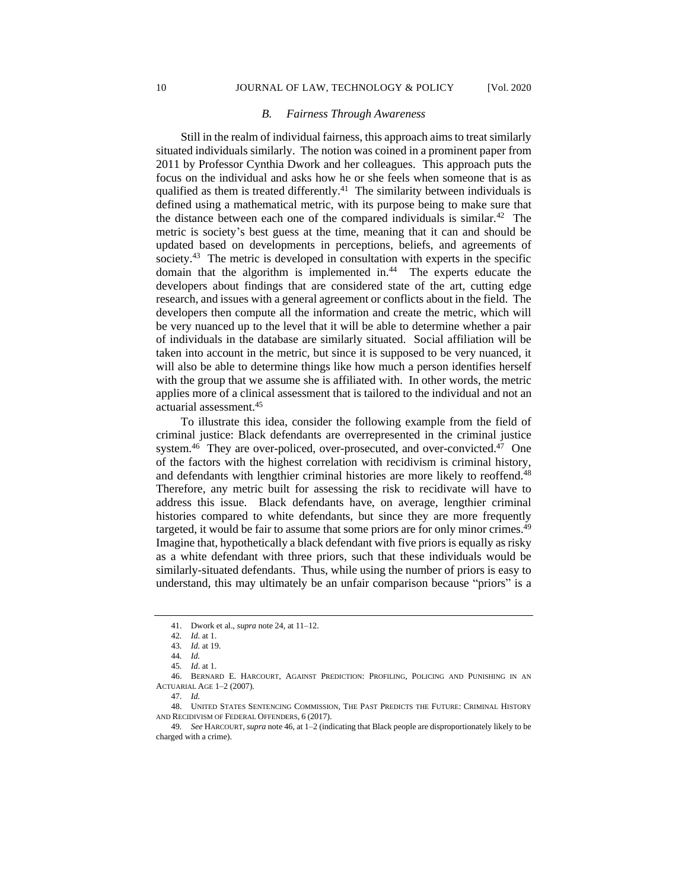#### *B. Fairness Through Awareness*

Still in the realm of individual fairness, this approach aims to treat similarly situated individuals similarly. The notion was coined in a prominent paper from 2011 by Professor Cynthia Dwork and her colleagues. This approach puts the focus on the individual and asks how he or she feels when someone that is as qualified as them is treated differently.<sup>41</sup> The similarity between individuals is defined using a mathematical metric, with its purpose being to make sure that the distance between each one of the compared individuals is similar.<sup>42</sup> The metric is society's best guess at the time, meaning that it can and should be updated based on developments in perceptions, beliefs, and agreements of society.<sup>43</sup> The metric is developed in consultation with experts in the specific domain that the algorithm is implemented in.<sup>44</sup> The experts educate the developers about findings that are considered state of the art, cutting edge research, and issues with a general agreement or conflicts about in the field. The developers then compute all the information and create the metric, which will be very nuanced up to the level that it will be able to determine whether a pair of individuals in the database are similarly situated. Social affiliation will be taken into account in the metric, but since it is supposed to be very nuanced, it will also be able to determine things like how much a person identifies herself with the group that we assume she is affiliated with. In other words, the metric applies more of a clinical assessment that is tailored to the individual and not an actuarial assessment.<sup>45</sup>

To illustrate this idea, consider the following example from the field of criminal justice: Black defendants are overrepresented in the criminal justice system.<sup>46</sup> They are over-policed, over-prosecuted, and over-convicted.<sup>47</sup> One of the factors with the highest correlation with recidivism is criminal history, and defendants with lengthier criminal histories are more likely to reoffend.<sup>48</sup> Therefore, any metric built for assessing the risk to recidivate will have to address this issue. Black defendants have, on average, lengthier criminal histories compared to white defendants, but since they are more frequently targeted, it would be fair to assume that some priors are for only minor crimes.<sup>49</sup> Imagine that, hypothetically a black defendant with five priors is equally as risky as a white defendant with three priors, such that these individuals would be similarly-situated defendants. Thus, while using the number of priors is easy to understand, this may ultimately be an unfair comparison because "priors" is a

<sup>41.</sup> Dwork et al., *supra* note 24, at 11–12.

<sup>42</sup>*. Id.* at 1.

<sup>43</sup>*. Id.* at 19.

<sup>44</sup>*. Id.*

<sup>45</sup>*. Id*. at 1.

<sup>46.</sup> BERNARD E. HARCOURT, AGAINST PREDICTION: PROFILING, POLICING AND PUNISHING IN AN ACTUARIAL AGE 1–2 (2007).

<sup>47</sup>*. Id.*

<sup>48.</sup> UNITED STATES SENTENCING COMMISSION, THE PAST PREDICTS THE FUTURE: CRIMINAL HISTORY AND RECIDIVISM OF FEDERAL OFFENDERS, 6 (2017).

<sup>49</sup>*. See* HARCOURT, *supra* note 46, at 1–2 (indicating that Black people are disproportionately likely to be charged with a crime).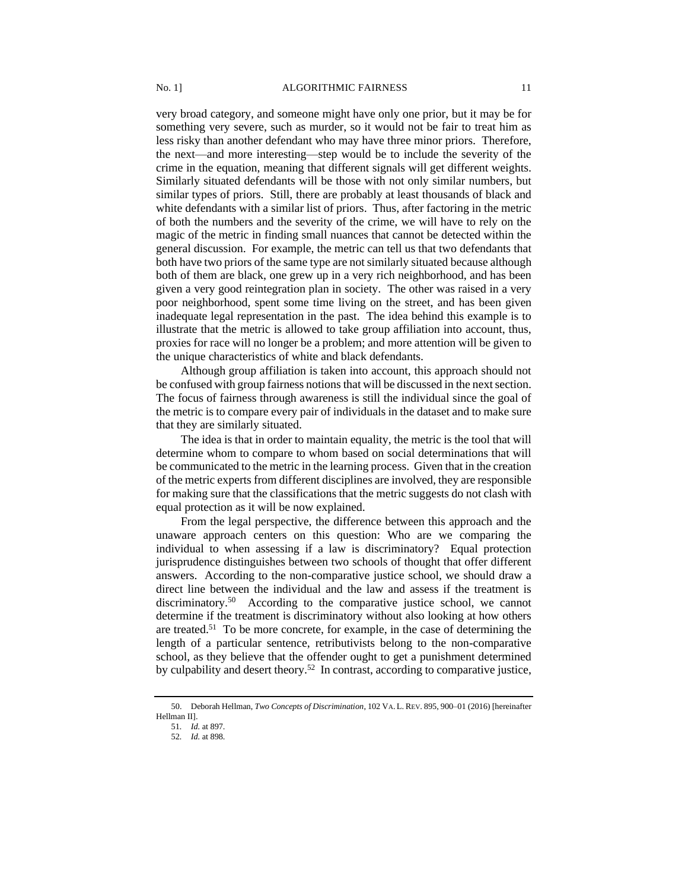very broad category, and someone might have only one prior, but it may be for something very severe, such as murder, so it would not be fair to treat him as less risky than another defendant who may have three minor priors. Therefore, the next—and more interesting—step would be to include the severity of the crime in the equation, meaning that different signals will get different weights. Similarly situated defendants will be those with not only similar numbers, but similar types of priors. Still, there are probably at least thousands of black and white defendants with a similar list of priors. Thus, after factoring in the metric of both the numbers and the severity of the crime, we will have to rely on the magic of the metric in finding small nuances that cannot be detected within the general discussion. For example, the metric can tell us that two defendants that both have two priors of the same type are not similarly situated because although both of them are black, one grew up in a very rich neighborhood, and has been given a very good reintegration plan in society. The other was raised in a very poor neighborhood, spent some time living on the street, and has been given inadequate legal representation in the past. The idea behind this example is to illustrate that the metric is allowed to take group affiliation into account, thus, proxies for race will no longer be a problem; and more attention will be given to the unique characteristics of white and black defendants.

Although group affiliation is taken into account, this approach should not be confused with group fairness notions that will be discussed in the next section. The focus of fairness through awareness is still the individual since the goal of the metric is to compare every pair of individuals in the dataset and to make sure that they are similarly situated.

The idea is that in order to maintain equality, the metric is the tool that will determine whom to compare to whom based on social determinations that will be communicated to the metric in the learning process. Given that in the creation of the metric experts from different disciplines are involved, they are responsible for making sure that the classifications that the metric suggests do not clash with equal protection as it will be now explained.

From the legal perspective, the difference between this approach and the unaware approach centers on this question: Who are we comparing the individual to when assessing if a law is discriminatory? Equal protection jurisprudence distinguishes between two schools of thought that offer different answers. According to the non-comparative justice school, we should draw a direct line between the individual and the law and assess if the treatment is discriminatory.<sup>50</sup> According to the comparative justice school, we cannot determine if the treatment is discriminatory without also looking at how others are treated.<sup>51</sup> To be more concrete, for example, in the case of determining the length of a particular sentence, retributivists belong to the non-comparative school, as they believe that the offender ought to get a punishment determined by culpability and desert theory.<sup>52</sup> In contrast, according to comparative justice,

<sup>50.</sup> Deborah Hellman, *Two Concepts of Discrimination*, 102 VA. L. REV. 895, 900–01 (2016) [hereinafter Hellman II].

<sup>51</sup>*. Id.* at 897.

<sup>52</sup>*. Id.* at 898.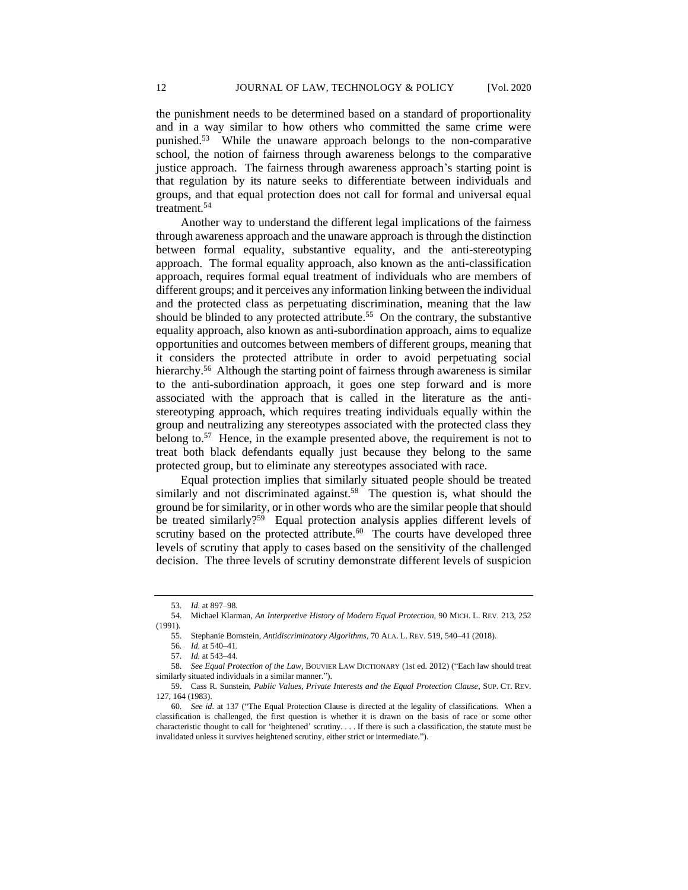the punishment needs to be determined based on a standard of proportionality and in a way similar to how others who committed the same crime were punished.<sup>53</sup> While the unaware approach belongs to the non-comparative school, the notion of fairness through awareness belongs to the comparative justice approach. The fairness through awareness approach's starting point is that regulation by its nature seeks to differentiate between individuals and groups, and that equal protection does not call for formal and universal equal treatment.<sup>54</sup>

Another way to understand the different legal implications of the fairness through awareness approach and the unaware approach is through the distinction between formal equality, substantive equality, and the anti-stereotyping approach. The formal equality approach, also known as the anti-classification approach, requires formal equal treatment of individuals who are members of different groups; and it perceives any information linking between the individual and the protected class as perpetuating discrimination, meaning that the law should be blinded to any protected attribute.<sup>55</sup> On the contrary, the substantive equality approach, also known as anti-subordination approach, aims to equalize opportunities and outcomes between members of different groups, meaning that it considers the protected attribute in order to avoid perpetuating social hierarchy.<sup>56</sup> Although the starting point of fairness through awareness is similar to the anti-subordination approach, it goes one step forward and is more associated with the approach that is called in the literature as the antistereotyping approach, which requires treating individuals equally within the group and neutralizing any stereotypes associated with the protected class they belong to. $57$  Hence, in the example presented above, the requirement is not to treat both black defendants equally just because they belong to the same protected group, but to eliminate any stereotypes associated with race.

Equal protection implies that similarly situated people should be treated similarly and not discriminated against.<sup>58</sup> The question is, what should the ground be for similarity, or in other words who are the similar people that should be treated similarly?<sup>59</sup> Equal protection analysis applies different levels of scrutiny based on the protected attribute. $60$  The courts have developed three levels of scrutiny that apply to cases based on the sensitivity of the challenged decision. The three levels of scrutiny demonstrate different levels of suspicion

<sup>53</sup>*. Id.* at 897–98.

<sup>54.</sup> Michael Klarman, *An Interpretive History of Modern Equal Protection*, 90 MICH. L. REV. 213, 252 (1991).

<sup>55.</sup> Stephanie Bornstein, *Antidiscriminatory Algorithms*, 70 ALA. L. REV. 519, 540–41 (2018).

<sup>56</sup>*. Id.* at 540–41.

<sup>57</sup>*. Id.* at 543–44.

<sup>58</sup>*. See Equal Protection of the Law*, BOUVIER LAW DICTIONARY (1st ed. 2012) ("Each law should treat similarly situated individuals in a similar manner.").

<sup>59.</sup> Cass R. Sunstein, *Public Values, Private Interests and the Equal Protection Clause*, SUP. CT. REV. 127, 164 (1983).

<sup>60</sup>*. See id.* at 137 ("The Equal Protection Clause is directed at the legality of classifications. When a classification is challenged, the first question is whether it is drawn on the basis of race or some other characteristic thought to call for 'heightened' scrutiny. . . . If there is such a classification, the statute must be invalidated unless it survives heightened scrutiny, either strict or intermediate.").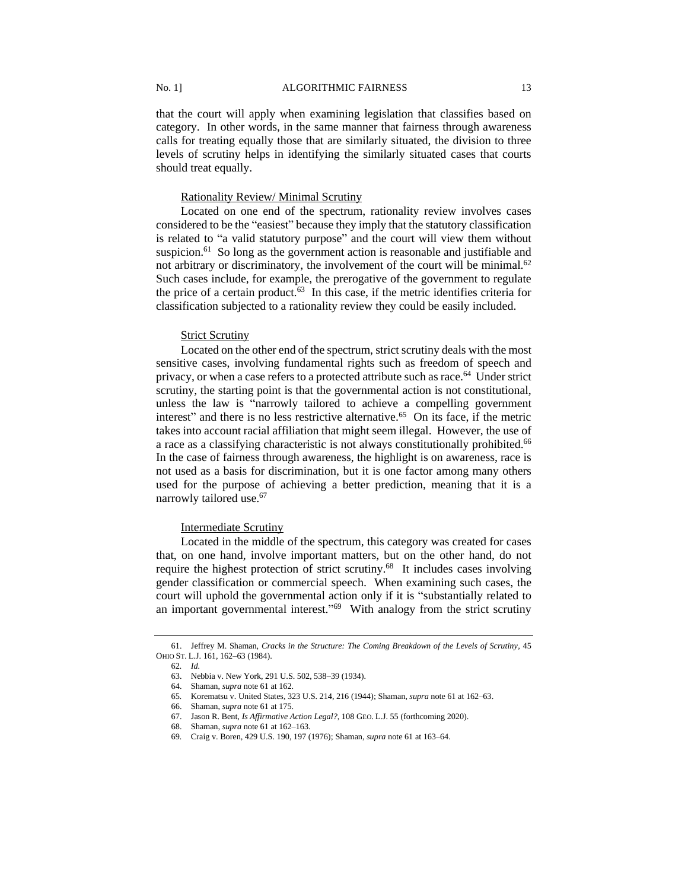that the court will apply when examining legislation that classifies based on category. In other words, in the same manner that fairness through awareness calls for treating equally those that are similarly situated, the division to three levels of scrutiny helps in identifying the similarly situated cases that courts should treat equally.

# Rationality Review/ Minimal Scrutiny

Located on one end of the spectrum, rationality review involves cases considered to be the "easiest" because they imply that the statutory classification is related to "a valid statutory purpose" and the court will view them without suspicion.<sup>61</sup> So long as the government action is reasonable and justifiable and not arbitrary or discriminatory, the involvement of the court will be minimal.<sup>62</sup> Such cases include, for example, the prerogative of the government to regulate the price of a certain product. $63$  In this case, if the metric identifies criteria for classification subjected to a rationality review they could be easily included.

## **Strict Scrutiny**

Located on the other end of the spectrum, strict scrutiny deals with the most sensitive cases, involving fundamental rights such as freedom of speech and privacy, or when a case refers to a protected attribute such as race.<sup>64</sup> Under strict scrutiny, the starting point is that the governmental action is not constitutional, unless the law is "narrowly tailored to achieve a compelling government interest" and there is no less restrictive alternative. 65 On its face, if the metric takes into account racial affiliation that might seem illegal. However, the use of a race as a classifying characteristic is not always constitutionally prohibited.<sup>66</sup> In the case of fairness through awareness, the highlight is on awareness, race is not used as a basis for discrimination, but it is one factor among many others used for the purpose of achieving a better prediction, meaning that it is a narrowly tailored use.<sup>67</sup>

### Intermediate Scrutiny

Located in the middle of the spectrum, this category was created for cases that, on one hand, involve important matters, but on the other hand, do not require the highest protection of strict scrutiny.<sup>68</sup> It includes cases involving gender classification or commercial speech. When examining such cases, the court will uphold the governmental action only if it is "substantially related to an important governmental interest." 69 With analogy from the strict scrutiny

<sup>61.</sup> Jeffrey M. Shaman, *Cracks in the Structure: The Coming Breakdown of the Levels of Scrutiny*, 45 OHIO ST. L.J. 161, 162–63 (1984).

<sup>62</sup>*. Id.*

<sup>63.</sup> Nebbia v. New York, 291 U.S. 502, 538–39 (1934).

<sup>64.</sup> Shaman, *supra* note 61 at 162.

<sup>65</sup>*.* Korematsu v. United States, 323 U.S. 214, 216 (1944); Shaman, *supra* note 61 at 162–63.

<sup>66.</sup> Shaman, *supra* note 61 at 175.

<sup>67.</sup> Jason R. Bent, *Is Affirmative Action Legal?*, 108 GEO. L.J. 55 (forthcoming 2020).

<sup>68.</sup> Shaman, *supra* note 61 at 162–163.

<sup>69</sup>*.* Craig v. Boren, 429 U.S. 190, 197 (1976); Shaman, *supra* note 61 at 163–64.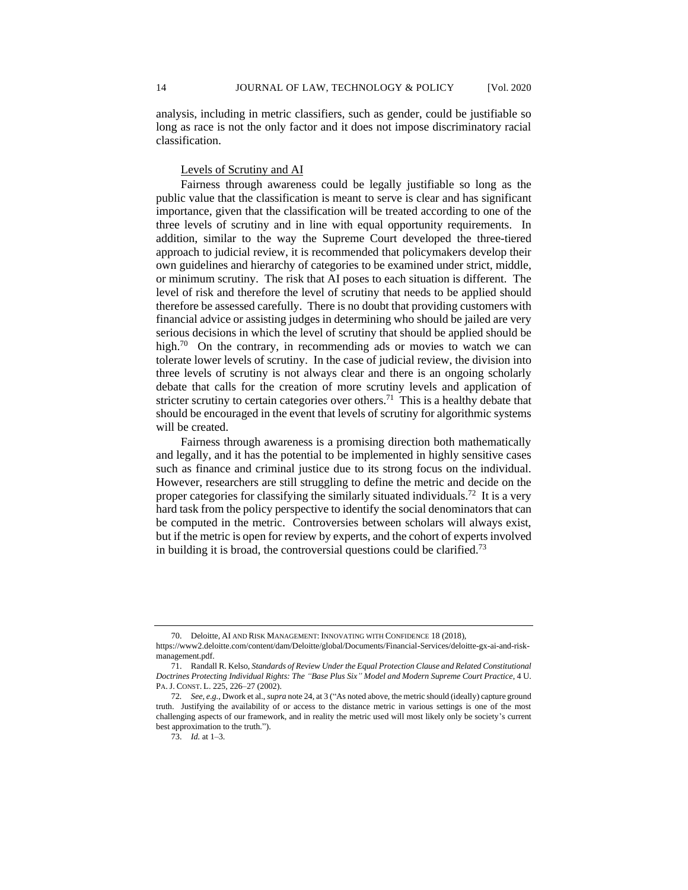analysis, including in metric classifiers, such as gender, could be justifiable so long as race is not the only factor and it does not impose discriminatory racial classification.

## Levels of Scrutiny and AI

Fairness through awareness could be legally justifiable so long as the public value that the classification is meant to serve is clear and has significant importance, given that the classification will be treated according to one of the three levels of scrutiny and in line with equal opportunity requirements. In addition, similar to the way the Supreme Court developed the three-tiered approach to judicial review, it is recommended that policymakers develop their own guidelines and hierarchy of categories to be examined under strict, middle, or minimum scrutiny. The risk that AI poses to each situation is different. The level of risk and therefore the level of scrutiny that needs to be applied should therefore be assessed carefully. There is no doubt that providing customers with financial advice or assisting judges in determining who should be jailed are very serious decisions in which the level of scrutiny that should be applied should be high.<sup>70</sup> On the contrary, in recommending ads or movies to watch we can tolerate lower levels of scrutiny. In the case of judicial review, the division into three levels of scrutiny is not always clear and there is an ongoing scholarly debate that calls for the creation of more scrutiny levels and application of stricter scrutiny to certain categories over others.<sup>71</sup> This is a healthy debate that should be encouraged in the event that levels of scrutiny for algorithmic systems will be created.

Fairness through awareness is a promising direction both mathematically and legally, and it has the potential to be implemented in highly sensitive cases such as finance and criminal justice due to its strong focus on the individual. However, researchers are still struggling to define the metric and decide on the proper categories for classifying the similarly situated individuals.<sup>72</sup> It is a very hard task from the policy perspective to identify the social denominators that can be computed in the metric. Controversies between scholars will always exist, but if the metric is open for review by experts, and the cohort of experts involved in building it is broad, the controversial questions could be clarified.<sup>73</sup>

<sup>70.</sup> Deloitte, AI AND RISK MANAGEMENT: INNOVATING WITH CONFIDENCE 18 (2018),

https://www2.deloitte.com/content/dam/Deloitte/global/Documents/Financial-Services/deloitte-gx-ai-and-riskmanagement.pdf.

<sup>71.</sup> Randall R. Kelso, *Standards of Review Under the Equal Protection Clause and Related Constitutional Doctrines Protecting Individual Rights: The "Base Plus Six" Model and Modern Supreme Court Practice*, 4 U. PA.J. CONST. L. 225, 226–27 (2002).

<sup>72</sup>*. See, e.g.*, Dwork et al., *supra* note 24, at 3 ("As noted above, the metric should (ideally) capture ground truth. Justifying the availability of or access to the distance metric in various settings is one of the most challenging aspects of our framework, and in reality the metric used will most likely only be society's current best approximation to the truth.").

<sup>73.</sup> *Id.* at 1–3.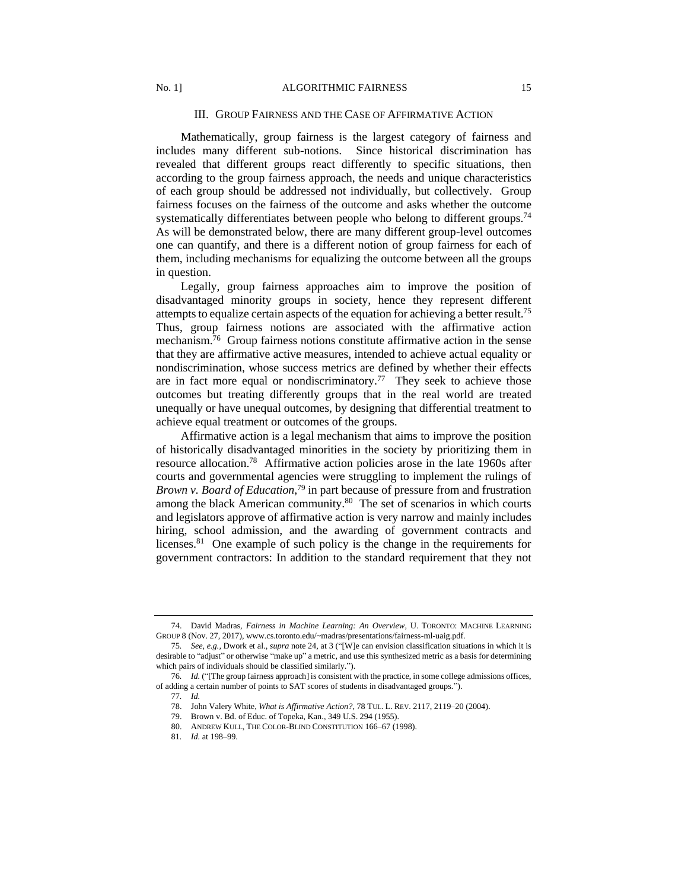## III. GROUP FAIRNESS AND THE CASE OF AFFIRMATIVE ACTION

Mathematically, group fairness is the largest category of fairness and includes many different sub-notions. Since historical discrimination has revealed that different groups react differently to specific situations, then according to the group fairness approach, the needs and unique characteristics of each group should be addressed not individually, but collectively. Group fairness focuses on the fairness of the outcome and asks whether the outcome systematically differentiates between people who belong to different groups.<sup>74</sup> As will be demonstrated below, there are many different group-level outcomes one can quantify, and there is a different notion of group fairness for each of them, including mechanisms for equalizing the outcome between all the groups in question.

Legally, group fairness approaches aim to improve the position of disadvantaged minority groups in society, hence they represent different attempts to equalize certain aspects of the equation for achieving a better result.<sup>75</sup> Thus, group fairness notions are associated with the affirmative action mechanism.<sup>76</sup> Group fairness notions constitute affirmative action in the sense that they are affirmative active measures, intended to achieve actual equality or nondiscrimination, whose success metrics are defined by whether their effects are in fact more equal or nondiscriminatory.<sup>77</sup> They seek to achieve those outcomes but treating differently groups that in the real world are treated unequally or have unequal outcomes, by designing that differential treatment to achieve equal treatment or outcomes of the groups.

Affirmative action is a legal mechanism that aims to improve the position of historically disadvantaged minorities in the society by prioritizing them in resource allocation.<sup>78</sup> Affirmative action policies arose in the late 1960s after courts and governmental agencies were struggling to implement the rulings of *Brown v. Board of Education*, <sup>79</sup> in part because of pressure from and frustration among the black American community.<sup>80</sup> The set of scenarios in which courts and legislators approve of affirmative action is very narrow and mainly includes hiring, school admission, and the awarding of government contracts and licenses.<sup>81</sup> One example of such policy is the change in the requirements for government contractors: In addition to the standard requirement that they not

<sup>74.</sup> David Madras, *Fairness in Machine Learning: An Overview*, U. TORONTO: MACHINE LEARNING GROUP 8 (Nov. 27, 2017), www.cs.toronto.edu/~madras/presentations/fairness-ml-uaig.pdf.

<sup>75</sup>*. See, e.g.,* Dwork et al., *supra* note 24, at 3 ("[W]e can envision classification situations in which it is desirable to "adjust" or otherwise "make up" a metric, and use this synthesized metric as a basis for determining which pairs of individuals should be classified similarly.").

<sup>76</sup>*. Id.* ("[The group fairness approach] is consistent with the practice, in some college admissions offices, of adding a certain number of points to SAT scores of students in disadvantaged groups.").

<sup>77</sup>*. Id.*

<sup>78.</sup> John Valery White, *What is Affirmative Action?*, 78 TUL. L. REV. 2117, 2119–20 (2004).

<sup>79.</sup> Brown v. Bd. of Educ. of Topeka, Kan., 349 U.S. 294 (1955).

<sup>80.</sup> ANDREW KULL, THE COLOR-BLIND CONSTITUTION 166–67 (1998).

<sup>81</sup>*. Id.* at 198–99.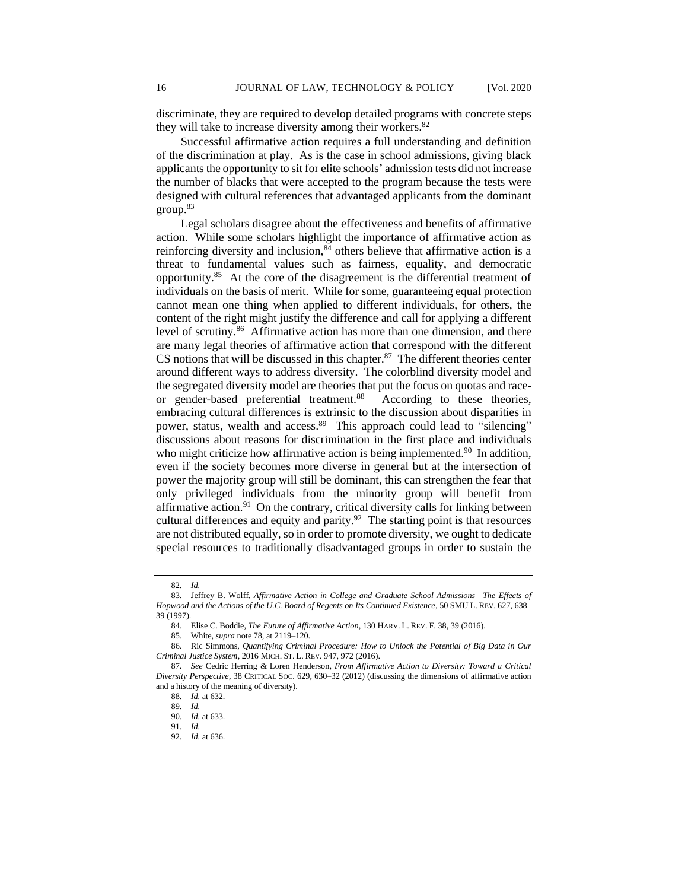discriminate, they are required to develop detailed programs with concrete steps they will take to increase diversity among their workers.<sup>82</sup>

Successful affirmative action requires a full understanding and definition of the discrimination at play. As is the case in school admissions, giving black applicants the opportunity to sit for elite schools' admission tests did not increase the number of blacks that were accepted to the program because the tests were designed with cultural references that advantaged applicants from the dominant group.<sup>83</sup>

Legal scholars disagree about the effectiveness and benefits of affirmative action. While some scholars highlight the importance of affirmative action as reinforcing diversity and inclusion, ${}^{84}$  others believe that affirmative action is a threat to fundamental values such as fairness, equality, and democratic opportunity.<sup>85</sup> At the core of the disagreement is the differential treatment of individuals on the basis of merit. While for some, guaranteeing equal protection cannot mean one thing when applied to different individuals, for others, the content of the right might justify the difference and call for applying a different level of scrutiny.<sup>86</sup> Affirmative action has more than one dimension, and there are many legal theories of affirmative action that correspond with the different  $CS$  notions that will be discussed in this chapter.<sup>87</sup> The different theories center around different ways to address diversity. The colorblind diversity model and the segregated diversity model are theories that put the focus on quotas and raceor gender-based preferential treatment.<sup>88</sup> According to these theories, embracing cultural differences is extrinsic to the discussion about disparities in power, status, wealth and access.<sup>89</sup> This approach could lead to "silencing" discussions about reasons for discrimination in the first place and individuals who might criticize how affirmative action is being implemented.<sup>90</sup> In addition, even if the society becomes more diverse in general but at the intersection of power the majority group will still be dominant, this can strengthen the fear that only privileged individuals from the minority group will benefit from affirmative action.<sup>91</sup> On the contrary, critical diversity calls for linking between cultural differences and equity and parity. $92$  The starting point is that resources are not distributed equally, so in order to promote diversity, we ought to dedicate special resources to traditionally disadvantaged groups in order to sustain the

<sup>82</sup>*. Id.*

<sup>83.</sup> Jeffrey B. Wolff, *Affirmative Action in College and Graduate School Admissions—The Effects of Hopwood and the Actions of the U.C. Board of Regents on Its Continued Existence*, 50 SMU L. REV. 627, 638– 39 (1997).

<sup>84.</sup> Elise C. Boddie, *The Future of Affirmative Action*, 130 HARV. L. REV. F. 38, 39 (2016).

<sup>85.</sup> White, *supra* note 78, at 2119–120.

<sup>86.</sup> Ric Simmons, *Quantifying Criminal Procedure: How to Unlock the Potential of Big Data in Our Criminal Justice System*, 2016 MICH. ST. L. REV. 947, 972 (2016).

<sup>87</sup>*. See* Cedric Herring & Loren Henderson, *From Affirmative Action to Diversity: Toward a Critical Diversity Perspective*, 38 CRITICAL SOC. 629, 630–32 (2012) (discussing the dimensions of affirmative action and a history of the meaning of diversity).

<sup>88</sup>*. Id.* at 632.

<sup>89</sup>*. Id.*

<sup>90</sup>*. Id.* at 633.

<sup>91</sup>*. Id.*

<sup>92</sup>*. Id.* at 636.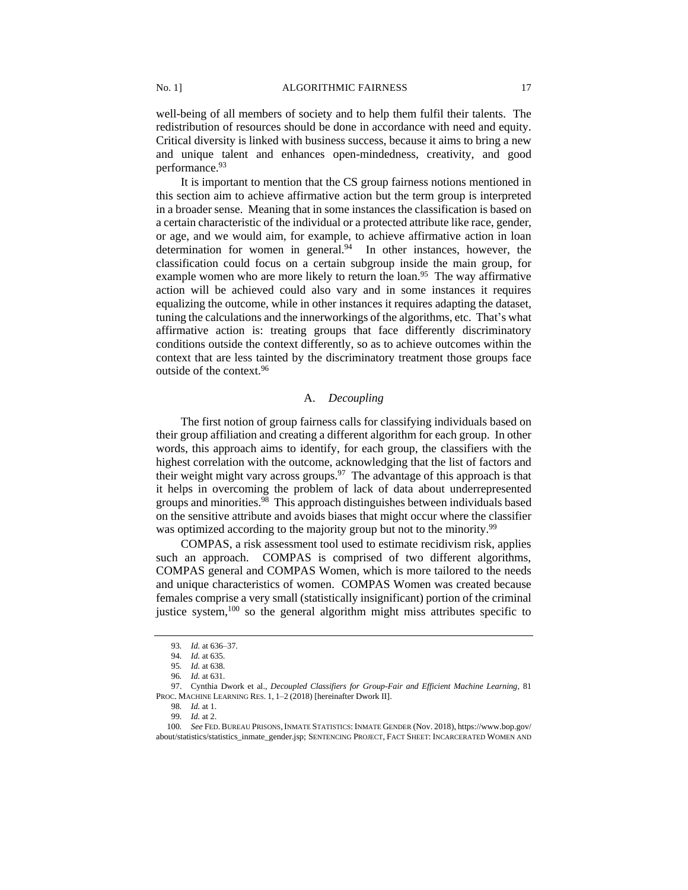well-being of all members of society and to help them fulfil their talents. The redistribution of resources should be done in accordance with need and equity. Critical diversity is linked with business success, because it aims to bring a new and unique talent and enhances open-mindedness, creativity, and good performance.<sup>93</sup>

It is important to mention that the CS group fairness notions mentioned in this section aim to achieve affirmative action but the term group is interpreted in a broader sense. Meaning that in some instances the classification is based on a certain characteristic of the individual or a protected attribute like race, gender, or age, and we would aim, for example, to achieve affirmative action in loan determination for women in general.<sup>94</sup> In other instances, however, the classification could focus on a certain subgroup inside the main group, for example women who are more likely to return the loan.<sup>95</sup> The way affirmative action will be achieved could also vary and in some instances it requires equalizing the outcome, while in other instances it requires adapting the dataset, tuning the calculations and the innerworkings of the algorithms, etc. That's what affirmative action is: treating groups that face differently discriminatory conditions outside the context differently, so as to achieve outcomes within the context that are less tainted by the discriminatory treatment those groups face outside of the context.<sup>96</sup>

# A. *Decoupling*

The first notion of group fairness calls for classifying individuals based on their group affiliation and creating a different algorithm for each group. In other words, this approach aims to identify, for each group, the classifiers with the highest correlation with the outcome, acknowledging that the list of factors and their weight might vary across groups. $97$  The advantage of this approach is that it helps in overcoming the problem of lack of data about underrepresented groups and minorities.<sup>98</sup> This approach distinguishes between individuals based on the sensitive attribute and avoids biases that might occur where the classifier was optimized according to the majority group but not to the minority.<sup>99</sup>

COMPAS, a risk assessment tool used to estimate recidivism risk, applies such an approach. COMPAS is comprised of two different algorithms, COMPAS general and COMPAS Women, which is more tailored to the needs and unique characteristics of women. COMPAS Women was created because females comprise a very small (statistically insignificant) portion of the criminal justice system,<sup>100</sup> so the general algorithm might miss attributes specific to

<sup>93</sup>*. Id.* at 636–37.

<sup>94</sup>*. Id.* at 635.

<sup>95</sup>*. Id.* at 638.

<sup>96</sup>*. Id.* at 631.

<sup>97.</sup> Cynthia Dwork et al., *Decoupled Classifiers for Group-Fair and Efficient Machine Learning*, 81 PROC. MACHINE LEARNING RES. 1, 1–2 (2018) [hereinafter Dwork II].

<sup>98</sup>*. Id.* at 1.

<sup>99</sup>*. Id.* at 2.

<sup>100</sup>*. See* FED.BUREAU PRISONS,INMATE STATISTICS:INMATE GENDER (Nov. 2018), https://www.bop.gov/ about/statistics/statistics\_inmate\_gender.jsp; SENTENCING PROJECT, FACT SHEET: INCARCERATED WOMEN AND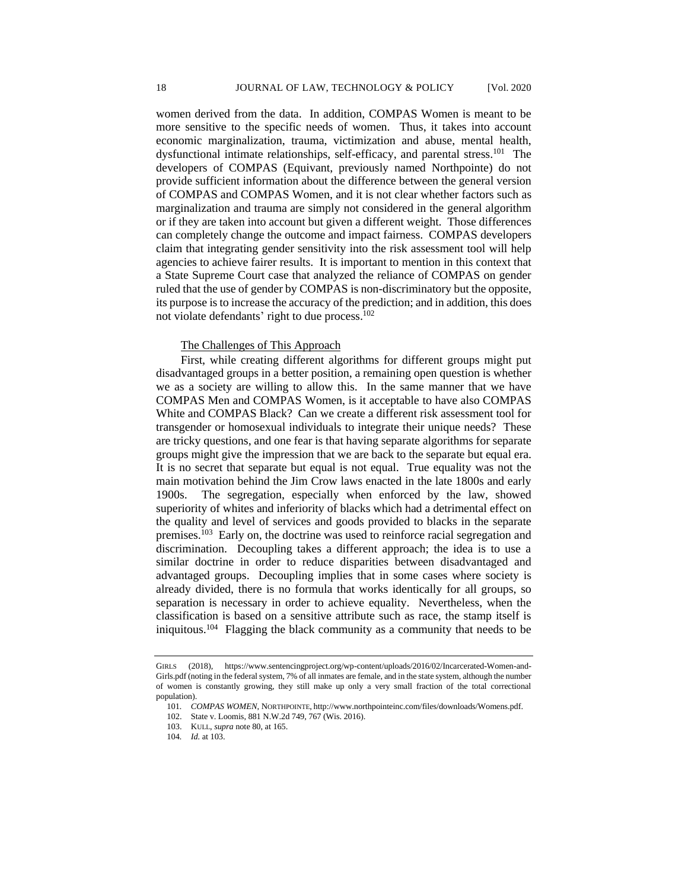women derived from the data. In addition, COMPAS Women is meant to be more sensitive to the specific needs of women. Thus, it takes into account economic marginalization, trauma, victimization and abuse, mental health, dysfunctional intimate relationships, self-efficacy, and parental stress.<sup>101</sup> The developers of COMPAS (Equivant, previously named Northpointe) do not provide sufficient information about the difference between the general version of COMPAS and COMPAS Women, and it is not clear whether factors such as marginalization and trauma are simply not considered in the general algorithm or if they are taken into account but given a different weight. Those differences can completely change the outcome and impact fairness. COMPAS developers claim that integrating gender sensitivity into the risk assessment tool will help agencies to achieve fairer results. It is important to mention in this context that a State Supreme Court case that analyzed the reliance of COMPAS on gender ruled that the use of gender by COMPAS is non-discriminatory but the opposite, its purpose is to increase the accuracy of the prediction; and in addition, this does not violate defendants' right to due process.<sup>102</sup>

# The Challenges of This Approach

First, while creating different algorithms for different groups might put disadvantaged groups in a better position, a remaining open question is whether we as a society are willing to allow this. In the same manner that we have COMPAS Men and COMPAS Women, is it acceptable to have also COMPAS White and COMPAS Black? Can we create a different risk assessment tool for transgender or homosexual individuals to integrate their unique needs? These are tricky questions, and one fear is that having separate algorithms for separate groups might give the impression that we are back to the separate but equal era. It is no secret that separate but equal is not equal. True equality was not the main motivation behind the Jim Crow laws enacted in the late 1800s and early 1900s. The segregation, especially when enforced by the law, showed superiority of whites and inferiority of blacks which had a detrimental effect on the quality and level of services and goods provided to blacks in the separate premises.<sup>103</sup> Early on, the doctrine was used to reinforce racial segregation and discrimination. Decoupling takes a different approach; the idea is to use a similar doctrine in order to reduce disparities between disadvantaged and advantaged groups. Decoupling implies that in some cases where society is already divided, there is no formula that works identically for all groups, so separation is necessary in order to achieve equality. Nevertheless, when the classification is based on a sensitive attribute such as race, the stamp itself is iniquitous.<sup>104</sup> Flagging the black community as a community that needs to be

<span id="page-17-0"></span>GIRLS (2018), https://www.sentencingproject.org/wp-content/uploads/2016/02/Incarcerated-Women-and-Girls.pdf (noting in the federal system, 7% of all inmates are female, and in the state system, although the number of women is constantly growing, they still make up only a very small fraction of the total correctional population).

<sup>101</sup>*. COMPAS WOMEN*, NORTHPOINTE, http://www.northpointeinc.com/files/downloads/Womens.pdf.

<sup>102.</sup> State v. Loomis, 881 N.W.2d 749, 767 (Wis. 2016).

<sup>103.</sup> KULL, *supra* note 80, at 165.

<sup>104</sup>*. Id.* a[t 103.](#page-17-0)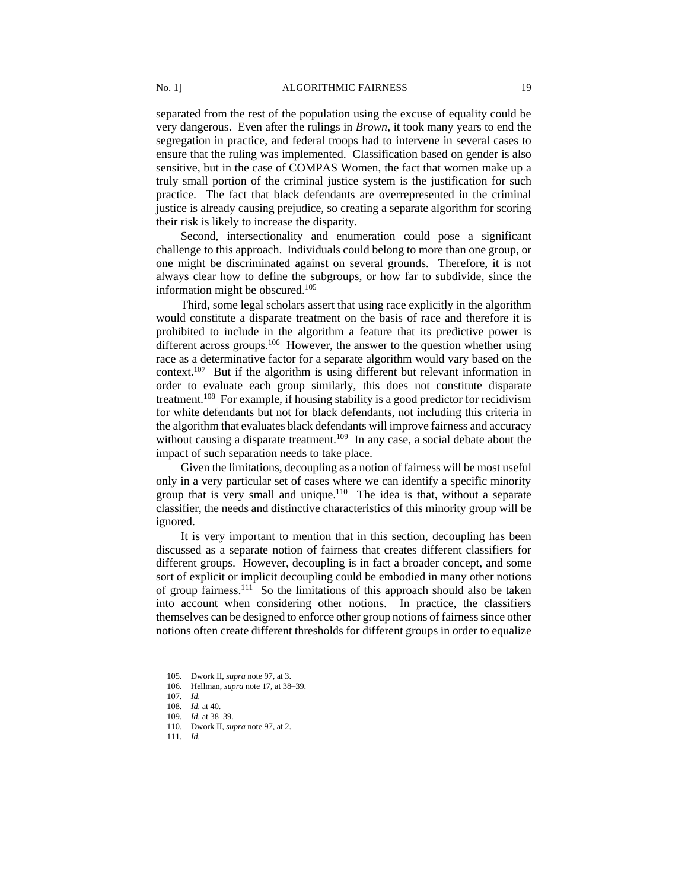separated from the rest of the population using the excuse of equality could be very dangerous. Even after the rulings in *Brown*, it took many years to end the segregation in practice, and federal troops had to intervene in several cases to ensure that the ruling was implemented. Classification based on gender is also sensitive, but in the case of COMPAS Women, the fact that women make up a truly small portion of the criminal justice system is the justification for such practice. The fact that black defendants are overrepresented in the criminal justice is already causing prejudice, so creating a separate algorithm for scoring their risk is likely to increase the disparity.

Second, intersectionality and enumeration could pose a significant challenge to this approach. Individuals could belong to more than one group, or one might be discriminated against on several grounds. Therefore, it is not always clear how to define the subgroups, or how far to subdivide, since the information might be obscured.<sup>105</sup>

Third, some legal scholars assert that using race explicitly in the algorithm would constitute a disparate treatment on the basis of race and therefore it is prohibited to include in the algorithm a feature that its predictive power is different across groups.<sup>106</sup> However, the answer to the question whether using race as a determinative factor for a separate algorithm would vary based on the context.<sup>107</sup> But if the algorithm is using different but relevant information in order to evaluate each group similarly, this does not constitute disparate treatment.<sup>108</sup> For example, if housing stability is a good predictor for recidivism for white defendants but not for black defendants, not including this criteria in the algorithm that evaluates black defendants will improve fairness and accuracy without causing a disparate treatment.<sup>109</sup> In any case, a social debate about the impact of such separation needs to take place.

Given the limitations, decoupling as a notion of fairness will be most useful only in a very particular set of cases where we can identify a specific minority group that is very small and unique.<sup>110</sup> The idea is that, without a separate classifier, the needs and distinctive characteristics of this minority group will be ignored.

It is very important to mention that in this section, decoupling has been discussed as a separate notion of fairness that creates different classifiers for different groups. However, decoupling is in fact a broader concept, and some sort of explicit or implicit decoupling could be embodied in many other notions of group fairness.<sup>111</sup> So the limitations of this approach should also be taken into account when considering other notions. In practice, the classifiers themselves can be designed to enforce other group notions of fairness since other notions often create different thresholds for different groups in order to equalize

<sup>105.</sup> Dwork II, *supra* note 97, at 3.

<sup>106.</sup> Hellman, *supra* note 17, at 38–39.

<sup>107</sup>*. Id.*

<sup>108</sup>*. Id.* at 40.

<sup>109</sup>*. Id.* at 38–39.

<sup>110.</sup> Dwork II, *supra* note 97, at 2.

<sup>111</sup>*. Id.*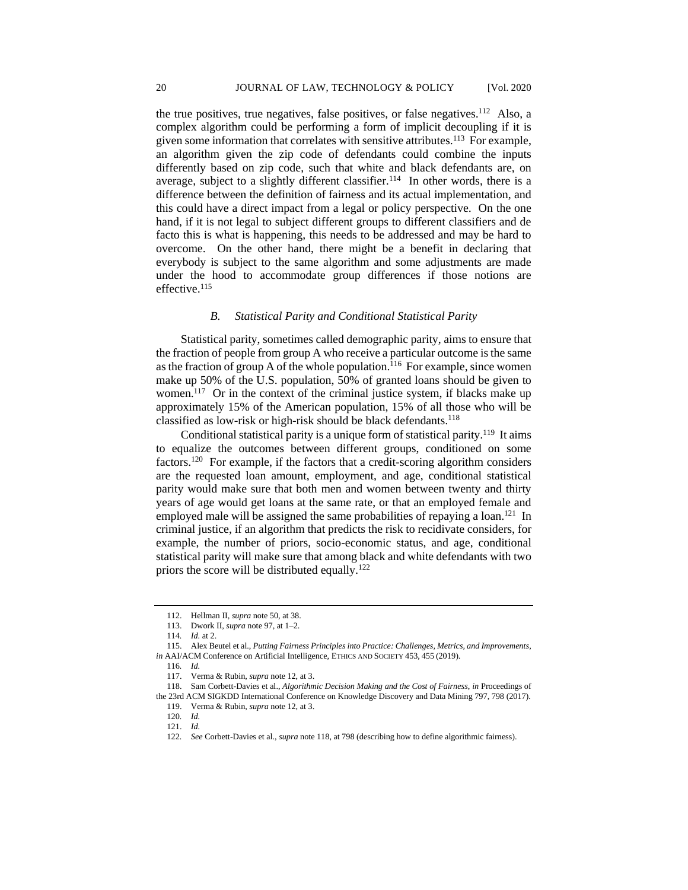the true positives, true negatives, false positives, or false negatives.<sup>112</sup> Also, a complex algorithm could be performing a form of implicit decoupling if it is given some information that correlates with sensitive attributes.<sup>113</sup> For example, an algorithm given the zip code of defendants could combine the inputs differently based on zip code, such that white and black defendants are, on average, subject to a slightly different classifier.<sup>114</sup> In other words, there is a difference between the definition of fairness and its actual implementation, and this could have a direct impact from a legal or policy perspective. On the one hand, if it is not legal to subject different groups to different classifiers and de facto this is what is happening, this needs to be addressed and may be hard to overcome. On the other hand, there might be a benefit in declaring that everybody is subject to the same algorithm and some adjustments are made under the hood to accommodate group differences if those notions are effective.<sup>115</sup>

## *B. Statistical Parity and Conditional Statistical Parity*

Statistical parity, sometimes called demographic parity, aims to ensure that the fraction of people from group A who receive a particular outcome is the same as the fraction of group A of the whole population.<sup>116</sup> For example, since women make up 50% of the U.S. population, 50% of granted loans should be given to women.<sup>117</sup> Or in the context of the criminal justice system, if blacks make up approximately 15% of the American population, 15% of all those who will be classified as low-risk or high-risk should be black defendants. 118

Conditional statistical parity is a unique form of statistical parity.<sup>119</sup> It aims to equalize the outcomes between different groups, conditioned on some factors.<sup>120</sup> For example, if the factors that a credit-scoring algorithm considers are the requested loan amount, employment, and age, conditional statistical parity would make sure that both men and women between twenty and thirty years of age would get loans at the same rate, or that an employed female and employed male will be assigned the same probabilities of repaying a loan.<sup>121</sup> In criminal justice, if an algorithm that predicts the risk to recidivate considers, for example, the number of priors, socio-economic status, and age, conditional statistical parity will make sure that among black and white defendants with two priors the score will be distributed equally.<sup>122</sup>

<sup>112.</sup> Hellman II, *supra* note 50, at 38.

<sup>113.</sup> Dwork II, *supra* note 97, at 1–2.

<sup>114</sup>*. Id.* at 2.

<sup>115.</sup> Alex Beutel et al., *Putting Fairness Principles into Practice: Challenges, Metrics, and Improvements*, *in* AAI/ACM Conference on Artificial Intelligence, ETHICS AND SOCIETY 453, 455 (2019).

<sup>116</sup>*. Id.*

<sup>117.</sup> Verma & Rubin, *supra* note 12, at 3.

<sup>118.</sup> Sam Corbett-Davies et al., *Algorithmic Decision Making and the Cost of Fairness*, *in* Proceedings of the 23rd ACM SIGKDD International Conference on Knowledge Discovery and Data Mining 797, 798 (2017).

<sup>119.</sup> Verma & Rubin, *supra* note 12, at 3.

<sup>120</sup>*. Id.*

<sup>121.</sup> *Id.*

<sup>122</sup>*. See* Corbett-Davies et al., *supra* note 118, at 798 (describing how to define algorithmic fairness).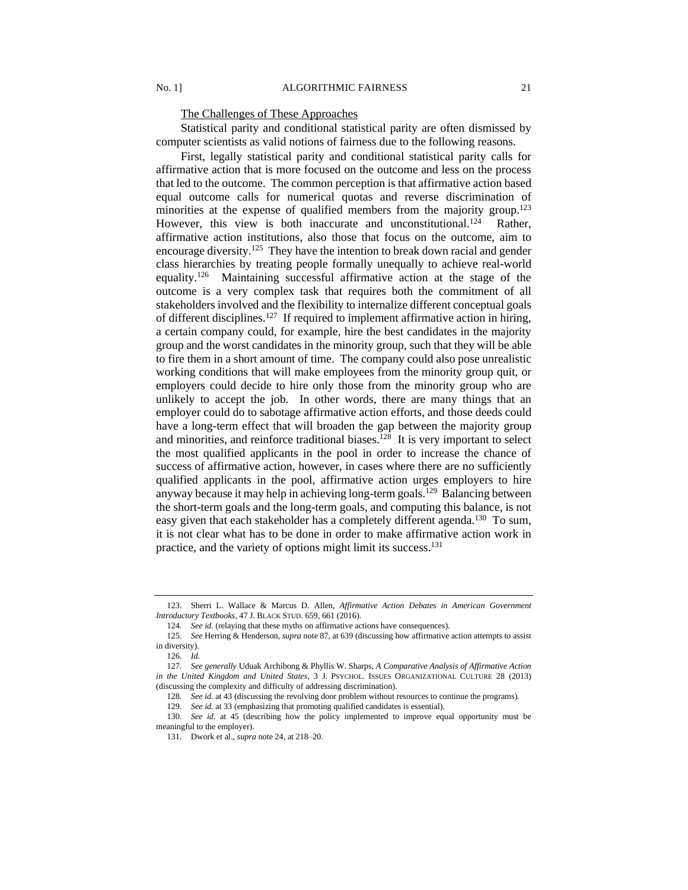# The Challenges of These Approaches

Statistical parity and conditional statistical parity are often dismissed by computer scientists as valid notions of fairness due to the following reasons.

First, legally statistical parity and conditional statistical parity calls for affirmative action that is more focused on the outcome and less on the process that led to the outcome. The common perception is that affirmative action based equal outcome calls for numerical quotas and reverse discrimination of minorities at the expense of qualified members from the majority group.<sup>123</sup> However, this view is both inaccurate and unconstitutional.<sup>124</sup> Rather. affirmative action institutions, also those that focus on the outcome, aim to encourage diversity.<sup>125</sup> They have the intention to break down racial and gender class hierarchies by treating people formally unequally to achieve real-world equality.<sup>126</sup> Maintaining successful affirmative action at the stage of the outcome is a very complex task that requires both the commitment of all stakeholders involved and the flexibility to internalize different conceptual goals of different disciplines.<sup>127</sup> If required to implement affirmative action in hiring, a certain company could, for example, hire the best candidates in the majority group and the worst candidates in the minority group, such that they will be able to fire them in a short amount of time. The company could also pose unrealistic working conditions that will make employees from the minority group quit, or employers could decide to hire only those from the minority group who are unlikely to accept the job. In other words, there are many things that an employer could do to sabotage affirmative action efforts, and those deeds could have a long-term effect that will broaden the gap between the majority group and minorities, and reinforce traditional biases.<sup>128</sup> It is very important to select the most qualified applicants in the pool in order to increase the chance of success of affirmative action, however, in cases where there are no sufficiently qualified applicants in the pool, affirmative action urges employers to hire anyway because it may help in achieving long-term goals.<sup>129</sup> Balancing between the short-term goals and the long-term goals, and computing this balance, is not easy given that each stakeholder has a completely different agenda.<sup>130</sup> To sum, it is not clear what has to be done in order to make affirmative action work in practice, and the variety of options might limit its success.<sup>131</sup>

<sup>123.</sup> Sherri L. Wallace & Marcus D. Allen, *Affirmative Action Debates in American Government Introductory Textbooks*, 47 J. BLACK STUD. 659, 661 (2016).

<sup>124</sup>*. See id.* (relaying that these myths on affirmative actions have consequences)*.*

<sup>125.</sup> *See* Herring & Henderson, *supra* note 87, at 639 (discussing how affirmative action attempts to assist in diversity).

<sup>126</sup>*. Id.*

<sup>127</sup>*. See generally* Uduak Archibong & Phyllis W. Sharps, *A Comparative Analysis of Affirmative Action in the United Kingdom and United States*, 3 J. PSYCHOL. ISSUES ORGANIZATIONAL CULTURE 28 (2013) (discussing the complexity and difficulty of addressing discrimination).

<sup>128</sup>*. See id.* at 43 (discussing the revolving door problem without resources to continue the programs)*.*

<sup>129</sup>*. See id.* at 33 (emphasizing that promoting qualified candidates is essential).

<sup>130.</sup> *See id*. at 45 (describing how the policy implemented to improve equal opportunity must be meaningful to the employer).

<sup>131.</sup> Dwork et al., *supra* note 24, at 218–20.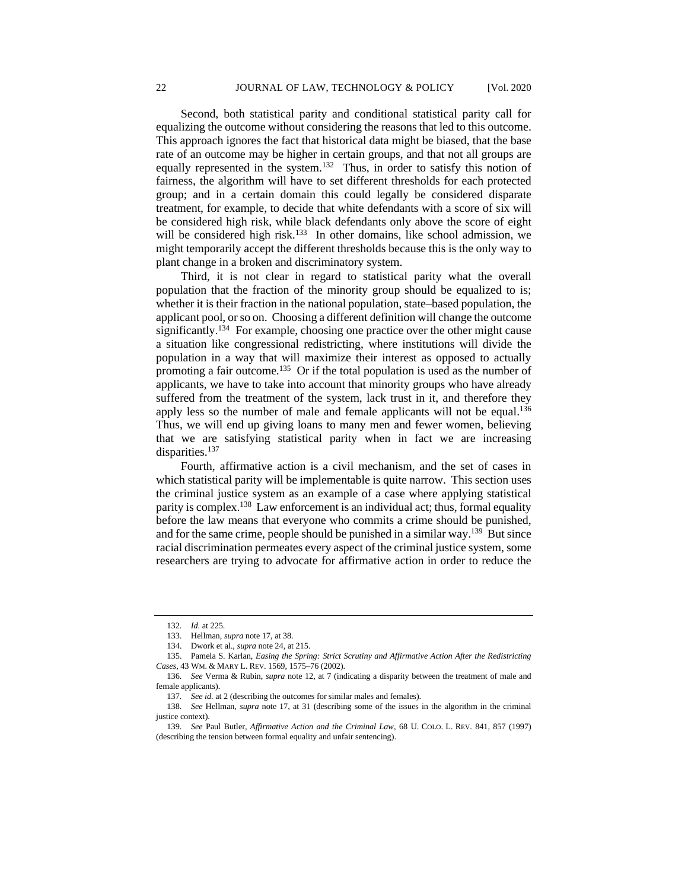Second, both statistical parity and conditional statistical parity call for equalizing the outcome without considering the reasons that led to this outcome. This approach ignores the fact that historical data might be biased, that the base rate of an outcome may be higher in certain groups, and that not all groups are equally represented in the system.<sup>132</sup> Thus, in order to satisfy this notion of fairness, the algorithm will have to set different thresholds for each protected group; and in a certain domain this could legally be considered disparate treatment, for example, to decide that white defendants with a score of six will be considered high risk, while black defendants only above the score of eight will be considered high risk.<sup>133</sup> In other domains, like school admission, we might temporarily accept the different thresholds because this is the only way to plant change in a broken and discriminatory system.

Third, it is not clear in regard to statistical parity what the overall population that the fraction of the minority group should be equalized to is; whether it is their fraction in the national population, state–based population, the applicant pool, or so on. Choosing a different definition will change the outcome significantly.<sup>134</sup> For example, choosing one practice over the other might cause a situation like congressional redistricting, where institutions will divide the population in a way that will maximize their interest as opposed to actually promoting a fair outcome.<sup>135</sup> Or if the total population is used as the number of applicants, we have to take into account that minority groups who have already suffered from the treatment of the system, lack trust in it, and therefore they apply less so the number of male and female applicants will not be equal.<sup>136</sup> Thus, we will end up giving loans to many men and fewer women, believing that we are satisfying statistical parity when in fact we are increasing disparities.<sup>137</sup>

Fourth, affirmative action is a civil mechanism, and the set of cases in which statistical parity will be implementable is quite narrow. This section uses the criminal justice system as an example of a case where applying statistical parity is complex.<sup>138</sup> Law enforcement is an individual act; thus, formal equality before the law means that everyone who commits a crime should be punished, and for the same crime, people should be punished in a similar way.<sup>139</sup> But since racial discrimination permeates every aspect of the criminal justice system, some researchers are trying to advocate for affirmative action in order to reduce the

<sup>132</sup>*. Id.* at 225.

<sup>133.</sup> Hellman, *supra* not[e 17,](#page-4-0) at 38.

<sup>134.</sup> Dwork et al., *supra* note 24, at 215.

<sup>135.</sup> Pamela S. Karlan, *Easing the Spring: Strict Scrutiny and Affirmative Action After the Redistricting Cases*, 43 WM. & MARY L. REV. 1569, 1575–76 (2002).

<sup>136</sup>*. See* Verma & Rubin, *supra* note 12, at 7 (indicating a disparity between the treatment of male and female applicants).

<sup>137</sup>*. See id.* at 2 (describing the outcomes for similar males and females).

<sup>138</sup>*. See* Hellman, *supra* note 17, at 31 (describing some of the issues in the algorithm in the criminal justice context).

<sup>139</sup>*. See* Paul Butler, *Affirmative Action and the Criminal Law*, 68 U. COLO. L. REV. 841, 857 (1997) (describing the tension between formal equality and unfair sentencing).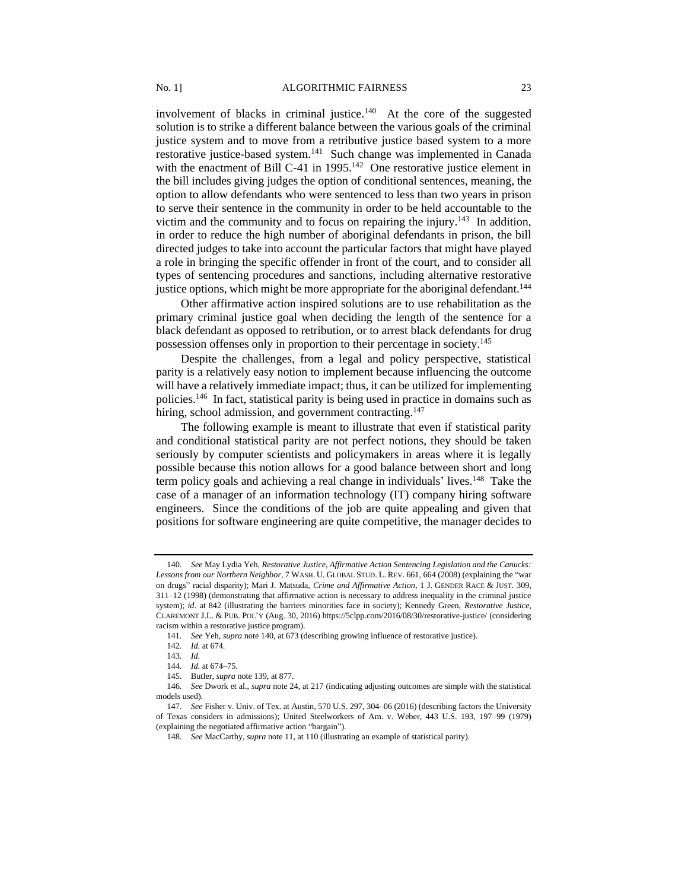involvement of blacks in criminal justice.<sup>140</sup> At the core of the suggested solution is to strike a different balance between the various goals of the criminal justice system and to move from a retributive justice based system to a more restorative justice-based system.<sup>141</sup> Such change was implemented in Canada with the enactment of Bill C-41 in  $1995$ .<sup>142</sup> One restorative justice element in the bill includes giving judges the option of conditional sentences, meaning, the option to allow defendants who were sentenced to less than two years in prison to serve their sentence in the community in order to be held accountable to the victim and the community and to focus on repairing the injury.<sup>143</sup> In addition, in order to reduce the high number of aboriginal defendants in prison, the bill directed judges to take into account the particular factors that might have played a role in bringing the specific offender in front of the court, and to consider all types of sentencing procedures and sanctions, including alternative restorative justice options, which might be more appropriate for the aboriginal defendant.<sup>144</sup>

Other affirmative action inspired solutions are to use rehabilitation as the primary criminal justice goal when deciding the length of the sentence for a black defendant as opposed to retribution, or to arrest black defendants for drug possession offenses only in proportion to their percentage in society.<sup>145</sup>

Despite the challenges, from a legal and policy perspective, statistical parity is a relatively easy notion to implement because influencing the outcome will have a relatively immediate impact; thus, it can be utilized for implementing policies.<sup>146</sup> In fact, statistical parity is being used in practice in domains such as hiring, school admission, and government contracting.<sup>147</sup>

The following example is meant to illustrate that even if statistical parity and conditional statistical parity are not perfect notions, they should be taken seriously by computer scientists and policymakers in areas where it is legally possible because this notion allows for a good balance between short and long term policy goals and achieving a real change in individuals' lives.<sup>148</sup> Take the case of a manager of an information technology (IT) company hiring software engineers. Since the conditions of the job are quite appealing and given that positions for software engineering are quite competitive, the manager decides to

<sup>140</sup>*. See* May Lydia Yeh, *Restorative Justice, Affirmative Action Sentencing Legislation and the Canucks: Lessons from our Northern Neighbor*, 7 WASH. U. GLOBAL STUD. L. REV. 661, 664 (2008) (explaining the "war on drugs" racial disparity); Mari J. Matsuda, *Crime and Affirmative Action*, 1 J. GENDER RACE & JUST. 309, 311–12 (1998) (demonstrating that affirmative action is necessary to address inequality in the criminal justice system); *id.* at 842 (illustrating the barriers minorities face in society); Kennedy Green, *Restorative Justice*, CLAREMONT J.L. & PUB. POL'Y (Aug. 30, 2016) https://5clpp.com/2016/08/30/restorative-justice/ (considering racism within a restorative justice program).

<sup>141</sup>*. See* Yeh, *supra* note 140, at 673 (describing growing influence of restorative justice).

<sup>142</sup>*. Id.* at 674.

<sup>143</sup>*. Id.*

<sup>144</sup>*. Id.* at 674–75.

<sup>145.</sup> Butler, *supra* note 139, at 877.

<sup>146</sup>*. See* Dwork et al., *supra* note 24, at 217 (indicating adjusting outcomes are simple with the statistical models used).

<sup>147</sup>*. See* Fisher v. Univ. of Tex. at Austin, 570 U.S. 297, 304–06 (2016) (describing factors the University of Texas considers in admissions); United Steelworkers of Am. v. Weber, 443 U.S. 193, 197–99 (1979) (explaining the negotiated affirmative action "bargain").

<sup>148</sup>*. See* MacCarthy, *supra* note 11, at 110 (illustrating an example of statistical parity).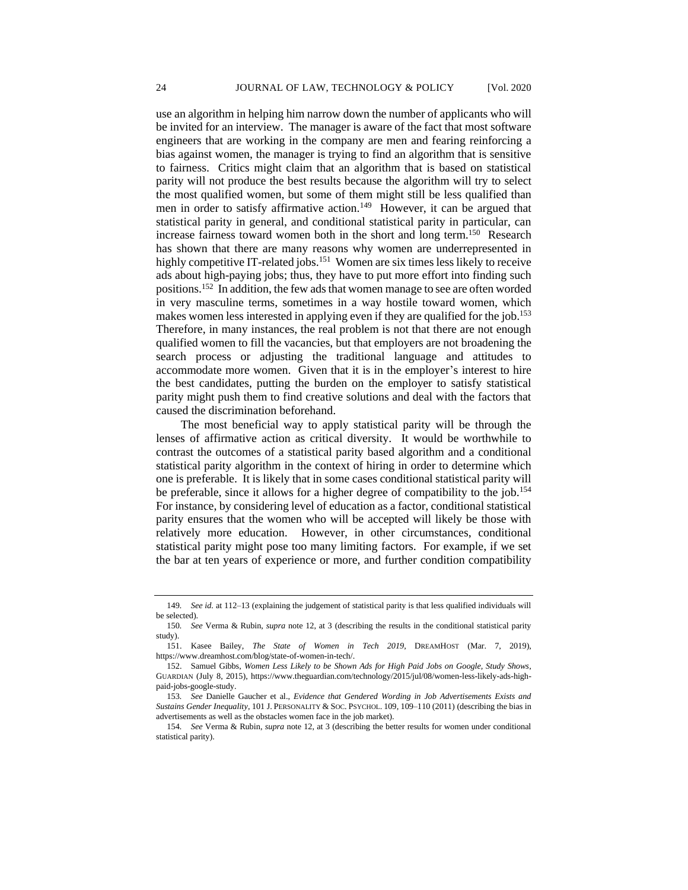use an algorithm in helping him narrow down the number of applicants who will be invited for an interview. The manager is aware of the fact that most software engineers that are working in the company are men and fearing reinforcing a bias against women, the manager is trying to find an algorithm that is sensitive to fairness. Critics might claim that an algorithm that is based on statistical parity will not produce the best results because the algorithm will try to select the most qualified women, but some of them might still be less qualified than men in order to satisfy affirmative action.<sup>149</sup> However, it can be argued that statistical parity in general, and conditional statistical parity in particular, can increase fairness toward women both in the short and long term.<sup>150</sup> Research has shown that there are many reasons why women are underrepresented in highly competitive IT-related jobs.<sup>151</sup> Women are six times less likely to receive ads about high-paying jobs; thus, they have to put more effort into finding such positions.<sup>152</sup> In addition, the few ads that women manage to see are often worded in very masculine terms, sometimes in a way hostile toward women, which makes women less interested in applying even if they are qualified for the job.<sup>153</sup> Therefore, in many instances, the real problem is not that there are not enough qualified women to fill the vacancies, but that employers are not broadening the search process or adjusting the traditional language and attitudes to accommodate more women. Given that it is in the employer's interest to hire the best candidates, putting the burden on the employer to satisfy statistical parity might push them to find creative solutions and deal with the factors that caused the discrimination beforehand.

The most beneficial way to apply statistical parity will be through the lenses of affirmative action as critical diversity. It would be worthwhile to contrast the outcomes of a statistical parity based algorithm and a conditional statistical parity algorithm in the context of hiring in order to determine which one is preferable. It is likely that in some cases conditional statistical parity will be preferable, since it allows for a higher degree of compatibility to the job.<sup>154</sup> For instance, by considering level of education as a factor, conditional statistical parity ensures that the women who will be accepted will likely be those with relatively more education. However, in other circumstances, conditional statistical parity might pose too many limiting factors. For example, if we set the bar at ten years of experience or more, and further condition compatibility

<sup>149</sup>*. See id.* at 112–13 (explaining the judgement of statistical parity is that less qualified individuals will be selected).

<sup>150</sup>*. See* Verma & Rubin, *supra* note 12, at 3 (describing the results in the conditional statistical parity study).

<sup>151.</sup> Kasee Bailey, *The State of Women in Tech 2019*, DREAMHOST (Mar. 7, 2019), https://www.dreamhost.com/blog/state-of-women-in-tech/.

<sup>152.</sup> Samuel Gibbs, *Women Less Likely to be Shown Ads for High Paid Jobs on Google, Study Shows*, GUARDIAN (July 8, 2015), https://www.theguardian.com/technology/2015/jul/08/women-less-likely-ads-highpaid-jobs-google-study.

<sup>153</sup>*. See* Danielle Gaucher et al., *Evidence that Gendered Wording in Job Advertisements Exists and Sustains Gender Inequality*, 101 J. PERSONALITY & SOC. PSYCHOL. 109, 109–110 (2011) (describing the bias in advertisements as well as the obstacles women face in the job market).

<sup>154</sup>*. See* Verma & Rubin, *supra* note 12, at 3 (describing the better results for women under conditional statistical parity).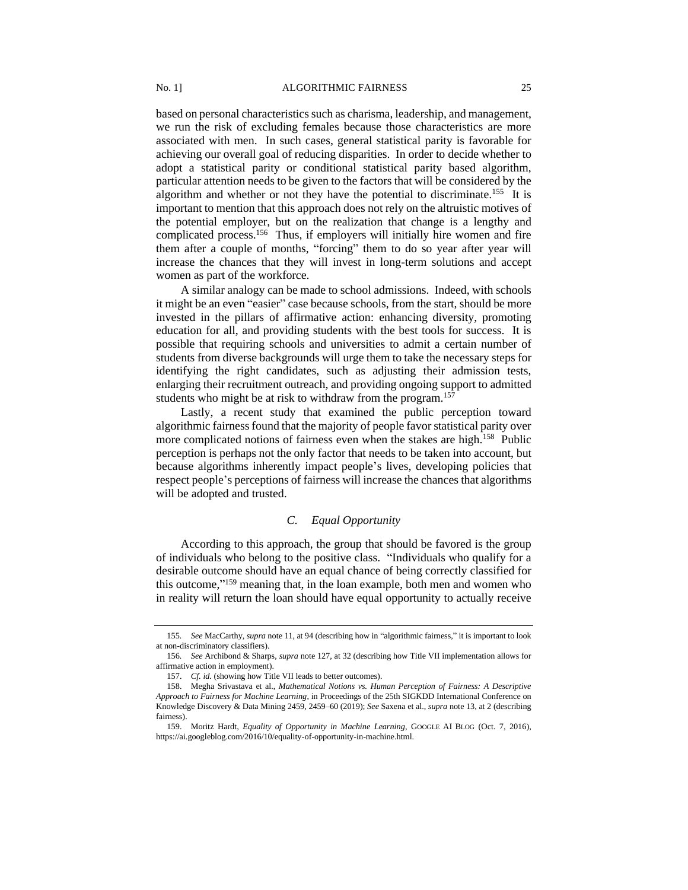based on personal characteristics such as charisma, leadership, and management, we run the risk of excluding females because those characteristics are more associated with men. In such cases, general statistical parity is favorable for achieving our overall goal of reducing disparities. In order to decide whether to adopt a statistical parity or conditional statistical parity based algorithm, particular attention needs to be given to the factors that will be considered by the algorithm and whether or not they have the potential to discriminate.<sup>155</sup> It is important to mention that this approach does not rely on the altruistic motives of the potential employer, but on the realization that change is a lengthy and complicated process.<sup>156</sup> Thus, if employers will initially hire women and fire them after a couple of months, "forcing" them to do so year after year will increase the chances that they will invest in long-term solutions and accept women as part of the workforce.

A similar analogy can be made to school admissions. Indeed, with schools it might be an even "easier" case because schools, from the start, should be more invested in the pillars of affirmative action: enhancing diversity, promoting education for all, and providing students with the best tools for success. It is possible that requiring schools and universities to admit a certain number of students from diverse backgrounds will urge them to take the necessary steps for identifying the right candidates, such as adjusting their admission tests, enlarging their recruitment outreach, and providing ongoing support to admitted students who might be at risk to withdraw from the program.<sup>157</sup>

Lastly, a recent study that examined the public perception toward algorithmic fairness found that the majority of people favor statistical parity over more complicated notions of fairness even when the stakes are high.<sup>158</sup> Public perception is perhaps not the only factor that needs to be taken into account, but because algorithms inherently impact people's lives, developing policies that respect people's perceptions of fairness will increase the chances that algorithms will be adopted and trusted.

## *C. Equal Opportunity*

According to this approach, the group that should be favored is the group of individuals who belong to the positive class. "Individuals who qualify for a desirable outcome should have an equal chance of being correctly classified for this outcome," <sup>159</sup> meaning that, in the loan example, both men and women who in reality will return the loan should have equal opportunity to actually receive

<sup>155</sup>*. See* MacCarthy, *supra* note 11, at 94 (describing how in "algorithmic fairness," it is important to look at non-discriminatory classifiers).

<sup>156</sup>*. See* Archibond & Sharps, *supra* note 127, at 32 (describing how Title VII implementation allows for affirmative action in employment).

<sup>157.</sup> *Cf. id.* (showing how Title VII leads to better outcomes)*.*

<sup>158.</sup> Megha Srivastava et al., *Mathematical Notions vs. Human Perception of Fairness: A Descriptive Approach to Fairness for Machine Learning*, in Proceedings of the 25th SIGKDD International Conference on Knowledge Discovery & Data Mining 2459, 2459–60 (2019); *See* Saxena et al., *supra* note 13, at 2 (describing fairness).

<sup>159.</sup> Moritz Hardt, *Equality of Opportunity in Machine Learning*, GOOGLE AI BLOG (Oct. 7, 2016), https://ai.googleblog.com/2016/10/equality-of-opportunity-in-machine.html.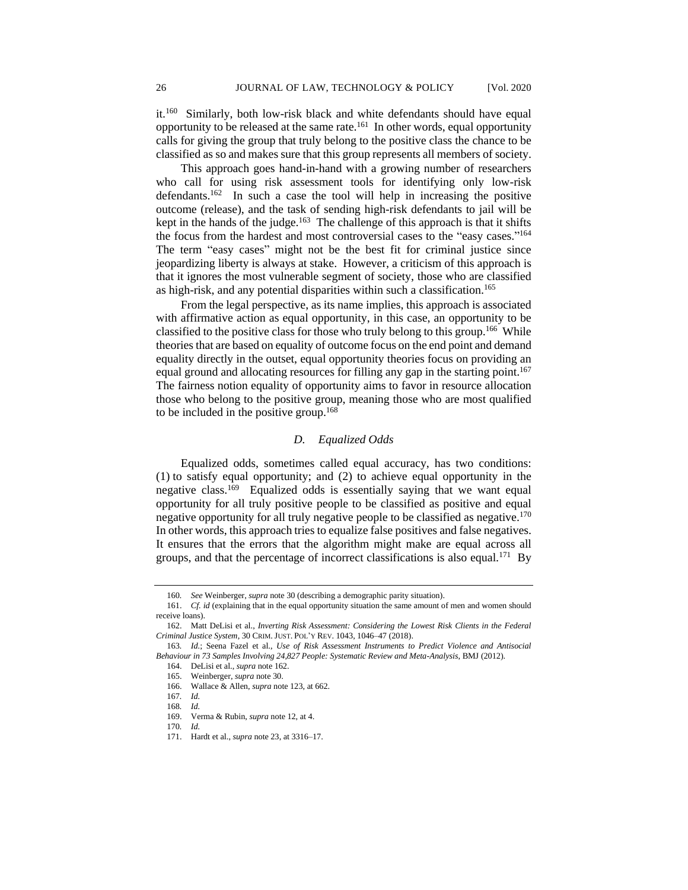it.<sup>160</sup> Similarly, both low-risk black and white defendants should have equal opportunity to be released at the same rate. <sup>161</sup> In other words, equal opportunity calls for giving the group that truly belong to the positive class the chance to be classified as so and makes sure that this group represents all members of society.

This approach goes hand-in-hand with a growing number of researchers who call for using risk assessment tools for identifying only low-risk defendants.<sup>162</sup> In such a case the tool will help in increasing the positive outcome (release), and the task of sending high-risk defendants to jail will be kept in the hands of the judge.<sup>163</sup> The challenge of this approach is that it shifts the focus from the hardest and most controversial cases to the "easy cases."<sup>164</sup> The term "easy cases" might not be the best fit for criminal justice since jeopardizing liberty is always at stake. However, a criticism of this approach is that it ignores the most vulnerable segment of society, those who are classified as high-risk, and any potential disparities within such a classification.<sup>165</sup>

From the legal perspective, as its name implies, this approach is associated with affirmative action as equal opportunity, in this case, an opportunity to be classified to the positive class for those who truly belong to this group.<sup>166</sup> While theories that are based on equality of outcome focus on the end point and demand equality directly in the outset, equal opportunity theories focus on providing an equal ground and allocating resources for filling any gap in the starting point.<sup>167</sup> The fairness notion equality of opportunity aims to favor in resource allocation those who belong to the positive group, meaning those who are most qualified to be included in the positive group.<sup>168</sup>

# *D. Equalized Odds*

Equalized odds, sometimes called equal accuracy, has two conditions: (1) to satisfy equal opportunity; and (2) to achieve equal opportunity in the negative class.<sup>169</sup> Equalized odds is essentially saying that we want equal opportunity for all truly positive people to be classified as positive and equal negative opportunity for all truly negative people to be classified as negative.<sup>170</sup> In other words, this approach tries to equalize false positives and false negatives. It ensures that the errors that the algorithm might make are equal across all groups, and that the percentage of incorrect classifications is also equal.<sup>171</sup> By

<sup>160</sup>*. See* Weinberger, *supra* note 30 (describing a demographic parity situation).

<sup>161.</sup> *Cf. id* (explaining that in the equal opportunity situation the same amount of men and women should receive loans).

<sup>162.</sup> Matt DeLisi et al., *Inverting Risk Assessment: Considering the Lowest Risk Clients in the Federal Criminal Justice System*, 30 CRIM.JUST. POL'Y REV. 1043, 1046–47 (2018).

<sup>163</sup>*. Id.*; Seena Fazel et al., *Use of Risk Assessment Instruments to Predict Violence and Antisocial Behaviour in 73 Samples Involving 24,827 People: Systematic Review and Meta-Analysis*, BMJ (2012).

<sup>164.</sup> DeLisi et al., *supra* note 162.

<sup>165.</sup> Weinberger, *supra* note 30.

<sup>166.</sup> Wallace & Allen, *supra* note 123, at 662.

<sup>167</sup>*. Id.*

<sup>168</sup>*. Id.*

<sup>169.</sup> Verma & Rubin, *supra* note 12, at 4.

<sup>170</sup>*. Id.*

<sup>171.</sup> Hardt et al., *supra* note 23, at 3316–17.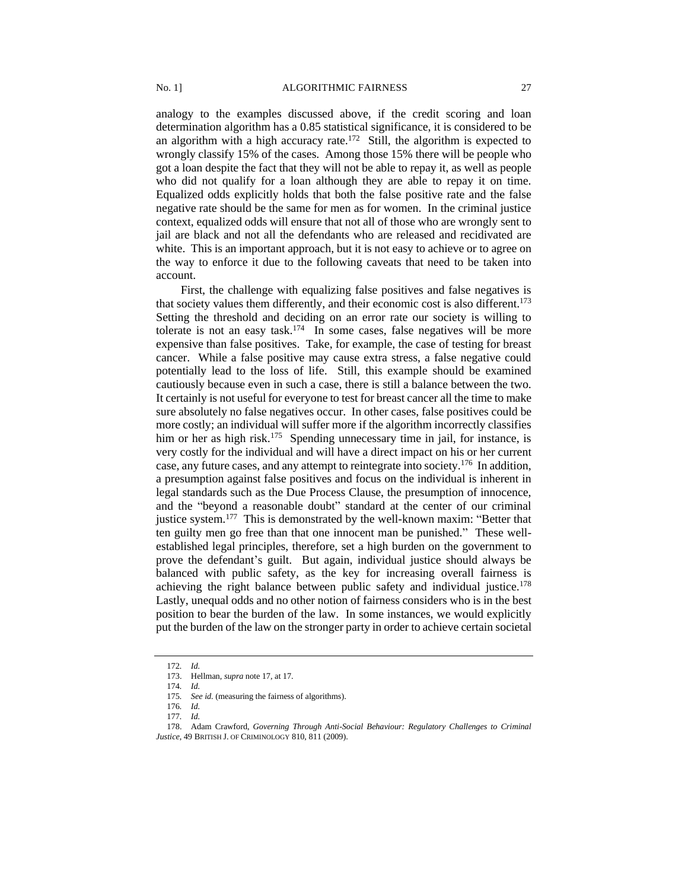analogy to the examples discussed above, if the credit scoring and loan determination algorithm has a 0.85 statistical significance, it is considered to be an algorithm with a high accuracy rate.<sup>172</sup> Still, the algorithm is expected to wrongly classify 15% of the cases. Among those 15% there will be people who got a loan despite the fact that they will not be able to repay it, as well as people who did not qualify for a loan although they are able to repay it on time. Equalized odds explicitly holds that both the false positive rate and the false negative rate should be the same for men as for women. In the criminal justice context, equalized odds will ensure that not all of those who are wrongly sent to jail are black and not all the defendants who are released and recidivated are white. This is an important approach, but it is not easy to achieve or to agree on the way to enforce it due to the following caveats that need to be taken into account.

First, the challenge with equalizing false positives and false negatives is that society values them differently, and their economic cost is also different.<sup>173</sup> Setting the threshold and deciding on an error rate our society is willing to tolerate is not an easy task.<sup>174</sup> In some cases, false negatives will be more expensive than false positives. Take, for example, the case of testing for breast cancer. While a false positive may cause extra stress, a false negative could potentially lead to the loss of life. Still, this example should be examined cautiously because even in such a case, there is still a balance between the two. It certainly is not useful for everyone to test for breast cancer all the time to make sure absolutely no false negatives occur. In other cases, false positives could be more costly; an individual will suffer more if the algorithm incorrectly classifies him or her as high risk.<sup>175</sup> Spending unnecessary time in jail, for instance, is very costly for the individual and will have a direct impact on his or her current case, any future cases, and any attempt to reintegrate into society.<sup>176</sup> In addition, a presumption against false positives and focus on the individual is inherent in legal standards such as the Due Process Clause, the presumption of innocence, and the "beyond a reasonable doubt" standard at the center of our criminal justice system.<sup>177</sup> This is demonstrated by the well-known maxim: "Better that ten guilty men go free than that one innocent man be punished." These wellestablished legal principles, therefore, set a high burden on the government to prove the defendant's guilt. But again, individual justice should always be balanced with public safety, as the key for increasing overall fairness is achieving the right balance between public safety and individual justice.<sup>178</sup> Lastly, unequal odds and no other notion of fairness considers who is in the best position to bear the burden of the law. In some instances, we would explicitly put the burden of the law on the stronger party in order to achieve certain societal

<sup>172</sup>*. Id.*

<sup>173.</sup> Hellman, *supra* note 17, at 17.

<sup>174</sup>*. Id.*

<sup>175</sup>*. See id.* (measuring the fairness of algorithms).

<sup>176</sup>*. Id.*

<sup>177</sup>*. Id.*

<sup>178.</sup> Adam Crawford, *Governing Through Anti-Social Behaviour: Regulatory Challenges to Criminal Justice*, 49 BRITISH J. OF CRIMINOLOGY 810, 811 (2009).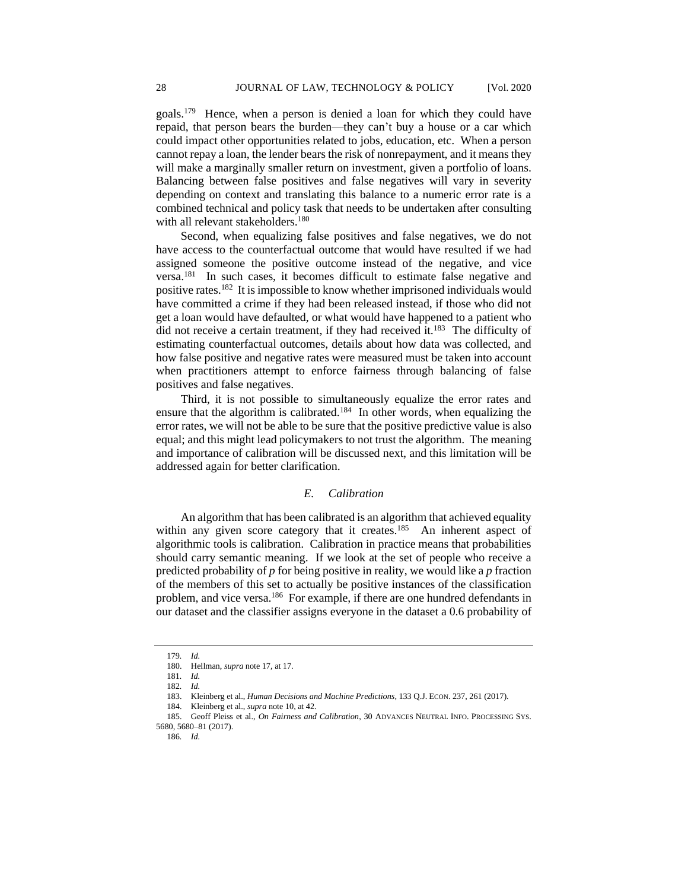goals.<sup>179</sup> Hence, when a person is denied a loan for which they could have repaid, that person bears the burden—they can't buy a house or a car which could impact other opportunities related to jobs, education, etc. When a person cannot repay a loan, the lender bears the risk of nonrepayment, and it means they will make a marginally smaller return on investment, given a portfolio of loans. Balancing between false positives and false negatives will vary in severity depending on context and translating this balance to a numeric error rate is a combined technical and policy task that needs to be undertaken after consulting with all relevant stakeholders.<sup>180</sup>

Second, when equalizing false positives and false negatives, we do not have access to the counterfactual outcome that would have resulted if we had assigned someone the positive outcome instead of the negative, and vice versa.<sup>181</sup> In such cases, it becomes difficult to estimate false negative and positive rates.<sup>182</sup> It is impossible to know whether imprisoned individuals would have committed a crime if they had been released instead, if those who did not get a loan would have defaulted, or what would have happened to a patient who did not receive a certain treatment, if they had received it. $183$  The difficulty of estimating counterfactual outcomes, details about how data was collected, and how false positive and negative rates were measured must be taken into account when practitioners attempt to enforce fairness through balancing of false positives and false negatives.

Third, it is not possible to simultaneously equalize the error rates and ensure that the algorithm is calibrated.<sup>184</sup> In other words, when equalizing the error rates, we will not be able to be sure that the positive predictive value is also equal; and this might lead policymakers to not trust the algorithm. The meaning and importance of calibration will be discussed next, and this limitation will be addressed again for better clarification.

# *E. Calibration*

An algorithm that has been calibrated is an algorithm that achieved equality within any given score category that it creates.<sup>185</sup> An inherent aspect of algorithmic tools is calibration. Calibration in practice means that probabilities should carry semantic meaning. If we look at the set of people who receive a predicted probability of *p* for being positive in reality, we would like a *p* fraction of the members of this set to actually be positive instances of the classification problem, and vice versa.<sup>186</sup> For example, if there are one hundred defendants in our dataset and the classifier assigns everyone in the dataset a 0.6 probability of

<sup>179</sup>*. Id.*

<sup>180.</sup> Hellman, *supra* note 17, at 17.

<sup>181</sup>*. Id.*

<sup>182</sup>*. Id.*

<sup>183.</sup> Kleinberg et al., *Human Decisions and Machine Predictions*, 133 Q.J. ECON. 237, 261 (2017).

<sup>184.</sup> Kleinberg et al., *supra* note 10, at 42.

<sup>185.</sup> Geoff Pleiss et al., *On Fairness and Calibration*, 30 ADVANCES NEUTRAL INFO. PROCESSING SYS. 5680, 5680–81 (2017).

<sup>186</sup>*. Id.*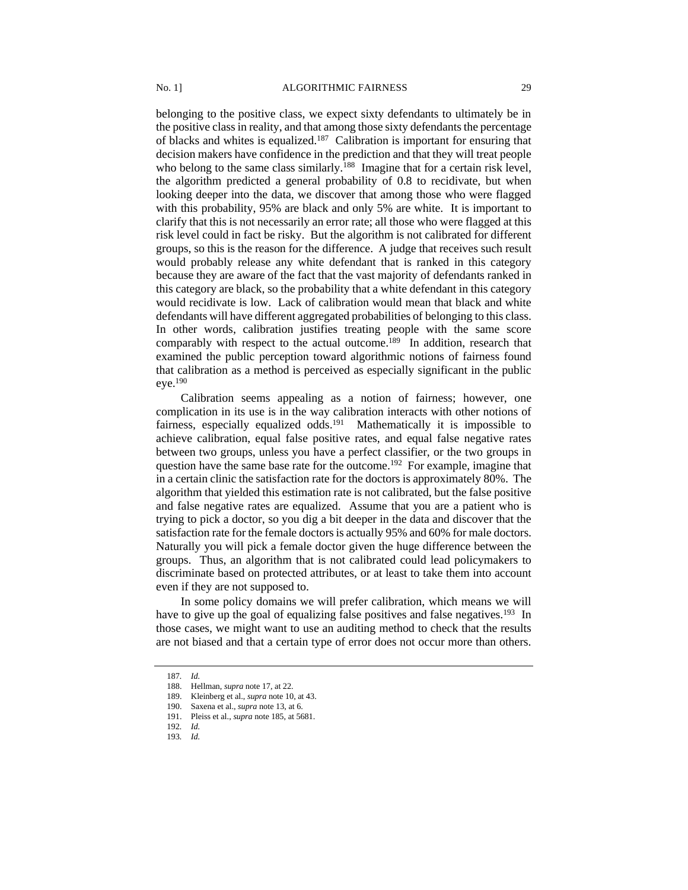belonging to the positive class, we expect sixty defendants to ultimately be in the positive class in reality, and that among those sixty defendants the percentage of blacks and whites is equalized.<sup>187</sup> Calibration is important for ensuring that decision makers have confidence in the prediction and that they will treat people who belong to the same class similarly.<sup>188</sup> Imagine that for a certain risk level, the algorithm predicted a general probability of 0.8 to recidivate, but when looking deeper into the data, we discover that among those who were flagged with this probability, 95% are black and only 5% are white. It is important to clarify that this is not necessarily an error rate; all those who were flagged at this risk level could in fact be risky. But the algorithm is not calibrated for different groups, so this is the reason for the difference. A judge that receives such result would probably release any white defendant that is ranked in this category because they are aware of the fact that the vast majority of defendants ranked in this category are black, so the probability that a white defendant in this category would recidivate is low. Lack of calibration would mean that black and white defendants will have different aggregated probabilities of belonging to this class. In other words, calibration justifies treating people with the same score comparably with respect to the actual outcome.<sup>189</sup> In addition, research that examined the public perception toward algorithmic notions of fairness found that calibration as a method is perceived as especially significant in the public eye.<sup>190</sup>

Calibration seems appealing as a notion of fairness; however, one complication in its use is in the way calibration interacts with other notions of fairness, especially equalized odds.<sup>191</sup> Mathematically it is impossible to achieve calibration, equal false positive rates, and equal false negative rates between two groups, unless you have a perfect classifier, or the two groups in question have the same base rate for the outcome.<sup>192</sup> For example, imagine that in a certain clinic the satisfaction rate for the doctors is approximately 80%. The algorithm that yielded this estimation rate is not calibrated, but the false positive and false negative rates are equalized. Assume that you are a patient who is trying to pick a doctor, so you dig a bit deeper in the data and discover that the satisfaction rate for the female doctors is actually 95% and 60% for male doctors. Naturally you will pick a female doctor given the huge difference between the groups. Thus, an algorithm that is not calibrated could lead policymakers to discriminate based on protected attributes, or at least to take them into account even if they are not supposed to.

In some policy domains we will prefer calibration, which means we will have to give up the goal of equalizing false positives and false negatives.<sup>193</sup> In those cases, we might want to use an auditing method to check that the results are not biased and that a certain type of error does not occur more than others.

<sup>187</sup>*. Id.*

<sup>188.</sup> Hellman, *supra* note 17, at 22.

<sup>189.</sup> Kleinberg et al., *supra* note 10, at 43.

<sup>190.</sup> Saxena et al., *supra* note 13, at 6.

<sup>191.</sup> Pleiss et al., *supra* note 185, at 5681.

<sup>192</sup>*. Id.*

<sup>193</sup>*. Id.*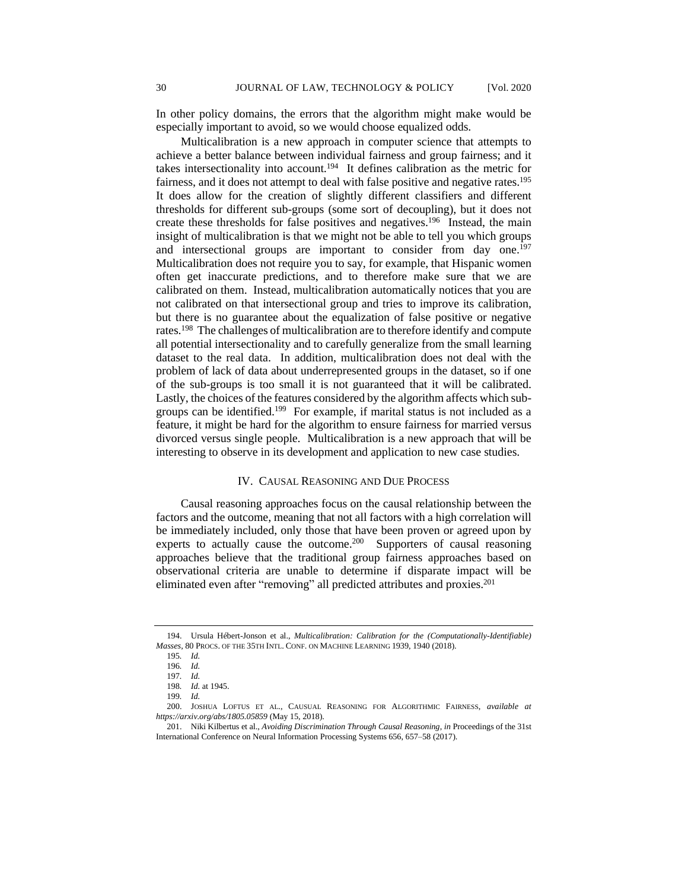In other policy domains, the errors that the algorithm might make would be especially important to avoid, so we would choose equalized odds.

Multicalibration is a new approach in computer science that attempts to achieve a better balance between individual fairness and group fairness; and it takes intersectionality into account.<sup>194</sup> It defines calibration as the metric for fairness, and it does not attempt to deal with false positive and negative rates.<sup>195</sup> It does allow for the creation of slightly different classifiers and different thresholds for different sub-groups (some sort of decoupling), but it does not create these thresholds for false positives and negatives.<sup>196</sup> Instead, the main insight of multicalibration is that we might not be able to tell you which groups and intersectional groups are important to consider from day one.<sup>197</sup> Multicalibration does not require you to say, for example, that Hispanic women often get inaccurate predictions, and to therefore make sure that we are calibrated on them. Instead, multicalibration automatically notices that you are not calibrated on that intersectional group and tries to improve its calibration, but there is no guarantee about the equalization of false positive or negative rates.<sup>198</sup> The challenges of multicalibration are to therefore identify and compute all potential intersectionality and to carefully generalize from the small learning dataset to the real data. In addition, multicalibration does not deal with the problem of lack of data about underrepresented groups in the dataset, so if one of the sub-groups is too small it is not guaranteed that it will be calibrated. Lastly, the choices of the features considered by the algorithm affects which subgroups can be identified.<sup>199</sup> For example, if marital status is not included as a feature, it might be hard for the algorithm to ensure fairness for married versus divorced versus single people. Multicalibration is a new approach that will be interesting to observe in its development and application to new case studies.

# IV. CAUSAL REASONING AND DUE PROCESS

Causal reasoning approaches focus on the causal relationship between the factors and the outcome, meaning that not all factors with a high correlation will be immediately included, only those that have been proven or agreed upon by experts to actually cause the outcome.<sup>200</sup> Supporters of causal reasoning approaches believe that the traditional group fairness approaches based on observational criteria are unable to determine if disparate impact will be eliminated even after "removing" all predicted attributes and proxies.<sup>201</sup>

<sup>194.</sup> Ursula Hébert-Jonson et al., *Multicalibration: Calibration for the (Computationally-Identifiable) Masses*, 80 PROCS. OF THE 35TH INTL. CONF. ON MACHINE LEARNING 1939, 1940 (2018).

<sup>195</sup>*. Id.*

<sup>196</sup>*. Id.* 197*. Id.*

<sup>198</sup>*. Id.* at 1945.

<sup>199</sup>*. Id.*

<sup>200.</sup> JOSHUA LOFTUS ET AL., CAUSUAL REASONING FOR ALGORITHMIC FAIRNESS, *available at https://arxiv.org/abs/1805.05859* (May 15, 2018).

<sup>201.</sup> Niki Kilbertus et al., *Avoiding Discrimination Through Causal Reasoning*, *in* Proceedings of the 31st International Conference on Neural Information Processing Systems 656, 657–58 (2017).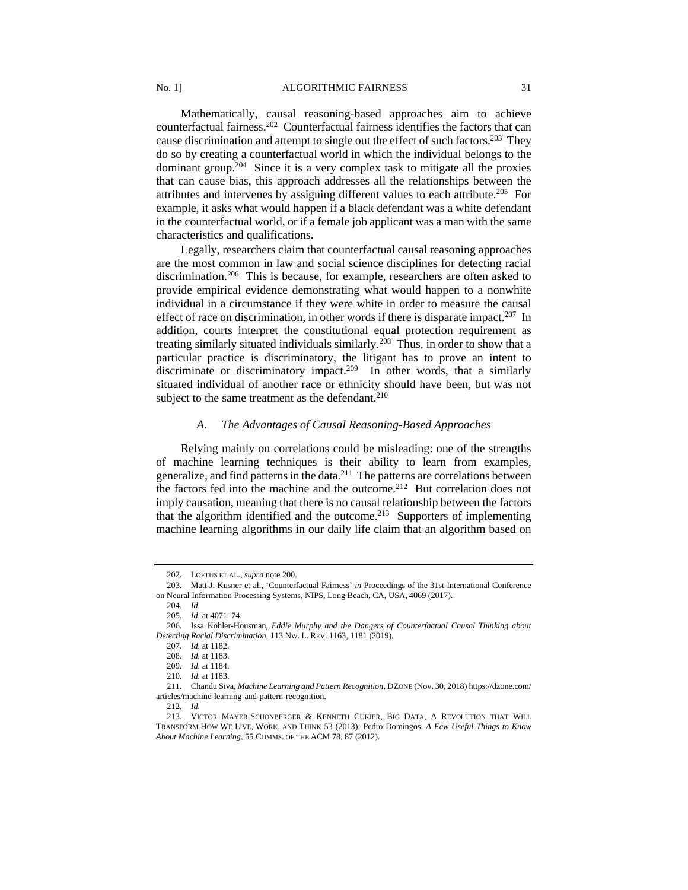Mathematically, causal reasoning-based approaches aim to achieve counterfactual fairness.<sup>202</sup> Counterfactual fairness identifies the factors that can cause discrimination and attempt to single out the effect of such factors.<sup>203</sup> They do so by creating a counterfactual world in which the individual belongs to the dominant group.<sup>204</sup> Since it is a very complex task to mitigate all the proxies that can cause bias, this approach addresses all the relationships between the attributes and intervenes by assigning different values to each attribute.<sup>205</sup> For example, it asks what would happen if a black defendant was a white defendant in the counterfactual world, or if a female job applicant was a man with the same characteristics and qualifications.

Legally, researchers claim that counterfactual causal reasoning approaches are the most common in law and social science disciplines for detecting racial discrimination.<sup>206</sup> This is because, for example, researchers are often asked to provide empirical evidence demonstrating what would happen to a nonwhite individual in a circumstance if they were white in order to measure the causal effect of race on discrimination, in other words if there is disparate impact.<sup>207</sup> In addition, courts interpret the constitutional equal protection requirement as treating similarly situated individuals similarly.<sup>208</sup> Thus, in order to show that a particular practice is discriminatory, the litigant has to prove an intent to discriminate or discriminatory impact.<sup>209</sup> In other words, that a similarly situated individual of another race or ethnicity should have been, but was not subject to the same treatment as the defendant.<sup>210</sup>

# *A. The Advantages of Causal Reasoning-Based Approaches*

Relying mainly on correlations could be misleading: one of the strengths of machine learning techniques is their ability to learn from examples, generalize, and find patterns in the data.<sup>211</sup> The patterns are correlations between the factors fed into the machine and the outcome.<sup>212</sup> But correlation does not imply causation, meaning that there is no causal relationship between the factors that the algorithm identified and the outcome.<sup>213</sup> Supporters of implementing machine learning algorithms in our daily life claim that an algorithm based on

<sup>202.</sup> LOFTUS ET AL., *supra* note 200.

<sup>203.</sup> Matt J. Kusner et al., 'Counterfactual Fairness' *in* Proceedings of the 31st International Conference on Neural Information Processing Systems, NIPS, Long Beach, CA, USA, 4069 (2017).

<sup>204</sup>*. Id.*

<sup>205</sup>*. Id.* at 4071–74.

<sup>206.</sup> Issa Kohler-Housman, *Eddie Murphy and the Dangers of Counterfactual Causal Thinking about Detecting Racial Discrimination*, 113 NW. L. REV. 1163, 1181 (2019).

<sup>207</sup>*. Id.* at 1182.

<sup>208</sup>*. Id.* at 1183.

<sup>209</sup>*. Id.* at 1184.

<sup>210</sup>*. Id.* at 1183.

<sup>211.</sup> Chandu Siva, *Machine Learning and Pattern Recognition*, DZONE (Nov. 30, 2018) https://dzone.com/ articles/machine-learning-and-pattern-recognition.

<sup>212</sup>*. Id.*

<sup>213.</sup> VICTOR MAYER-SCHONBERGER & KENNETH CUKIER, BIG DATA, A REVOLUTION THAT WILL TRANSFORM HOW WE LIVE, WORK, AND THINK 53 (2013); Pedro Domingos, *A Few Useful Things to Know About Machine Learning*, 55 COMMS. OF THE ACM 78, 87 (2012).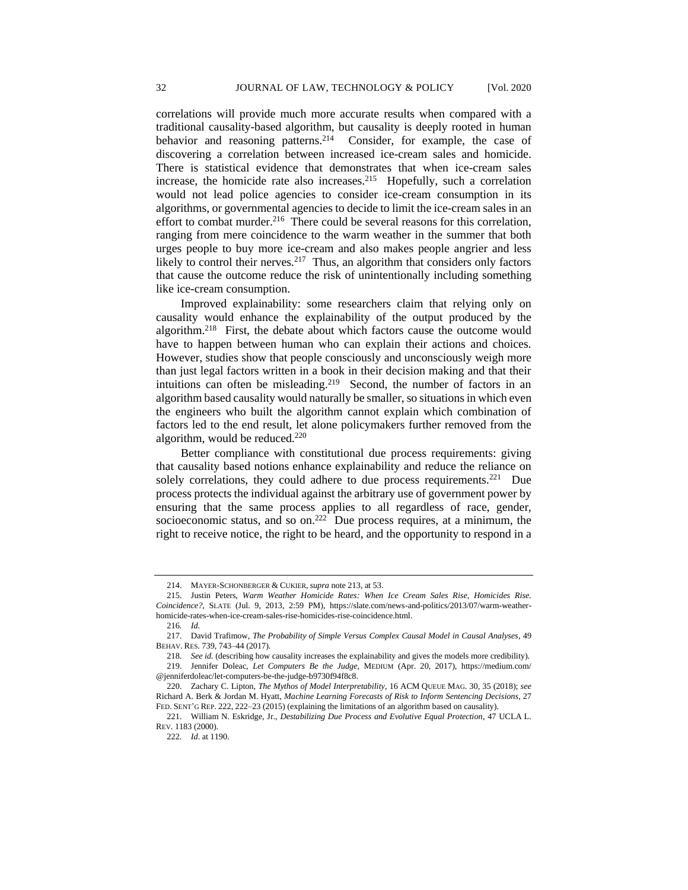correlations will provide much more accurate results when compared with a traditional causality-based algorithm, but causality is deeply rooted in human behavior and reasoning patterns.<sup>214</sup> Consider, for example, the case of discovering a correlation between increased ice-cream sales and homicide. There is statistical evidence that demonstrates that when ice-cream sales increase, the homicide rate also increases.<sup>215</sup> Hopefully, such a correlation would not lead police agencies to consider ice-cream consumption in its algorithms, or governmental agencies to decide to limit the ice-cream sales in an effort to combat murder.<sup>216</sup> There could be several reasons for this correlation, ranging from mere coincidence to the warm weather in the summer that both urges people to buy more ice-cream and also makes people angrier and less likely to control their nerves.<sup>217</sup> Thus, an algorithm that considers only factors that cause the outcome reduce the risk of unintentionally including something like ice-cream consumption.

Improved explainability: some researchers claim that relying only on causality would enhance the explainability of the output produced by the algorithm.<sup>218</sup> First, the debate about which factors cause the outcome would have to happen between human who can explain their actions and choices. However, studies show that people consciously and unconsciously weigh more than just legal factors written in a book in their decision making and that their intuitions can often be misleading.<sup>219</sup> Second, the number of factors in an algorithm based causality would naturally be smaller, so situations in which even the engineers who built the algorithm cannot explain which combination of factors led to the end result, let alone policymakers further removed from the algorithm, would be reduced. $220$ 

Better compliance with constitutional due process requirements: giving that causality based notions enhance explainability and reduce the reliance on solely correlations, they could adhere to due process requirements. $221$  Due process protects the individual against the arbitrary use of government power by ensuring that the same process applies to all regardless of race, gender, socioeconomic status, and so on.<sup>222</sup> Due process requires, at a minimum, the right to receive notice, the right to be heard, and the opportunity to respond in a

<sup>214.</sup> MAYER-SCHONBERGER & CUKIER,*supra* note 213, at 53.

<sup>215.</sup> Justin Peters, *Warm Weather Homicide Rates: When Ice Cream Sales Rise, Homicides Rise. Coincidence?*, SLATE (Jul. 9, 2013, 2:59 PM), https://slate.com/news-and-politics/2013/07/warm-weatherhomicide-rates-when-ice-cream-sales-rise-homicides-rise-coincidence.html.

<sup>216</sup>*. Id.*

<sup>217.</sup> David Trafimow, *The Probability of Simple Versus Complex Causal Model in Causal Analyses*, 49 BEHAV. RES. 739, 743–44 (2017).

<sup>218</sup>*. See id.* (describing how causality increases the explainability and gives the models more credibility). 219. Jennifer Doleac, *Let Computers Be the Judge*, MEDIUM (Apr. 20, 2017), https://medium.com/ @jenniferdoleac/let-computers-be-the-judge-b9730f94f8c8.

<sup>220.</sup> Zachary C. Lipton, *The Mythos of Model Interpretability*, 16 ACM QUEUE MAG. 30, 35 (2018); *see* Richard A. Berk & Jordan M. Hyatt, *Machine Learning Forecasts of Risk to Inform Sentencing Decisions*, 27 FED. SENT'G REP. 222, 222–23 (2015) (explaining the limitations of an algorithm based on causality).

<sup>221.</sup> William N. Eskridge, Jr., *Destabilizing Due Process and Evolutive Equal Protection*, 47 UCLA L. REV. 1183 (2000).

<sup>222</sup>*. Id*. at 1190.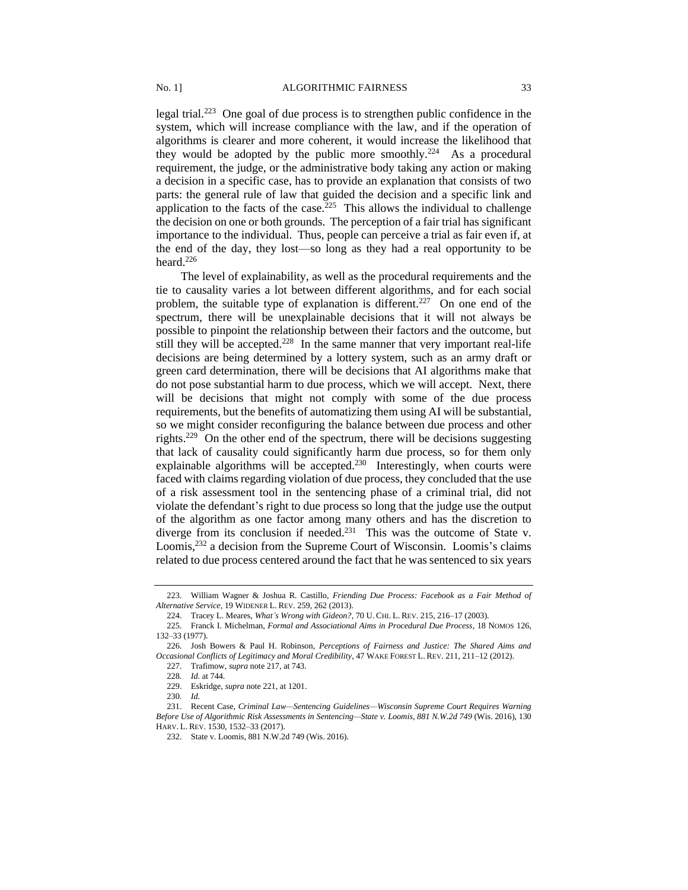legal trial.<sup>223</sup> One goal of due process is to strengthen public confidence in the system, which will increase compliance with the law, and if the operation of algorithms is clearer and more coherent, it would increase the likelihood that they would be adopted by the public more smoothly.<sup>224</sup> As a procedural requirement, the judge, or the administrative body taking any action or making a decision in a specific case, has to provide an explanation that consists of two parts: the general rule of law that guided the decision and a specific link and application to the facts of the case.<sup>225</sup> This allows the individual to challenge the decision on one or both grounds. The perception of a fair trial has significant importance to the individual. Thus, people can perceive a trial as fair even if, at the end of the day, they lost—so long as they had a real opportunity to be heard.<sup>226</sup>

The level of explainability, as well as the procedural requirements and the tie to causality varies a lot between different algorithms, and for each social problem, the suitable type of explanation is different.<sup>227</sup> On one end of the spectrum, there will be unexplainable decisions that it will not always be possible to pinpoint the relationship between their factors and the outcome, but still they will be accepted.<sup>228</sup> In the same manner that very important real-life decisions are being determined by a lottery system, such as an army draft or green card determination, there will be decisions that AI algorithms make that do not pose substantial harm to due process, which we will accept. Next, there will be decisions that might not comply with some of the due process requirements, but the benefits of automatizing them using AI will be substantial, so we might consider reconfiguring the balance between due process and other rights.<sup>229</sup> On the other end of the spectrum, there will be decisions suggesting that lack of causality could significantly harm due process, so for them only explainable algorithms will be accepted.<sup>230</sup> Interestingly, when courts were faced with claims regarding violation of due process, they concluded that the use of a risk assessment tool in the sentencing phase of a criminal trial, did not violate the defendant's right to due process so long that the judge use the output of the algorithm as one factor among many others and has the discretion to diverge from its conclusion if needed.<sup>231</sup> This was the outcome of State v. Loomis,<sup>232</sup> a decision from the Supreme Court of Wisconsin. Loomis's claims related to due process centered around the fact that he was sentenced to six years

<sup>223.</sup> William Wagner & Joshua R. Castillo, *Friending Due Process: Facebook as a Fair Method of Alternative Service*, 19 WIDENER L. REV. 259, 262 (2013).

<sup>224.</sup> Tracey L. Meares, *What's Wrong with Gideon?*, 70 U. CHI. L. REV. 215, 216–17 (2003).

<sup>225.</sup> Franck I. Michelman, *Formal and Associational Aims in Procedural Due Process*, 18 NOMOS 126, 132–33 (1977).

<sup>226.</sup> Josh Bowers & Paul H. Robinson, *Perceptions of Fairness and Justice: The Shared Aims and Occasional Conflicts of Legitimacy and Moral Credibility*, 47 WAKE FOREST L. REV. 211, 211–12 (2012).

<sup>227.</sup> Trafimow, *supra* note 217, at 743.

<sup>228</sup>*. Id.* at 744.

<sup>229.</sup> Eskridge, *supra* note 221, at 1201.

<sup>230</sup>*. Id.*

<sup>231.</sup> Recent Case, *Criminal Law—Sentencing Guidelines—Wisconsin Supreme Court Requires Warning Before Use of Algorithmic Risk Assessments in Sentencing—State v. Loomis, 881 N.W.2d 749* (Wis. 2016), 130 HARV. L. REV. 1530, 1532–33 (2017).

<sup>232.</sup> State v. Loomis, 881 N.W.2d 749 (Wis. 2016).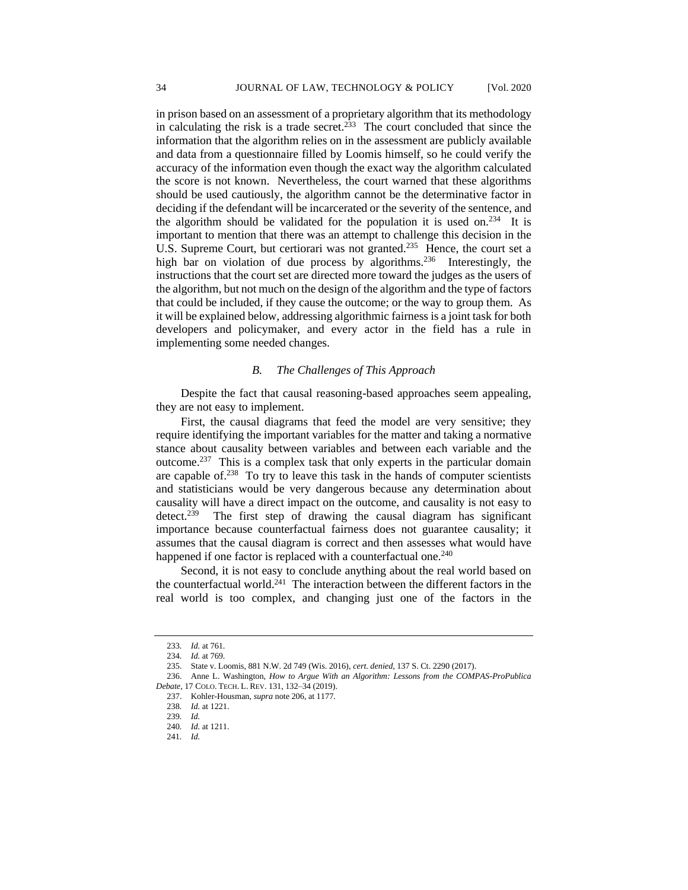in prison based on an assessment of a proprietary algorithm that its methodology in calculating the risk is a trade secret.<sup>233</sup> The court concluded that since the information that the algorithm relies on in the assessment are publicly available and data from a questionnaire filled by Loomis himself, so he could verify the accuracy of the information even though the exact way the algorithm calculated the score is not known. Nevertheless, the court warned that these algorithms should be used cautiously, the algorithm cannot be the determinative factor in deciding if the defendant will be incarcerated or the severity of the sentence, and the algorithm should be validated for the population it is used on.<sup>234</sup> It is important to mention that there was an attempt to challenge this decision in the U.S. Supreme Court, but certiorari was not granted.<sup>235</sup> Hence, the court set a high bar on violation of due process by algorithms.<sup>236</sup> Interestingly, the instructions that the court set are directed more toward the judges as the users of the algorithm, but not much on the design of the algorithm and the type of factors that could be included, if they cause the outcome; or the way to group them. As it will be explained below, addressing algorithmic fairness is a joint task for both developers and policymaker, and every actor in the field has a rule in implementing some needed changes.

# *B. The Challenges of This Approach*

Despite the fact that causal reasoning-based approaches seem appealing, they are not easy to implement.

First, the causal diagrams that feed the model are very sensitive; they require identifying the important variables for the matter and taking a normative stance about causality between variables and between each variable and the outcome.<sup>237</sup> This is a complex task that only experts in the particular domain are capable of.<sup>238</sup> To try to leave this task in the hands of computer scientists and statisticians would be very dangerous because any determination about causality will have a direct impact on the outcome, and causality is not easy to detect.<sup>239</sup> The first step of drawing the causal diagram has significant importance because counterfactual fairness does not guarantee causality; it assumes that the causal diagram is correct and then assesses what would have happened if one factor is replaced with a counterfactual one.<sup>240</sup>

Second, it is not easy to conclude anything about the real world based on the counterfactual world.<sup>241</sup> The interaction between the different factors in the real world is too complex, and changing just one of the factors in the

<sup>233</sup>*. Id.* at 761.

<sup>234</sup>*. Id.* at 769.

<sup>235.</sup> State v. Loomis, 881 N.W. 2d 749 (Wis. 2016), *cert. denied*, 137 S. Ct. 2290 (2017).

<sup>236.</sup> Anne L. Washington, *How to Argue With an Algorithm: Lessons from the COMPAS-ProPublica Debate*, 17 COLO. TECH. L. REV. 131, 132–34 (2019).

<sup>237.</sup> Kohler-Housman, *supra* note 206, at 1177.

<sup>238</sup>*. Id.* at 1221.

<sup>239</sup>*. Id.*

<sup>240</sup>*. Id.* at 1211.

<sup>241</sup>*. Id.*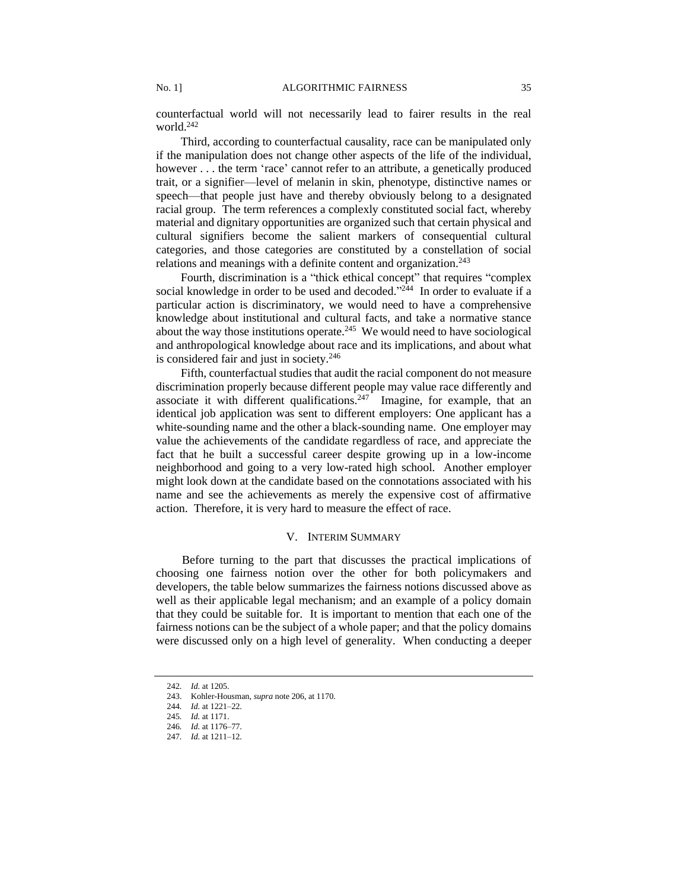counterfactual world will not necessarily lead to fairer results in the real world.<sup>242</sup>

Third, according to counterfactual causality, race can be manipulated only if the manipulation does not change other aspects of the life of the individual, however . . . the term 'race' cannot refer to an attribute, a genetically produced trait, or a signifier—level of melanin in skin, phenotype, distinctive names or speech—that people just have and thereby obviously belong to a designated racial group. The term references a complexly constituted social fact, whereby material and dignitary opportunities are organized such that certain physical and cultural signifiers become the salient markers of consequential cultural categories, and those categories are constituted by a constellation of social relations and meanings with a definite content and organization.<sup>243</sup>

Fourth, discrimination is a "thick ethical concept" that requires "complex social knowledge in order to be used and decoded."<sup>244</sup> In order to evaluate if a particular action is discriminatory, we would need to have a comprehensive knowledge about institutional and cultural facts, and take a normative stance about the way those institutions operate. $245$  We would need to have sociological and anthropological knowledge about race and its implications, and about what is considered fair and just in society.<sup>246</sup>

Fifth, counterfactual studies that audit the racial component do not measure discrimination properly because different people may value race differently and associate it with different qualifications.<sup>247</sup> Imagine, for example, that an identical job application was sent to different employers: One applicant has a white-sounding name and the other a black-sounding name. One employer may value the achievements of the candidate regardless of race, and appreciate the fact that he built a successful career despite growing up in a low-income neighborhood and going to a very low-rated high school. Another employer might look down at the candidate based on the connotations associated with his name and see the achievements as merely the expensive cost of affirmative action. Therefore, it is very hard to measure the effect of race.

# V. INTERIM SUMMARY

Before turning to the part that discusses the practical implications of choosing one fairness notion over the other for both policymakers and developers, the table below summarizes the fairness notions discussed above as well as their applicable legal mechanism; and an example of a policy domain that they could be suitable for. It is important to mention that each one of the fairness notions can be the subject of a whole paper; and that the policy domains were discussed only on a high level of generality. When conducting a deeper

<sup>242</sup>*. Id.* at 1205.

<sup>243.</sup> Kohler-Housman, *supra* note 206, at 1170.

<sup>244</sup>*. Id.* at 1221–22.

<sup>245</sup>*. Id.* at 1171.

<sup>246</sup>*. Id.* at 1176–77.

<sup>247</sup>*. Id.* at 1211–12.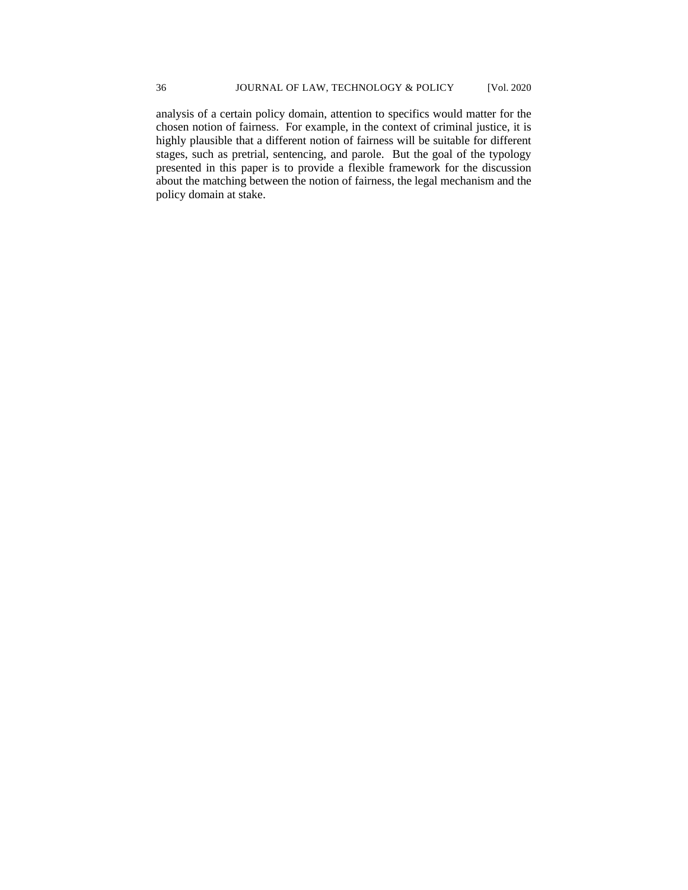analysis of a certain policy domain, attention to specifics would matter for the chosen notion of fairness. For example, in the context of criminal justice, it is highly plausible that a different notion of fairness will be suitable for different stages, such as pretrial, sentencing, and parole. But the goal of the typology presented in this paper is to provide a flexible framework for the discussion about the matching between the notion of fairness, the legal mechanism and the policy domain at stake.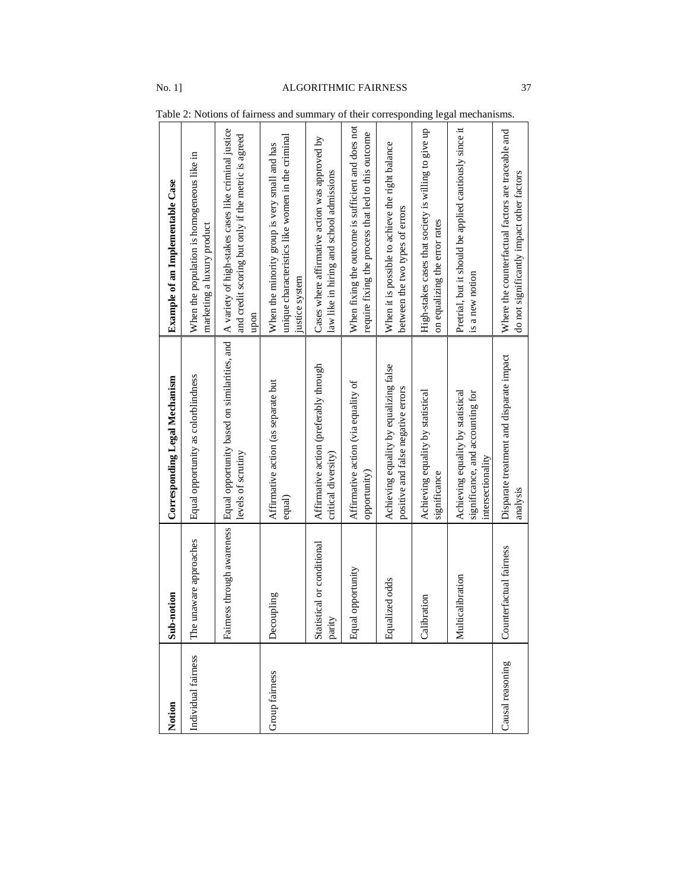| Notion              | Sub-notion                           | <b>Corresponding Legal Mechanism</b>                                                       | <b>Example of an Implementable Case</b>                                                                              |
|---------------------|--------------------------------------|--------------------------------------------------------------------------------------------|----------------------------------------------------------------------------------------------------------------------|
| Individual fairness | The unaware approaches               | Equal opportunity as colorblindness                                                        | When the population is homogeneous like in<br>marketing a luxury product                                             |
|                     | Fairness through awareness           | Equal opportunity based on similarities, and<br>levels of scrutiny                         | A variety of high-stakes cases like criminal justice<br>and credit scoring but only if the metric is agreed<br>upon  |
| Group fairness      | Decoupling                           | Affirmative action (as separate but<br>equal)                                              | unique characteristics like women in the criminal<br>When the minority group is very small and has<br>justice system |
|                     | Statistical or conditional<br>parity | Affirmative action (preferably through<br>critical diversity)                              | Cases where affirmative action was approved by<br>law like in hiring and school admissions                           |
|                     | Equal opportunity                    | Affirmative action (via equality of<br>opportunity)                                        | When fixing the outcome is sufficient and does not<br>require fixing the process that led to this outcome            |
|                     | Equalized odds                       | Achieving equality by equalizing false<br>positive and false negative errors               | When it is possible to achieve the right balance<br>between the two types of errors                                  |
|                     | Calibration                          | Achieving equality by statistical<br>significance                                          | High-stakes cases that society is willing to give up<br>on equalizing the error rates                                |
|                     | Multicalibration                     | Achieving equality by statistical<br>significance, and accounting for<br>intersectionality | Pretrial, but it should be applied cautiously since it<br>is a new notion                                            |
| Causal reasoning    | Counterfactual fairness              | Disparate treatment and disparate impact<br>analysis                                       | Where the counterfactual factors are traceable and<br>do not significantly impact other factors                      |

Table 2: Notions of fairness and summary of their corresponding legal mechanisms.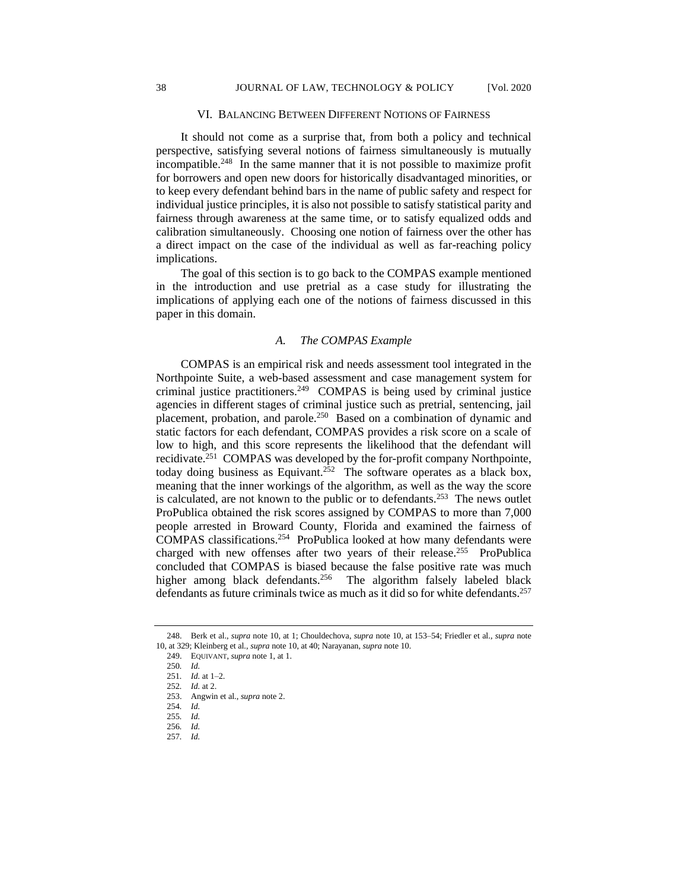#### VI. BALANCING BETWEEN DIFFERENT NOTIONS OF FAIRNESS

It should not come as a surprise that, from both a policy and technical perspective, satisfying several notions of fairness simultaneously is mutually incompatible. 248 In the same manner that it is not possible to maximize profit for borrowers and open new doors for historically disadvantaged minorities, or to keep every defendant behind bars in the name of public safety and respect for individual justice principles, it is also not possible to satisfy statistical parity and fairness through awareness at the same time, or to satisfy equalized odds and calibration simultaneously. Choosing one notion of fairness over the other has a direct impact on the case of the individual as well as far-reaching policy implications.

The goal of this section is to go back to the COMPAS example mentioned in the introduction and use pretrial as a case study for illustrating the implications of applying each one of the notions of fairness discussed in this paper in this domain.

# *A. The COMPAS Example*

COMPAS is an empirical risk and needs assessment tool integrated in the Northpointe Suite, a web-based assessment and case management system for criminal justice practitioners.<sup>249</sup> COMPAS is being used by criminal justice agencies in different stages of criminal justice such as pretrial, sentencing, jail placement, probation, and parole.<sup>250</sup> Based on a combination of dynamic and static factors for each defendant, COMPAS provides a risk score on a scale of low to high, and this score represents the likelihood that the defendant will recidivate.<sup>251</sup> COMPAS was developed by the for-profit company Northpointe, today doing business as Equivant.<sup>252</sup> The software operates as a black box, meaning that the inner workings of the algorithm, as well as the way the score is calculated, are not known to the public or to defendants.<sup>253</sup> The news outlet ProPublica obtained the risk scores assigned by COMPAS to more than 7,000 people arrested in Broward County, Florida and examined the fairness of COMPAS classifications.<sup>254</sup> ProPublica looked at how many defendants were charged with new offenses after two years of their release.<sup>255</sup> ProPublica concluded that COMPAS is biased because the false positive rate was much higher among black defendants.<sup>256</sup> The algorithm falsely labeled black defendants as future criminals twice as much as it did so for white defendants.<sup>257</sup>

<sup>248.</sup> Berk et al., *supra* note 10, at 1; Chouldechova, *supra* note 10, at 153–54; Friedler et al., *supra* note 10, at 329; Kleinberg et al., *supra* note 10, at 40; Narayanan, *supra* note 10.

<sup>249.</sup> EQUIVANT, *supra* note 1, at 1.

<sup>250</sup>*. Id.*

<sup>251</sup>*. Id.* at 1–2.

<sup>252</sup>*. Id.* at 2.

<sup>253.</sup> Angwin et al., *supra* note 2.

<sup>254</sup>*. Id.*

<sup>255</sup>*. Id.*

<sup>256</sup>*. Id.*

<sup>257</sup>*. Id.*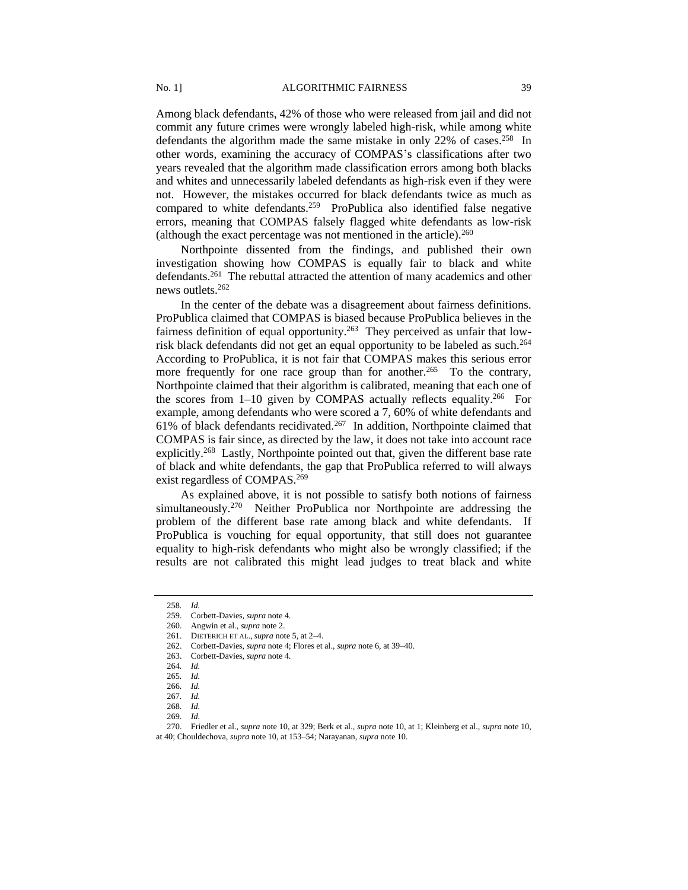Among black defendants, 42% of those who were released from jail and did not commit any future crimes were wrongly labeled high-risk, while among white defendants the algorithm made the same mistake in only 22% of cases.<sup>258</sup> In other words, examining the accuracy of COMPAS's classifications after two years revealed that the algorithm made classification errors among both blacks and whites and unnecessarily labeled defendants as high-risk even if they were not. However, the mistakes occurred for black defendants twice as much as compared to white defendants.<sup>259</sup> ProPublica also identified false negative errors, meaning that COMPAS falsely flagged white defendants as low-risk (although the exact percentage was not mentioned in the article). $260$ 

Northpointe dissented from the findings, and published their own investigation showing how COMPAS is equally fair to black and white defendants.<sup>261</sup> The rebuttal attracted the attention of many academics and other news outlets.<sup>262</sup>

In the center of the debate was a disagreement about fairness definitions. ProPublica claimed that COMPAS is biased because ProPublica believes in the fairness definition of equal opportunity.<sup>263</sup> They perceived as unfair that lowrisk black defendants did not get an equal opportunity to be labeled as such.<sup>264</sup> According to ProPublica, it is not fair that COMPAS makes this serious error more frequently for one race group than for another.<sup>265</sup> To the contrary, Northpointe claimed that their algorithm is calibrated, meaning that each one of the scores from  $1-10$  given by COMPAS actually reflects equality.<sup>266</sup> For example, among defendants who were scored a 7, 60% of white defendants and 61% of black defendants recidivated.<sup>267</sup> In addition, Northpointe claimed that COMPAS is fair since, as directed by the law, it does not take into account race explicitly.<sup>268</sup> Lastly, Northpointe pointed out that, given the different base rate of black and white defendants, the gap that ProPublica referred to will always exist regardless of COMPAS.<sup>269</sup>

As explained above, it is not possible to satisfy both notions of fairness simultaneously.<sup>270</sup> Neither ProPublica nor Northpointe are addressing the problem of the different base rate among black and white defendants. If ProPublica is vouching for equal opportunity, that still does not guarantee equality to high-risk defendants who might also be wrongly classified; if the results are not calibrated this might lead judges to treat black and white

<sup>258</sup>*. Id.*

<sup>259.</sup> Corbett-Davies, *supra* note 4.

<sup>260.</sup> Angwin et al., *supra* note 2.

<sup>261.</sup> DIETERICH ET AL.,*supra* note 5, at 2–4.

<sup>262.</sup> Corbett-Davies, *supra* note 4; Flores et al., *supra* note 6, at 39–40.

<sup>263.</sup> Corbett-Davies, *supra* note 4.

<sup>264</sup>*. Id.*

<sup>265</sup>*. Id.*

<sup>266</sup>*. Id.*

<sup>267</sup>*. Id.*

<sup>268</sup>*. Id.*

<sup>269</sup>*. Id.*

<sup>270.</sup> Friedler et al., *supra* note 10, at 329; Berk et al., *supra* note 10, at 1; Kleinberg et al., *supra* note 10, at 40; Chouldechova, *supra* note 10, at 153–54; Narayanan, *supra* note 10.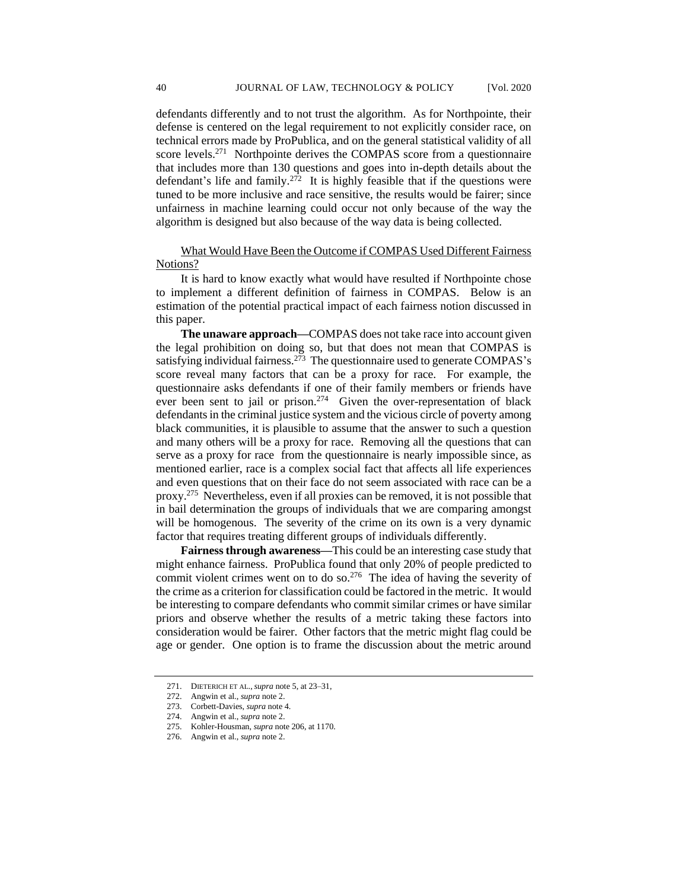defendants differently and to not trust the algorithm. As for Northpointe, their defense is centered on the legal requirement to not explicitly consider race, on technical errors made by ProPublica, and on the general statistical validity of all score levels.<sup>271</sup> Northpointe derives the COMPAS score from a questionnaire that includes more than 130 questions and goes into in-depth details about the defendant's life and family.<sup>272</sup> It is highly feasible that if the questions were tuned to be more inclusive and race sensitive, the results would be fairer; since unfairness in machine learning could occur not only because of the way the algorithm is designed but also because of the way data is being collected.

# What Would Have Been the Outcome if COMPAS Used Different Fairness Notions?

It is hard to know exactly what would have resulted if Northpointe chose to implement a different definition of fairness in COMPAS. Below is an estimation of the potential practical impact of each fairness notion discussed in this paper.

**The unaware approach—**COMPAS does not take race into account given the legal prohibition on doing so, but that does not mean that COMPAS is satisfying individual fairness.<sup>273</sup> The questionnaire used to generate COMPAS's score reveal many factors that can be a proxy for race. For example, the questionnaire asks defendants if one of their family members or friends have ever been sent to jail or prison.<sup>274</sup> Given the over-representation of black defendants in the criminal justice system and the vicious circle of poverty among black communities, it is plausible to assume that the answer to such a question and many others will be a proxy for race. Removing all the questions that can serve as a proxy for race from the questionnaire is nearly impossible since, as mentioned earlier, race is a complex social fact that affects all life experiences and even questions that on their face do not seem associated with race can be a proxy. 275 Nevertheless, even if all proxies can be removed, it is not possible that in bail determination the groups of individuals that we are comparing amongst will be homogenous. The severity of the crime on its own is a very dynamic factor that requires treating different groups of individuals differently.

**Fairness through awareness—**This could be an interesting case study that might enhance fairness. ProPublica found that only 20% of people predicted to commit violent crimes went on to do so.<sup>276</sup> The idea of having the severity of the crime as a criterion for classification could be factored in the metric. It would be interesting to compare defendants who commit similar crimes or have similar priors and observe whether the results of a metric taking these factors into consideration would be fairer. Other factors that the metric might flag could be age or gender. One option is to frame the discussion about the metric around

<sup>271.</sup> DIETERICH ET AL.,*supra* note 5, at 23–31,

<sup>272.</sup> Angwin et al., *supra* note 2.

<sup>273.</sup> Corbett-Davies, *supra* note 4.

<sup>274.</sup> Angwin et al., *supra* note 2.

<sup>275.</sup> Kohler-Housman, *supra* note 206, at 1170.

<sup>276.</sup> Angwin et al., *supra* note 2.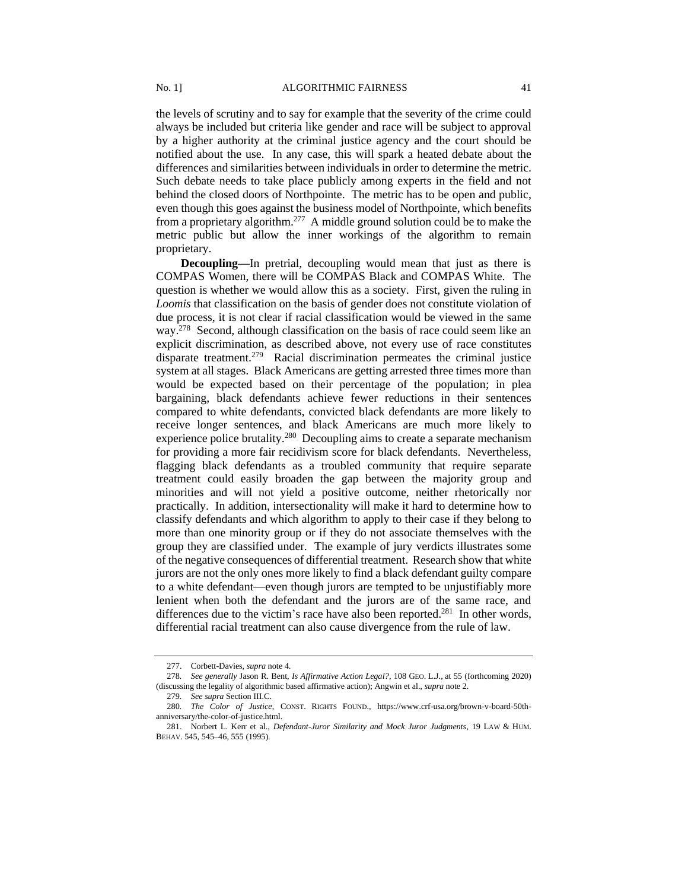the levels of scrutiny and to say for example that the severity of the crime could always be included but criteria like gender and race will be subject to approval by a higher authority at the criminal justice agency and the court should be notified about the use. In any case, this will spark a heated debate about the differences and similarities between individuals in order to determine the metric. Such debate needs to take place publicly among experts in the field and not behind the closed doors of Northpointe. The metric has to be open and public, even though this goes against the business model of Northpointe, which benefits from a proprietary algorithm.<sup>277</sup> A middle ground solution could be to make the metric public but allow the inner workings of the algorithm to remain proprietary.

**Decoupling—**In pretrial, decoupling would mean that just as there is COMPAS Women, there will be COMPAS Black and COMPAS White. The question is whether we would allow this as a society. First, given the ruling in *Loomis* that classification on the basis of gender does not constitute violation of due process, it is not clear if racial classification would be viewed in the same way.<sup>278</sup> Second, although classification on the basis of race could seem like an explicit discrimination, as described above, not every use of race constitutes disparate treatment.<sup>279</sup> Racial discrimination permeates the criminal justice system at all stages. Black Americans are getting arrested three times more than would be expected based on their percentage of the population; in plea bargaining, black defendants achieve fewer reductions in their sentences compared to white defendants, convicted black defendants are more likely to receive longer sentences, and black Americans are much more likely to experience police brutality.<sup>280</sup> Decoupling aims to create a separate mechanism for providing a more fair recidivism score for black defendants. Nevertheless, flagging black defendants as a troubled community that require separate treatment could easily broaden the gap between the majority group and minorities and will not yield a positive outcome, neither rhetorically nor practically. In addition, intersectionality will make it hard to determine how to classify defendants and which algorithm to apply to their case if they belong to more than one minority group or if they do not associate themselves with the group they are classified under. The example of jury verdicts illustrates some of the negative consequences of differential treatment. Research show that white jurors are not the only ones more likely to find a black defendant guilty compare to a white defendant—even though jurors are tempted to be unjustifiably more lenient when both the defendant and the jurors are of the same race, and differences due to the victim's race have also been reported.<sup>281</sup> In other words, differential racial treatment can also cause divergence from the rule of law.

<sup>277.</sup> Corbett-Davies, *supra* note 4.

<sup>278</sup>*. See generally* Jason R. Bent, *Is Affirmative Action Legal?*, 108 GEO. L.J., at 55 (forthcoming 2020) (discussing the legality of algorithmic based affirmative action); Angwin et al., *supra* note 2.

<sup>279</sup>*. See supra* Section III.C.

<sup>280</sup>*. The Color of Justice*, CONST. RIGHTS FOUND., https://www.crf-usa.org/brown-v-board-50thanniversary/the-color-of-justice.html.

<sup>281.</sup> Norbert L. Kerr et al., *Defendant-Juror Similarity and Mock Juror Judgments*, 19 LAW & HUM. BEHAV. 545, 545–46, 555 (1995).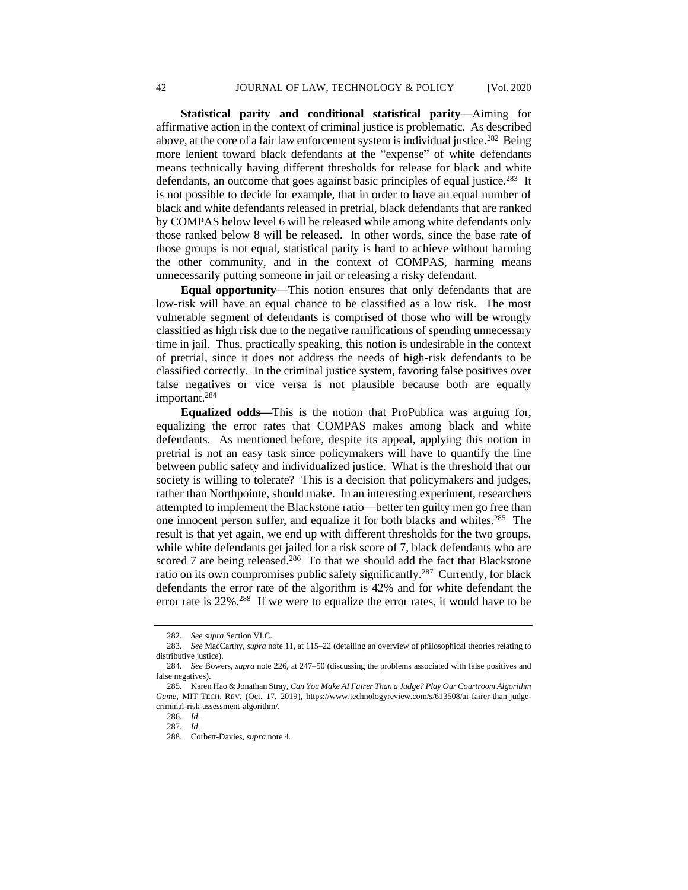**Statistical parity and conditional statistical parity—**Aiming for affirmative action in the context of criminal justice is problematic. As described above, at the core of a fair law enforcement system is individual justice.<sup>282</sup> Being more lenient toward black defendants at the "expense" of white defendants means technically having different thresholds for release for black and white defendants, an outcome that goes against basic principles of equal justice.<sup>283</sup> It is not possible to decide for example, that in order to have an equal number of black and white defendants released in pretrial, black defendants that are ranked by COMPAS below level 6 will be released while among white defendants only those ranked below 8 will be released. In other words, since the base rate of those groups is not equal, statistical parity is hard to achieve without harming the other community, and in the context of COMPAS, harming means unnecessarily putting someone in jail or releasing a risky defendant.

**Equal opportunity—**This notion ensures that only defendants that are low-risk will have an equal chance to be classified as a low risk. The most vulnerable segment of defendants is comprised of those who will be wrongly classified as high risk due to the negative ramifications of spending unnecessary time in jail. Thus, practically speaking, this notion is undesirable in the context of pretrial, since it does not address the needs of high-risk defendants to be classified correctly. In the criminal justice system, favoring false positives over false negatives or vice versa is not plausible because both are equally important.<sup>284</sup>

**Equalized odds—**This is the notion that ProPublica was arguing for, equalizing the error rates that COMPAS makes among black and white defendants. As mentioned before, despite its appeal, applying this notion in pretrial is not an easy task since policymakers will have to quantify the line between public safety and individualized justice. What is the threshold that our society is willing to tolerate? This is a decision that policymakers and judges, rather than Northpointe, should make. In an interesting experiment, researchers attempted to implement the Blackstone ratio—better ten guilty men go free than one innocent person suffer, and equalize it for both blacks and whites.<sup>285</sup> The result is that yet again, we end up with different thresholds for the two groups, while white defendants get jailed for a risk score of 7, black defendants who are scored 7 are being released. $286$  To that we should add the fact that Blackstone ratio on its own compromises public safety significantly.<sup>287</sup> Currently, for black defendants the error rate of the algorithm is 42% and for white defendant the error rate is 22%.<sup>288</sup> If we were to equalize the error rates, it would have to be

<sup>282</sup>*. See supra* Section VI.C.

<sup>283</sup>*. See* MacCarthy, *supra* note 11, at 115–22 (detailing an overview of philosophical theories relating to distributive justice)*.*

<sup>284</sup>*. See* Bowers, *supra* note 226, at 247–50 (discussing the problems associated with false positives and false negatives).

<sup>285.</sup> Karen Hao & Jonathan Stray, *Can You Make AI Fairer Than a Judge? Play Our Courtroom Algorithm Game*, MIT TECH. REV. (Oct. 17, 2019), https://www.technologyreview.com/s/613508/ai-fairer-than-judgecriminal-risk-assessment-algorithm/.

<sup>286</sup>*. Id*.

<sup>287</sup>*. Id*.

<sup>288.</sup> Corbett-Davies, *supra* note 4.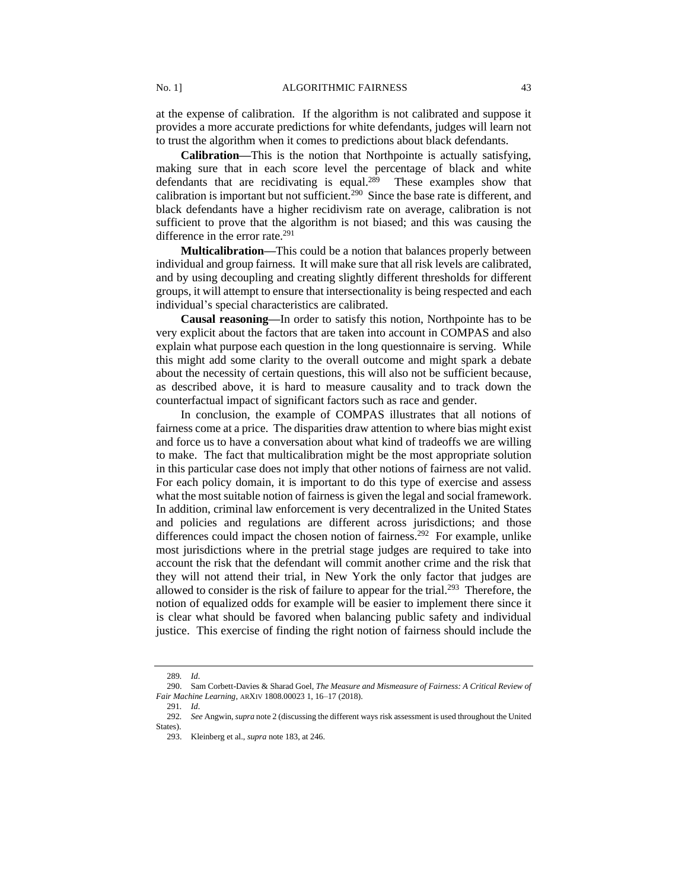at the expense of calibration. If the algorithm is not calibrated and suppose it provides a more accurate predictions for white defendants, judges will learn not to trust the algorithm when it comes to predictions about black defendants.

**Calibration—**This is the notion that Northpointe is actually satisfying, making sure that in each score level the percentage of black and white defendants that are recidivating is equal.<sup>289</sup> These examples show that calibration is important but not sufficient.<sup>290</sup> Since the base rate is different, and black defendants have a higher recidivism rate on average, calibration is not sufficient to prove that the algorithm is not biased; and this was causing the difference in the error rate.<sup>291</sup>

**Multicalibration—**This could be a notion that balances properly between individual and group fairness. It will make sure that all risk levels are calibrated, and by using decoupling and creating slightly different thresholds for different groups, it will attempt to ensure that intersectionality is being respected and each individual's special characteristics are calibrated.

**Causal reasoning—**In order to satisfy this notion, Northpointe has to be very explicit about the factors that are taken into account in COMPAS and also explain what purpose each question in the long questionnaire is serving. While this might add some clarity to the overall outcome and might spark a debate about the necessity of certain questions, this will also not be sufficient because, as described above, it is hard to measure causality and to track down the counterfactual impact of significant factors such as race and gender.

In conclusion, the example of COMPAS illustrates that all notions of fairness come at a price. The disparities draw attention to where bias might exist and force us to have a conversation about what kind of tradeoffs we are willing to make. The fact that multicalibration might be the most appropriate solution in this particular case does not imply that other notions of fairness are not valid. For each policy domain, it is important to do this type of exercise and assess what the most suitable notion of fairness is given the legal and social framework. In addition, criminal law enforcement is very decentralized in the United States and policies and regulations are different across jurisdictions; and those differences could impact the chosen notion of fairness.<sup>292</sup> For example, unlike most jurisdictions where in the pretrial stage judges are required to take into account the risk that the defendant will commit another crime and the risk that they will not attend their trial, in New York the only factor that judges are allowed to consider is the risk of failure to appear for the trial.<sup>293</sup> Therefore, the notion of equalized odds for example will be easier to implement there since it is clear what should be favored when balancing public safety and individual justice. This exercise of finding the right notion of fairness should include the

<sup>289</sup>*. Id*.

<sup>290.</sup> Sam Corbett-Davies & Sharad Goel, *The Measure and Mismeasure of Fairness: A Critical Review of Fair Machine Learning*, ARXIV 1808.00023 1, 16–17 (2018).

<sup>291</sup>*. Id*.

<sup>292</sup>*. See* Angwin, *supra* note 2 (discussing the different ways risk assessment is used throughout the United States).

<sup>293.</sup> Kleinberg et al., *supra* note 183, at 246.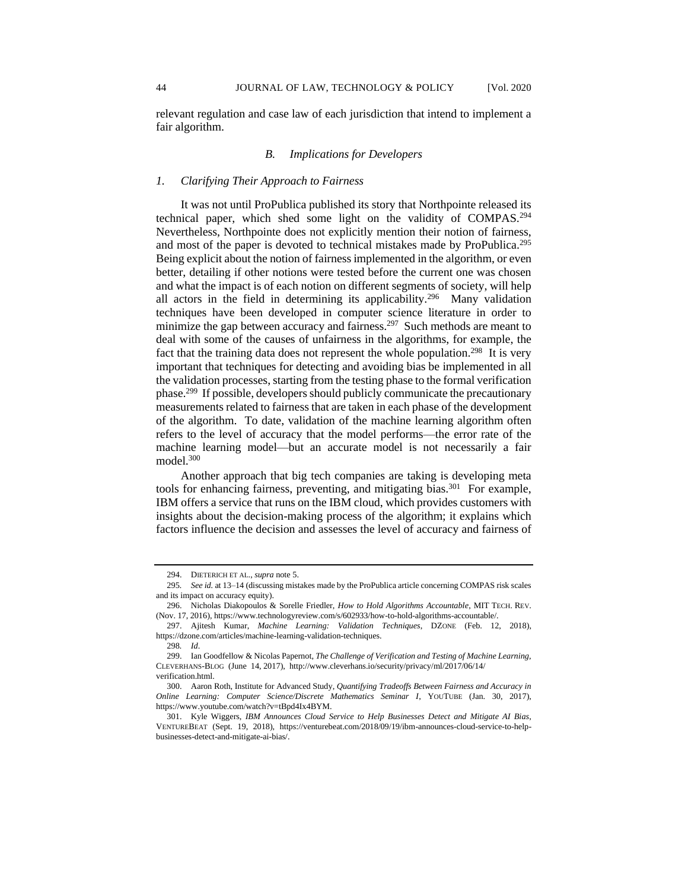# *B. Implications for Developers*

## *1. Clarifying Their Approach to Fairness*

It was not until ProPublica published its story that Northpointe released its technical paper, which shed some light on the validity of COMPAS.<sup>294</sup> Nevertheless, Northpointe does not explicitly mention their notion of fairness, and most of the paper is devoted to technical mistakes made by ProPublica.<sup>295</sup> Being explicit about the notion of fairness implemented in the algorithm, or even better, detailing if other notions were tested before the current one was chosen and what the impact is of each notion on different segments of society, will help all actors in the field in determining its applicability.<sup>296</sup> Many validation techniques have been developed in computer science literature in order to minimize the gap between accuracy and fairness.<sup>297</sup> Such methods are meant to deal with some of the causes of unfairness in the algorithms, for example, the fact that the training data does not represent the whole population.<sup>298</sup> It is very important that techniques for detecting and avoiding bias be implemented in all the validation processes, starting from the testing phase to the formal verification phase.<sup>299</sup> If possible, developers should publicly communicate the precautionary measurements related to fairness that are taken in each phase of the development of the algorithm. To date, validation of the machine learning algorithm often refers to the level of accuracy that the model performs—the error rate of the machine learning model—but an accurate model is not necessarily a fair model.<sup>300</sup>

Another approach that big tech companies are taking is developing meta tools for enhancing fairness, preventing, and mitigating bias.<sup>301</sup> For example, IBM offers a service that runs on the IBM cloud, which provides customers with insights about the decision-making process of the algorithm; it explains which factors influence the decision and assesses the level of accuracy and fairness of

<sup>294.</sup> DIETERICH ET AL., *supra* note 5.

<sup>295</sup>*. See id.* at 13–14 (discussing mistakes made by the ProPublica article concerning COMPAS risk scales and its impact on accuracy equity).

<sup>296.</sup> Nicholas Diakopoulos & Sorelle Friedler, *How to Hold Algorithms Accountable*, MIT TECH. REV. (Nov. 17, 2016), https://www.technologyreview.com/s/602933/how-to-hold-algorithms-accountable/.

<sup>297.</sup> Ajitesh Kumar, *Machine Learning: Validation Techniques*, DZONE (Feb. 12, 2018), https://dzone.com/articles/machine-learning-validation-techniques.

<sup>298</sup>*. Id*.

<sup>299.</sup> Ian Goodfellow & Nicolas Papernot, *The Challenge of Verification and Testing of Machine Learning*, CLEVERHANS-BLOG (June 14, 2017), http://www.cleverhans.io/security/privacy/ml/2017/06/14/ verification.html.

<sup>300.</sup> Aaron Roth, Institute for Advanced Study, *Quantifying Tradeoffs Between Fairness and Accuracy in Online Learning: Computer Science/Discrete Mathematics Seminar I*, YOUTUBE (Jan. 30, 2017), https://www.youtube.com/watch?v=tBpd4Ix4BYM.

<sup>301.</sup> Kyle Wiggers, *IBM Announces Cloud Service to Help Businesses Detect and Mitigate AI Bias*, VENTUREBEAT (Sept. 19, 2018), https://venturebeat.com/2018/09/19/ibm-announces-cloud-service-to-helpbusinesses-detect-and-mitigate-ai-bias/.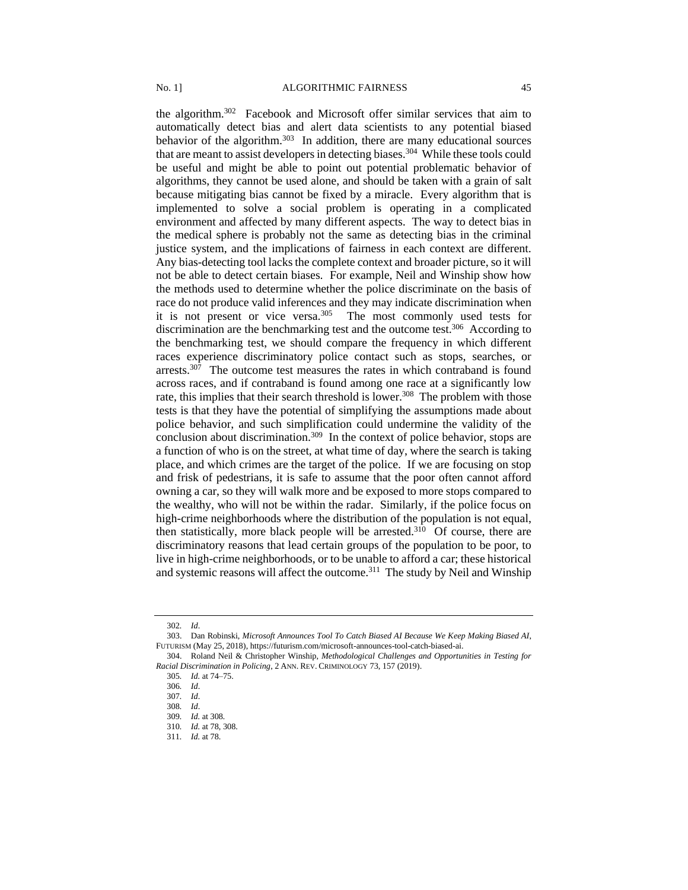the algorithm.<sup>302</sup> Facebook and Microsoft offer similar services that aim to automatically detect bias and alert data scientists to any potential biased behavior of the algorithm.<sup>303</sup> In addition, there are many educational sources that are meant to assist developers in detecting biases.<sup>304</sup> While these tools could be useful and might be able to point out potential problematic behavior of algorithms, they cannot be used alone, and should be taken with a grain of salt because mitigating bias cannot be fixed by a miracle. Every algorithm that is implemented to solve a social problem is operating in a complicated environment and affected by many different aspects. The way to detect bias in the medical sphere is probably not the same as detecting bias in the criminal justice system, and the implications of fairness in each context are different. Any bias-detecting tool lacks the complete context and broader picture, so it will not be able to detect certain biases. For example, Neil and Winship show how the methods used to determine whether the police discriminate on the basis of race do not produce valid inferences and they may indicate discrimination when it is not present or vice versa.<sup>305</sup> The most commonly used tests for discrimination are the benchmarking test and the outcome test.<sup>306</sup> According to the benchmarking test, we should compare the frequency in which different races experience discriminatory police contact such as stops, searches, or arrests.<sup>307</sup> The outcome test measures the rates in which contraband is found across races, and if contraband is found among one race at a significantly low rate, this implies that their search threshold is lower.<sup>308</sup> The problem with those tests is that they have the potential of simplifying the assumptions made about police behavior, and such simplification could undermine the validity of the conclusion about discrimination.<sup>309</sup> In the context of police behavior, stops are a function of who is on the street, at what time of day, where the search is taking place, and which crimes are the target of the police. If we are focusing on stop and frisk of pedestrians, it is safe to assume that the poor often cannot afford owning a car, so they will walk more and be exposed to more stops compared to the wealthy, who will not be within the radar. Similarly, if the police focus on high-crime neighborhoods where the distribution of the population is not equal, then statistically, more black people will be arrested.<sup>310</sup> Of course, there are discriminatory reasons that lead certain groups of the population to be poor, to live in high-crime neighborhoods, or to be unable to afford a car; these historical and systemic reasons will affect the outcome.<sup>311</sup> The study by Neil and Winship

<span id="page-44-0"></span><sup>302</sup>*. Id*.

<sup>303.</sup> Dan Robinski, *Microsoft Announces Tool To Catch Biased AI Because We Keep Making Biased AI*, FUTURISM (May 25, 2018), https://futurism.com/microsoft-announces-tool-catch-biased-ai.

<sup>304.</sup> Roland Neil & Christopher Winship, *Methodological Challenges and Opportunities in Testing for Racial Discrimination in Policing*, 2 ANN. REV. CRIMINOLOGY 73, 157 (2019).

<sup>305</sup>*. Id.* at 74–75.

<sup>306</sup>*. Id*.

<sup>307</sup>*. Id*.

<sup>308</sup>*. Id*.

<sup>309</sup>*. Id.* a[t 308](#page-44-0)*.*

<sup>310</sup>*. Id.* at 78[, 308.](#page-44-0)

<sup>311</sup>*. Id.* at 78.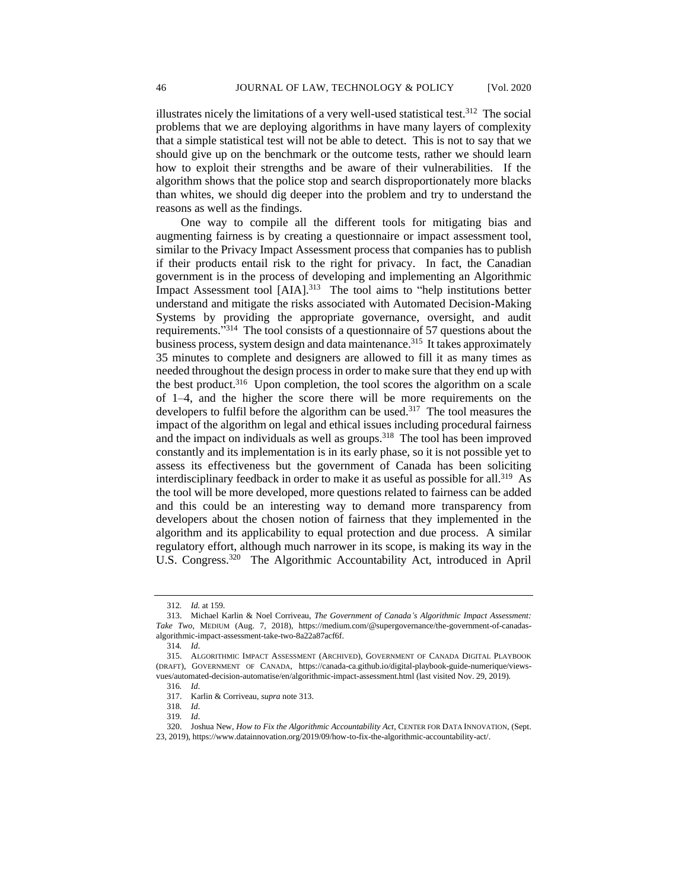illustrates nicely the limitations of a very well-used statistical test.<sup>312</sup> The social problems that we are deploying algorithms in have many layers of complexity that a simple statistical test will not be able to detect. This is not to say that we should give up on the benchmark or the outcome tests, rather we should learn how to exploit their strengths and be aware of their vulnerabilities. If the algorithm shows that the police stop and search disproportionately more blacks than whites, we should dig deeper into the problem and try to understand the reasons as well as the findings.

One way to compile all the different tools for mitigating bias and augmenting fairness is by creating a questionnaire or impact assessment tool, similar to the Privacy Impact Assessment process that companies has to publish if their products entail risk to the right for privacy. In fact, the Canadian government is in the process of developing and implementing an Algorithmic Impact Assessment tool  $[AIA]$ <sup>313</sup> The tool aims to "help institutions better understand and mitigate the risks associated with Automated Decision-Making Systems by providing the appropriate governance, oversight, and audit requirements."<sup>314</sup> The tool consists of a questionnaire of 57 questions about the business process, system design and data maintenance.<sup>315</sup> It takes approximately 35 minutes to complete and designers are allowed to fill it as many times as needed throughout the design process in order to make sure that they end up with the best product.<sup>316</sup> Upon completion, the tool scores the algorithm on a scale of 1–4, and the higher the score there will be more requirements on the developers to fulfil before the algorithm can be used.<sup>317</sup> The tool measures the impact of the algorithm on legal and ethical issues including procedural fairness and the impact on individuals as well as groups.<sup>318</sup> The tool has been improved constantly and its implementation is in its early phase, so it is not possible yet to assess its effectiveness but the government of Canada has been soliciting interdisciplinary feedback in order to make it as useful as possible for all.<sup>319</sup> As the tool will be more developed, more questions related to fairness can be added and this could be an interesting way to demand more transparency from developers about the chosen notion of fairness that they implemented in the algorithm and its applicability to equal protection and due process. A similar regulatory effort, although much narrower in its scope, is making its way in the U.S. Congress.<sup>320</sup> The Algorithmic Accountability Act, introduced in April

<sup>312</sup>*. Id.* at 159.

<sup>313.</sup> Michael Karlin & Noel Corriveau, *The Government of Canada's Algorithmic Impact Assessment: Take Two*, MEDIUM (Aug. 7, 2018), https://medium.com/@supergovernance/the-government-of-canadasalgorithmic-impact-assessment-take-two-8a22a87acf6f.

<sup>314</sup>*. Id*.

<sup>315.</sup> ALGORITHMIC IMPACT ASSESSMENT (ARCHIVED), GOVERNMENT OF CANADA DIGITAL PLAYBOOK (DRAFT), GOVERNMENT OF CANADA, https://canada-ca.github.io/digital-playbook-guide-numerique/viewsvues/automated-decision-automatise/en/algorithmic-impact-assessment.html (last visited Nov. 29, 2019).

<sup>316</sup>*. Id*.

<sup>317.</sup> Karlin & Corriveau, *supra* note 313.

<sup>318</sup>*. Id*.

<sup>319</sup>*. Id*.

<sup>320.</sup> Joshua New, *How to Fix the Algorithmic Accountability Act*, CENTER FOR DATA INNOVATION, (Sept. 23, 2019), https://www.datainnovation.org/2019/09/how-to-fix-the-algorithmic-accountability-act/.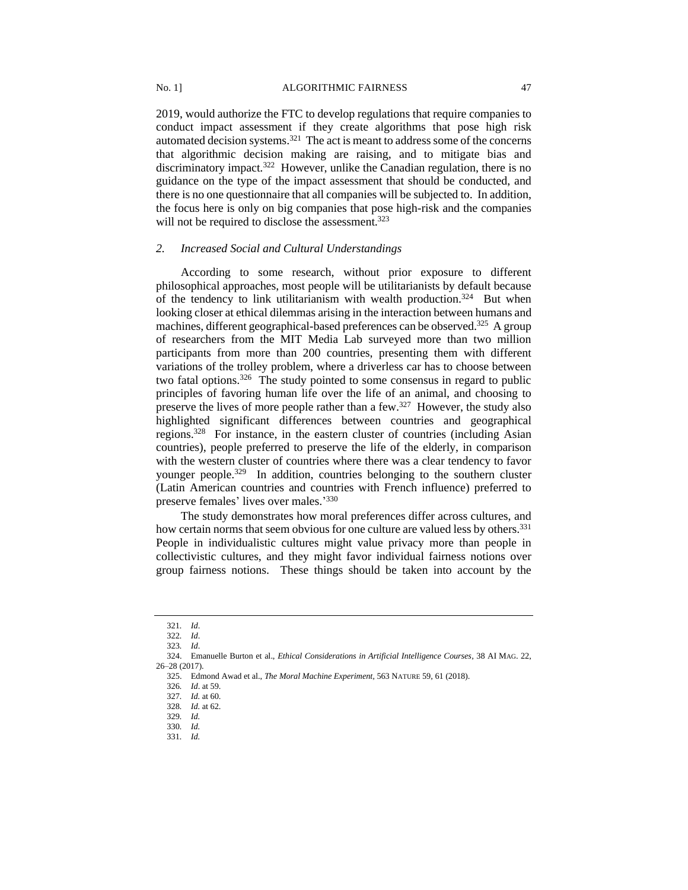2019, would authorize the FTC to develop regulations that require companies to conduct impact assessment if they create algorithms that pose high risk automated decision systems.<sup>321</sup> The act is meant to address some of the concerns that algorithmic decision making are raising, and to mitigate bias and discriminatory impact.<sup>322</sup> However, unlike the Canadian regulation, there is no guidance on the type of the impact assessment that should be conducted, and there is no one questionnaire that all companies will be subjected to. In addition, the focus here is only on big companies that pose high-risk and the companies will not be required to disclose the assessment.<sup>323</sup>

#### *2. Increased Social and Cultural Understandings*

According to some research, without prior exposure to different philosophical approaches, most people will be utilitarianists by default because of the tendency to link utilitarianism with wealth production.<sup>324</sup> But when looking closer at ethical dilemmas arising in the interaction between humans and machines, different geographical-based preferences can be observed.<sup>325</sup> A group of researchers from the MIT Media Lab surveyed more than two million participants from more than 200 countries, presenting them with different variations of the trolley problem, where a driverless car has to choose between two fatal options.<sup>326</sup> The study pointed to some consensus in regard to public principles of favoring human life over the life of an animal, and choosing to preserve the lives of more people rather than a few.<sup>327</sup> However, the study also highlighted significant differences between countries and geographical regions.<sup>328</sup> For instance, in the eastern cluster of countries (including Asian countries), people preferred to preserve the life of the elderly, in comparison with the western cluster of countries where there was a clear tendency to favor younger people.<sup>329</sup> In addition, countries belonging to the southern cluster (Latin American countries and countries with French influence) preferred to preserve females' lives over males.'330

The study demonstrates how moral preferences differ across cultures, and how certain norms that seem obvious for one culture are valued less by others.<sup>331</sup> People in individualistic cultures might value privacy more than people in collectivistic cultures, and they might favor individual fairness notions over group fairness notions. These things should be taken into account by the

<sup>321</sup>*. Id*.

<sup>322</sup>*. Id*.

<sup>323</sup>*. Id*.

<sup>324.</sup> Emanuelle Burton et al., *Ethical Considerations in Artificial Intelligence Courses*, 38 AI MAG. 22, 26–28 (2017).

<sup>325.</sup> Edmond Awad et al., *The Moral Machine Experiment,* 563 NATURE 59, 61 (2018).

<sup>326</sup>*. Id*. at 59.

<sup>327</sup>*. Id.* at 60. 328*. Id.* at 62.

<sup>329</sup>*. Id.*

<sup>330</sup>*. Id.*

<sup>331</sup>*. Id.*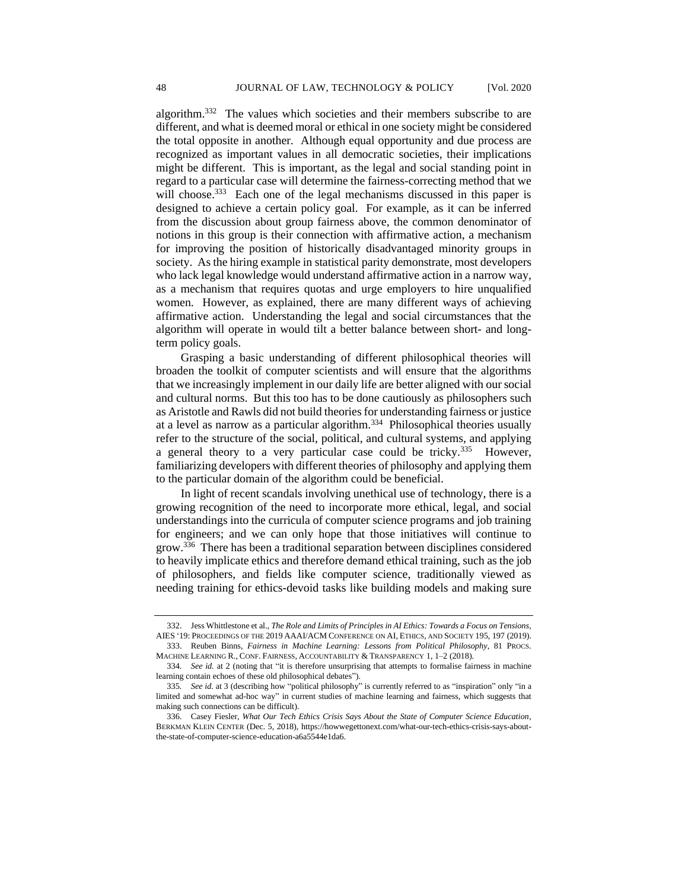algorithm.<sup>332</sup> The values which societies and their members subscribe to are different, and what is deemed moral or ethical in one society might be considered the total opposite in another. Although equal opportunity and due process are recognized as important values in all democratic societies, their implications might be different. This is important, as the legal and social standing point in regard to a particular case will determine the fairness-correcting method that we will choose.<sup>333</sup> Each one of the legal mechanisms discussed in this paper is designed to achieve a certain policy goal. For example, as it can be inferred from the discussion about group fairness above, the common denominator of notions in this group is their connection with affirmative action, a mechanism for improving the position of historically disadvantaged minority groups in society. As the hiring example in statistical parity demonstrate, most developers who lack legal knowledge would understand affirmative action in a narrow way, as a mechanism that requires quotas and urge employers to hire unqualified women. However, as explained, there are many different ways of achieving affirmative action. Understanding the legal and social circumstances that the algorithm will operate in would tilt a better balance between short- and longterm policy goals.

Grasping a basic understanding of different philosophical theories will broaden the toolkit of computer scientists and will ensure that the algorithms that we increasingly implement in our daily life are better aligned with our social and cultural norms. But this too has to be done cautiously as philosophers such as Aristotle and Rawls did not build theories for understanding fairness or justice at a level as narrow as a particular algorithm.<sup>334</sup> Philosophical theories usually refer to the structure of the social, political, and cultural systems, and applying a general theory to a very particular case could be tricky.<sup>335</sup> However, familiarizing developers with different theories of philosophy and applying them to the particular domain of the algorithm could be beneficial.

In light of recent scandals involving unethical use of technology, there is a growing recognition of the need to incorporate more ethical, legal, and social understandings into the curricula of computer science programs and job training for engineers; and we can only hope that those initiatives will continue to grow.<sup>336</sup> There has been a traditional separation between disciplines considered to heavily implicate ethics and therefore demand ethical training, such as the job of philosophers, and fields like computer science, traditionally viewed as needing training for ethics-devoid tasks like building models and making sure

<sup>332.</sup> Jess Whittlestone et al., *The Role and Limits of Principles in AI Ethics: Towards a Focus on Tensions*, AIES '19: PROCEEDINGS OF THE 2019 AAAI/ACM CONFERENCE ON AI, ETHICS, AND SOCIETY 195, 197 (2019).

<sup>333.</sup> Reuben Binns, *Fairness in Machine Learning: Lessons from Political Philosophy*, 81 PROCS. MACHINE LEARNING R., CONF. FAIRNESS, ACCOUNTABILITY & TRANSPARENCY 1, 1–2 (2018).

<sup>334</sup>*. See id.* at 2 (noting that "it is therefore unsurprising that attempts to formalise fairness in machine learning contain echoes of these old philosophical debates").

<sup>335</sup>*. See id.* at 3 (describing how "political philosophy" is currently referred to as "inspiration" only "in a limited and somewhat ad-hoc way" in current studies of machine learning and fairness, which suggests that making such connections can be difficult).

<sup>336.</sup> Casey Fiesler, *What Our Tech Ethics Crisis Says About the State of Computer Science Education*, BERKMAN KLEIN CENTER (Dec. 5, 2018), https://howwegettonext.com/what-our-tech-ethics-crisis-says-aboutthe-state-of-computer-science-education-a6a5544e1da6.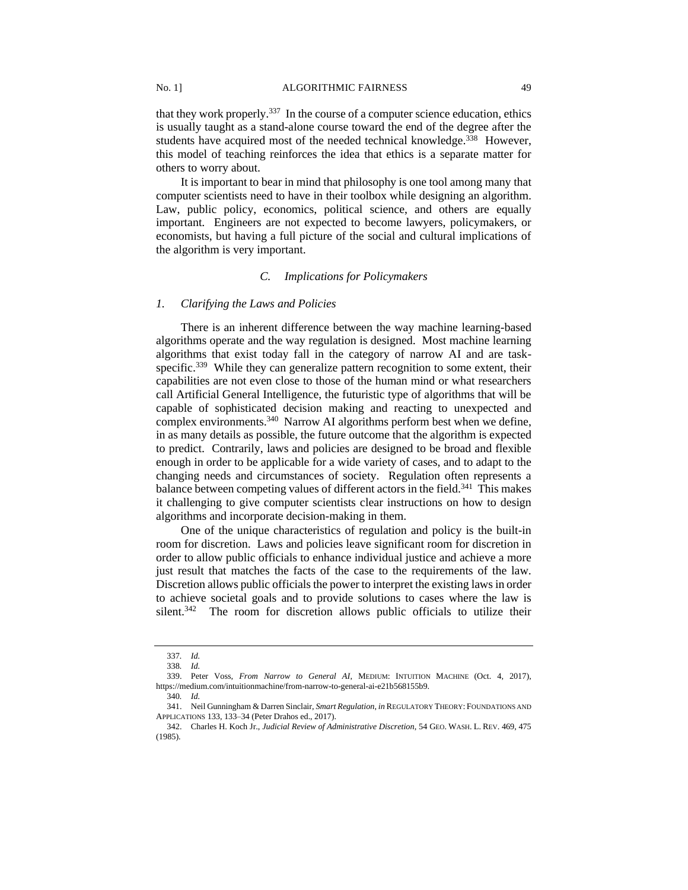that they work properly.<sup>337</sup> In the course of a computer science education, ethics is usually taught as a stand-alone course toward the end of the degree after the students have acquired most of the needed technical knowledge.<sup>338</sup> However, this model of teaching reinforces the idea that ethics is a separate matter for others to worry about.

It is important to bear in mind that philosophy is one tool among many that computer scientists need to have in their toolbox while designing an algorithm. Law, public policy, economics, political science, and others are equally important. Engineers are not expected to become lawyers, policymakers, or economists, but having a full picture of the social and cultural implications of the algorithm is very important.

# *C. Implications for Policymakers*

#### *1. Clarifying the Laws and Policies*

There is an inherent difference between the way machine learning-based algorithms operate and the way regulation is designed. Most machine learning algorithms that exist today fall in the category of narrow AI and are taskspecific.<sup>339</sup> While they can generalize pattern recognition to some extent, their capabilities are not even close to those of the human mind or what researchers call Artificial General Intelligence, the futuristic type of algorithms that will be capable of sophisticated decision making and reacting to unexpected and complex environments.<sup>340</sup> Narrow AI algorithms perform best when we define, in as many details as possible, the future outcome that the algorithm is expected to predict. Contrarily, laws and policies are designed to be broad and flexible enough in order to be applicable for a wide variety of cases, and to adapt to the changing needs and circumstances of society. Regulation often represents a balance between competing values of different actors in the field.<sup>341</sup> This makes it challenging to give computer scientists clear instructions on how to design algorithms and incorporate decision-making in them.

One of the unique characteristics of regulation and policy is the built-in room for discretion. Laws and policies leave significant room for discretion in order to allow public officials to enhance individual justice and achieve a more just result that matches the facts of the case to the requirements of the law. Discretion allows public officials the power to interpret the existing laws in order to achieve societal goals and to provide solutions to cases where the law is silent.<sup>342</sup> The room for discretion allows public officials to utilize their

<sup>337</sup>*. Id.*

<sup>338</sup>*. Id.*

<sup>339.</sup> Peter Voss, *From Narrow to General AI*, MEDIUM: INTUITION MACHINE (Oct. 4, 2017), https://medium.com/intuitionmachine/from-narrow-to-general-ai-e21b568155b9.

<sup>340</sup>*. Id.*

<sup>341.</sup> Neil Gunningham & Darren Sinclair, *Smart Regulation*, *in* REGULATORY THEORY: FOUNDATIONS AND APPLICATIONS 133, 133–34 (Peter Drahos ed., 2017).

<sup>342.</sup> Charles H. Koch Jr., *Judicial Review of Administrative Discretion*, 54 GEO. WASH. L. REV. 469, 475 (1985).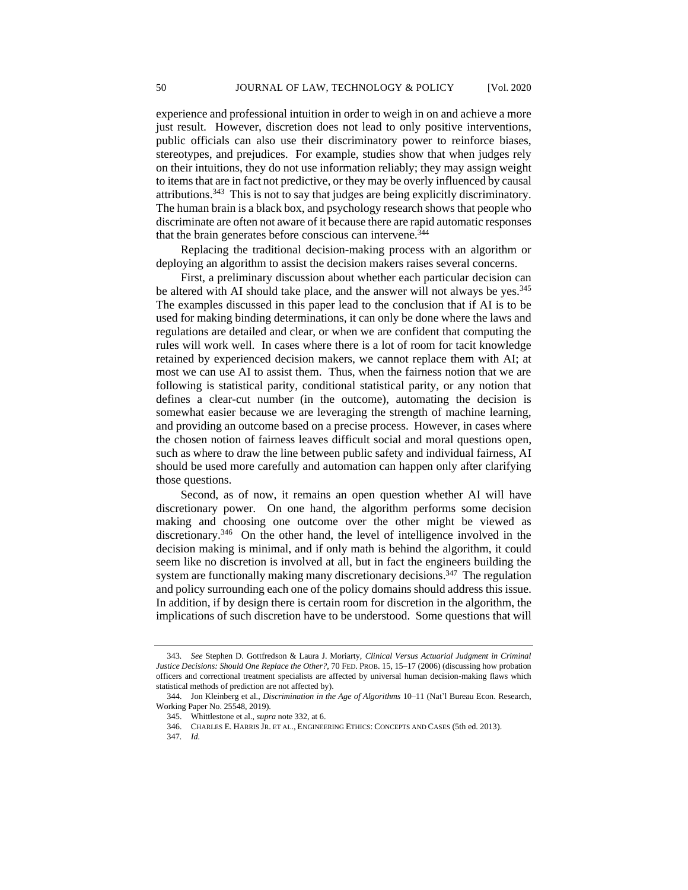experience and professional intuition in order to weigh in on and achieve a more just result. However, discretion does not lead to only positive interventions, public officials can also use their discriminatory power to reinforce biases, stereotypes, and prejudices. For example, studies show that when judges rely on their intuitions, they do not use information reliably; they may assign weight to items that are in fact not predictive, or they may be overly influenced by causal attributions.<sup>343</sup> This is not to say that judges are being explicitly discriminatory. The human brain is a black box, and psychology research shows that people who discriminate are often not aware of it because there are rapid automatic responses that the brain generates before conscious can intervene.<sup>344</sup>

Replacing the traditional decision-making process with an algorithm or deploying an algorithm to assist the decision makers raises several concerns.

First, a preliminary discussion about whether each particular decision can be altered with AI should take place, and the answer will not always be yes.<sup>345</sup> The examples discussed in this paper lead to the conclusion that if AI is to be used for making binding determinations, it can only be done where the laws and regulations are detailed and clear, or when we are confident that computing the rules will work well. In cases where there is a lot of room for tacit knowledge retained by experienced decision makers, we cannot replace them with AI; at most we can use AI to assist them. Thus, when the fairness notion that we are following is statistical parity, conditional statistical parity, or any notion that defines a clear-cut number (in the outcome), automating the decision is somewhat easier because we are leveraging the strength of machine learning, and providing an outcome based on a precise process. However, in cases where the chosen notion of fairness leaves difficult social and moral questions open, such as where to draw the line between public safety and individual fairness, AI should be used more carefully and automation can happen only after clarifying those questions.

Second, as of now, it remains an open question whether AI will have discretionary power. On one hand, the algorithm performs some decision making and choosing one outcome over the other might be viewed as discretionary.<sup>346</sup> On the other hand, the level of intelligence involved in the decision making is minimal, and if only math is behind the algorithm, it could seem like no discretion is involved at all, but in fact the engineers building the system are functionally making many discretionary decisions.<sup>347</sup> The regulation and policy surrounding each one of the policy domains should address this issue. In addition, if by design there is certain room for discretion in the algorithm, the implications of such discretion have to be understood. Some questions that will

<sup>343</sup>*. See* Stephen D. Gottfredson & Laura J. Moriarty, *Clinical Versus Actuarial Judgment in Criminal Justice Decisions: Should One Replace the Other?*, 70 FED. PROB. 15, 15–17 (2006) (discussing how probation officers and correctional treatment specialists are affected by universal human decision-making flaws which statistical methods of prediction are not affected by).

<sup>344.</sup> Jon Kleinberg et al., *Discrimination in the Age of Algorithms* 10–11 (Nat'l Bureau Econ. Research, Working Paper No. 25548, 2019).

<sup>345.</sup> Whittlestone et al., *supra* note 332, at 6.

<sup>346.</sup> CHARLES E. HARRIS JR. ET AL., ENGINEERING ETHICS: CONCEPTS AND CASES (5th ed. 2013).

<sup>347</sup>*. Id.*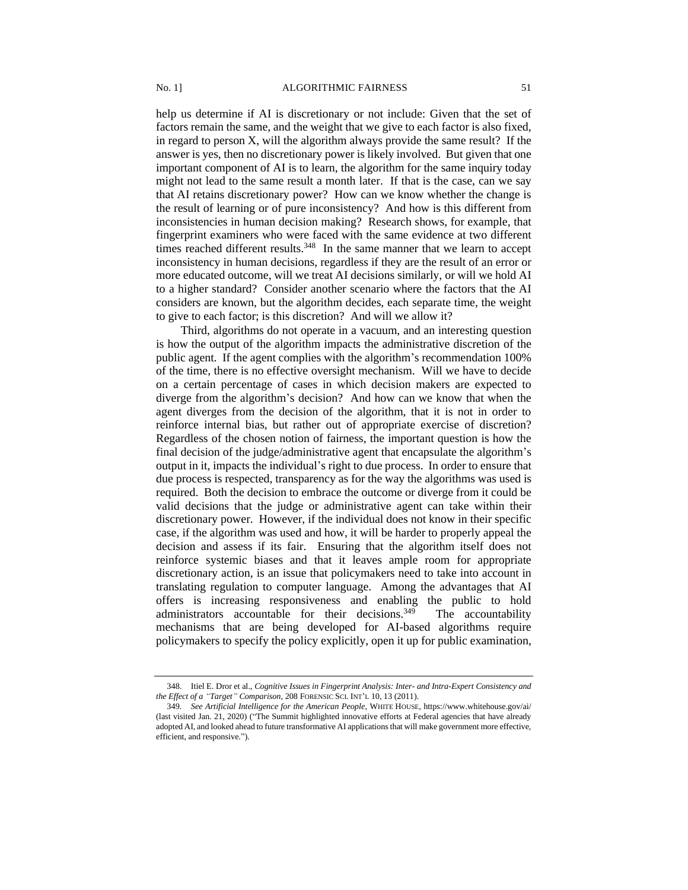help us determine if AI is discretionary or not include: Given that the set of factors remain the same, and the weight that we give to each factor is also fixed, in regard to person X, will the algorithm always provide the same result? If the answer is yes, then no discretionary power is likely involved. But given that one important component of AI is to learn, the algorithm for the same inquiry today might not lead to the same result a month later. If that is the case, can we say that AI retains discretionary power? How can we know whether the change is the result of learning or of pure inconsistency? And how is this different from inconsistencies in human decision making? Research shows, for example, that fingerprint examiners who were faced with the same evidence at two different times reached different results. $348$  In the same manner that we learn to accept inconsistency in human decisions, regardless if they are the result of an error or more educated outcome, will we treat AI decisions similarly, or will we hold AI to a higher standard? Consider another scenario where the factors that the AI considers are known, but the algorithm decides, each separate time, the weight to give to each factor; is this discretion? And will we allow it?

Third, algorithms do not operate in a vacuum, and an interesting question is how the output of the algorithm impacts the administrative discretion of the public agent. If the agent complies with the algorithm's recommendation 100% of the time, there is no effective oversight mechanism. Will we have to decide on a certain percentage of cases in which decision makers are expected to diverge from the algorithm's decision? And how can we know that when the agent diverges from the decision of the algorithm, that it is not in order to reinforce internal bias, but rather out of appropriate exercise of discretion? Regardless of the chosen notion of fairness, the important question is how the final decision of the judge/administrative agent that encapsulate the algorithm's output in it, impacts the individual's right to due process. In order to ensure that due process is respected, transparency as for the way the algorithms was used is required. Both the decision to embrace the outcome or diverge from it could be valid decisions that the judge or administrative agent can take within their discretionary power. However, if the individual does not know in their specific case, if the algorithm was used and how, it will be harder to properly appeal the decision and assess if its fair. Ensuring that the algorithm itself does not reinforce systemic biases and that it leaves ample room for appropriate discretionary action, is an issue that policymakers need to take into account in translating regulation to computer language. Among the advantages that AI offers is increasing responsiveness and enabling the public to hold administrators accountable for their decisions. $349$  The accountability mechanisms that are being developed for AI-based algorithms require policymakers to specify the policy explicitly, open it up for public examination,

<sup>348.</sup> Itiel E. Dror et al., *Cognitive Issues in Fingerprint Analysis: Inter- and Intra-Expert Consistency and the Effect of a "Target" Comparison*, 208 FORENSIC SCI. INT'L 10, 13 (2011).

<sup>349</sup>*. See Artificial Intelligence for the American People*, WHITE HOUSE, https://www.whitehouse.gov/ai/ (last visited Jan. 21, 2020) ("The Summit highlighted innovative efforts at Federal agencies that have already adopted AI, and looked ahead to future transformative AI applications that will make government more effective, efficient, and responsive.").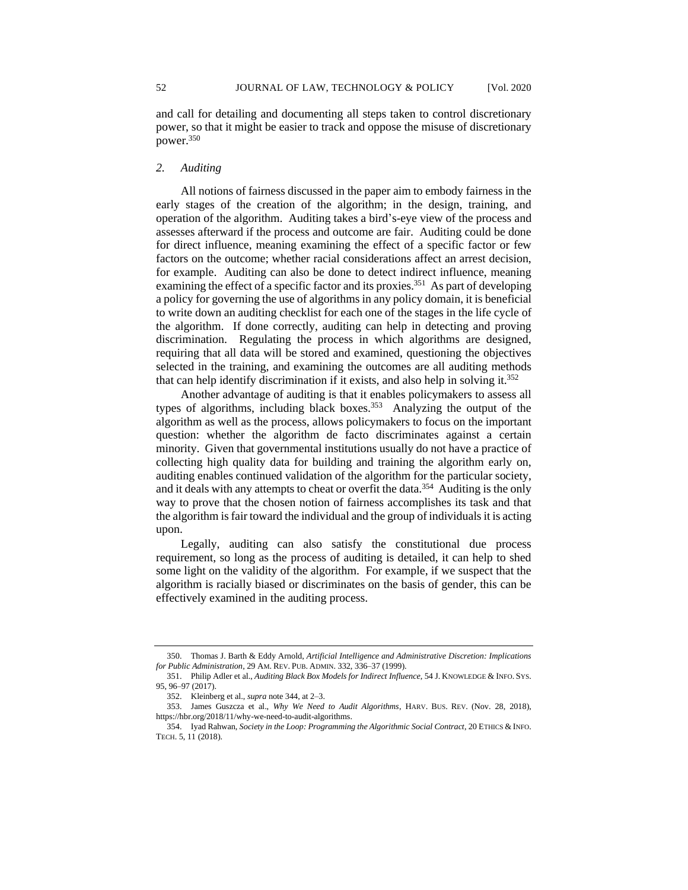and call for detailing and documenting all steps taken to control discretionary power, so that it might be easier to track and oppose the misuse of discretionary power.<sup>350</sup>

## *2. Auditing*

All notions of fairness discussed in the paper aim to embody fairness in the early stages of the creation of the algorithm; in the design, training, and operation of the algorithm. Auditing takes a bird's-eye view of the process and assesses afterward if the process and outcome are fair. Auditing could be done for direct influence, meaning examining the effect of a specific factor or few factors on the outcome; whether racial considerations affect an arrest decision, for example. Auditing can also be done to detect indirect influence, meaning examining the effect of a specific factor and its proxies.<sup>351</sup> As part of developing a policy for governing the use of algorithms in any policy domain, it is beneficial to write down an auditing checklist for each one of the stages in the life cycle of the algorithm. If done correctly, auditing can help in detecting and proving discrimination. Regulating the process in which algorithms are designed, requiring that all data will be stored and examined, questioning the objectives selected in the training, and examining the outcomes are all auditing methods that can help identify discrimination if it exists, and also help in solving it.<sup>352</sup>

Another advantage of auditing is that it enables policymakers to assess all types of algorithms, including black boxes.<sup>353</sup> Analyzing the output of the algorithm as well as the process, allows policymakers to focus on the important question: whether the algorithm de facto discriminates against a certain minority. Given that governmental institutions usually do not have a practice of collecting high quality data for building and training the algorithm early on, auditing enables continued validation of the algorithm for the particular society, and it deals with any attempts to cheat or overfit the data.<sup>354</sup> Auditing is the only way to prove that the chosen notion of fairness accomplishes its task and that the algorithm is fair toward the individual and the group of individuals it is acting upon.

Legally, auditing can also satisfy the constitutional due process requirement, so long as the process of auditing is detailed, it can help to shed some light on the validity of the algorithm. For example, if we suspect that the algorithm is racially biased or discriminates on the basis of gender, this can be effectively examined in the auditing process.

<sup>350.</sup> Thomas J. Barth & Eddy Arnold, *Artificial Intelligence and Administrative Discretion: Implications for Public Administration*, 29 AM. REV. PUB. ADMIN. 332, 336–37 (1999).

<sup>351.</sup> Philip Adler et al., *Auditing Black Box Models for Indirect Influence*, 54 J. KNOWLEDGE & INFO. SYS. 95, 96–97 (2017).

<sup>352.</sup> Kleinberg et al., *supra* note 344, at 2–3.

<sup>353.</sup> James Guszcza et al., *Why We Need to Audit Algorithms*, HARV. BUS. REV. (Nov. 28, 2018), https://hbr.org/2018/11/why-we-need-to-audit-algorithms.

<sup>354.</sup> Iyad Rahwan, *Society in the Loop: Programming the Algorithmic Social Contract*, 20 ETHICS & INFO. TECH. 5, 11 (2018).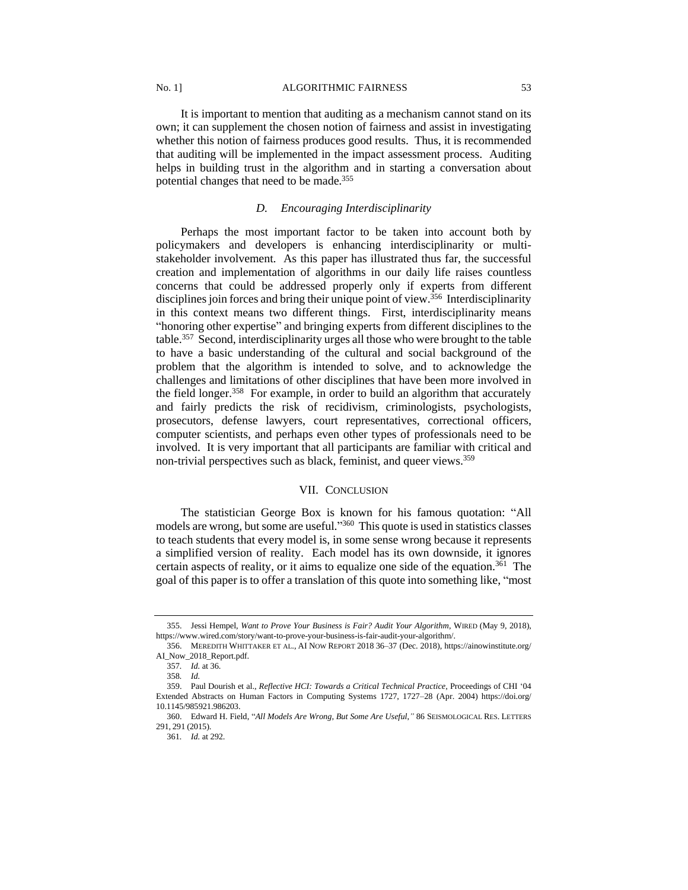It is important to mention that auditing as a mechanism cannot stand on its own; it can supplement the chosen notion of fairness and assist in investigating whether this notion of fairness produces good results. Thus, it is recommended that auditing will be implemented in the impact assessment process. Auditing helps in building trust in the algorithm and in starting a conversation about potential changes that need to be made.<sup>355</sup>

## *D. Encouraging Interdisciplinarity*

Perhaps the most important factor to be taken into account both by policymakers and developers is enhancing interdisciplinarity or multistakeholder involvement. As this paper has illustrated thus far, the successful creation and implementation of algorithms in our daily life raises countless concerns that could be addressed properly only if experts from different disciplines join forces and bring their unique point of view.<sup>356</sup> Interdisciplinarity in this context means two different things. First, interdisciplinarity means "honoring other expertise" and bringing experts from different disciplines to the table.<sup>357</sup> Second, interdisciplinarity urges all those who were brought to the table to have a basic understanding of the cultural and social background of the problem that the algorithm is intended to solve, and to acknowledge the challenges and limitations of other disciplines that have been more involved in the field longer.<sup>358</sup> For example, in order to build an algorithm that accurately and fairly predicts the risk of recidivism, criminologists, psychologists, prosecutors, defense lawyers, court representatives, correctional officers, computer scientists, and perhaps even other types of professionals need to be involved. It is very important that all participants are familiar with critical and non-trivial perspectives such as black, feminist, and queer views.<sup>359</sup>

## VII. CONCLUSION

The statistician George Box is known for his famous quotation: "All models are wrong, but some are useful."<sup>360</sup> This quote is used in statistics classes to teach students that every model is, in some sense wrong because it represents a simplified version of reality. Each model has its own downside, it ignores certain aspects of reality, or it aims to equalize one side of the equation.<sup>361</sup> The goal of this paper is to offer a translation of this quote into something like, "most

<sup>355.</sup> Jessi Hempel, *Want to Prove Your Business is Fair? Audit Your Algorithm*, WIRED (May 9, 2018), https://www.wired.com/story/want-to-prove-your-business-is-fair-audit-your-algorithm/.

<sup>356.</sup> MEREDITH WHITTAKER ET AL., AI NOW REPORT 2018 36–37 (Dec. 2018), https://ainowinstitute.org/ AI\_Now\_2018\_Report.pdf.

<sup>357</sup>*. Id.* at 36.

<sup>358</sup>*. Id.*

<sup>359.</sup> Paul Dourish et al., *Reflective HCI: Towards a Critical Technical Practice*, Proceedings of CHI '04 Extended Abstracts on Human Factors in Computing Systems 1727, 1727–28 (Apr. 2004) https://doi.org/ 10.1145/985921.986203.

<sup>360.</sup> Edward H. Field, "*All Models Are Wrong, But Some Are Useful*,*"* 86 SEISMOLOGICAL RES. LETTERS 291, 291 (2015).

<sup>361</sup>*. Id.* at 292.